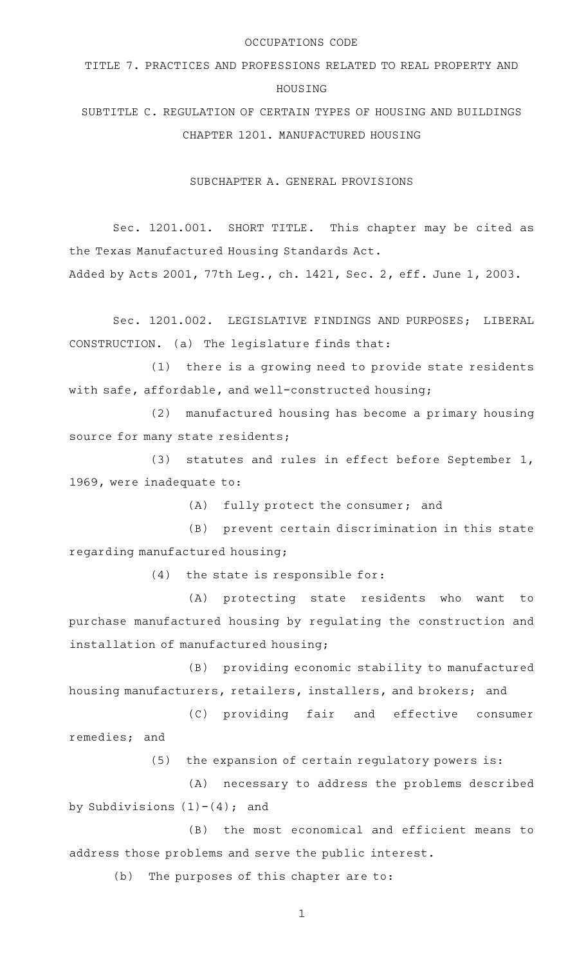### OCCUPATIONS CODE

# TITLE 7. PRACTICES AND PROFESSIONS RELATED TO REAL PROPERTY AND HOUSING

SUBTITLE C. REGULATION OF CERTAIN TYPES OF HOUSING AND BUILDINGS CHAPTER 1201. MANUFACTURED HOUSING

SUBCHAPTER A. GENERAL PROVISIONS

Sec. 1201.001. SHORT TITLE. This chapter may be cited as the Texas Manufactured Housing Standards Act.

Added by Acts 2001, 77th Leg., ch. 1421, Sec. 2, eff. June 1, 2003.

Sec. 1201.002. LEGISLATIVE FINDINGS AND PURPOSES; LIBERAL CONSTRUCTION. (a) The legislature finds that:

 $(1)$  there is a growing need to provide state residents with safe, affordable, and well-constructed housing;

(2) manufactured housing has become a primary housing source for many state residents;

(3) statutes and rules in effect before September 1, 1969, were inadequate to:

(A) fully protect the consumer; and

(B) prevent certain discrimination in this state regarding manufactured housing;

 $(4)$  the state is responsible for:

(A) protecting state residents who want to purchase manufactured housing by regulating the construction and installation of manufactured housing;

(B) providing economic stability to manufactured housing manufacturers, retailers, installers, and brokers; and

(C) providing fair and effective consumer remedies; and

 $(5)$  the expansion of certain regulatory powers is:

(A) necessary to address the problems described by Subdivisions  $(1)-(4)$ ; and

(B) the most economical and efficient means to address those problems and serve the public interest.

(b) The purposes of this chapter are to: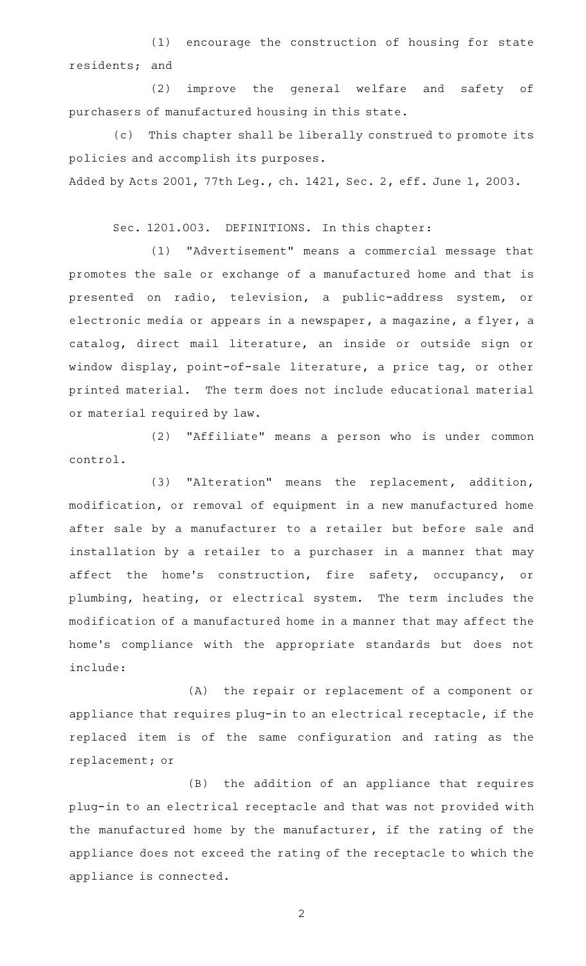(1) encourage the construction of housing for state residents; and

(2) improve the general welfare and safety of purchasers of manufactured housing in this state.

(c) This chapter shall be liberally construed to promote its policies and accomplish its purposes.

Added by Acts 2001, 77th Leg., ch. 1421, Sec. 2, eff. June 1, 2003.

Sec. 1201.003. DEFINITIONS. In this chapter:

(1) "Advertisement" means a commercial message that promotes the sale or exchange of a manufactured home and that is presented on radio, television, a public-address system, or electronic media or appears in a newspaper, a magazine, a flyer, a catalog, direct mail literature, an inside or outside sign or window display, point-of-sale literature, a price tag, or other printed material. The term does not include educational material or material required by law.

(2) "Affiliate" means a person who is under common control.

(3) "Alteration" means the replacement, addition, modification, or removal of equipment in a new manufactured home after sale by a manufacturer to a retailer but before sale and installation by a retailer to a purchaser in a manner that may affect the home's construction, fire safety, occupancy, or plumbing, heating, or electrical system. The term includes the modification of a manufactured home in a manner that may affect the home 's compliance with the appropriate standards but does not include:

(A) the repair or replacement of a component or appliance that requires plug-in to an electrical receptacle, if the replaced item is of the same configuration and rating as the replacement; or

(B) the addition of an appliance that requires plug-in to an electrical receptacle and that was not provided with the manufactured home by the manufacturer, if the rating of the appliance does not exceed the rating of the receptacle to which the appliance is connected.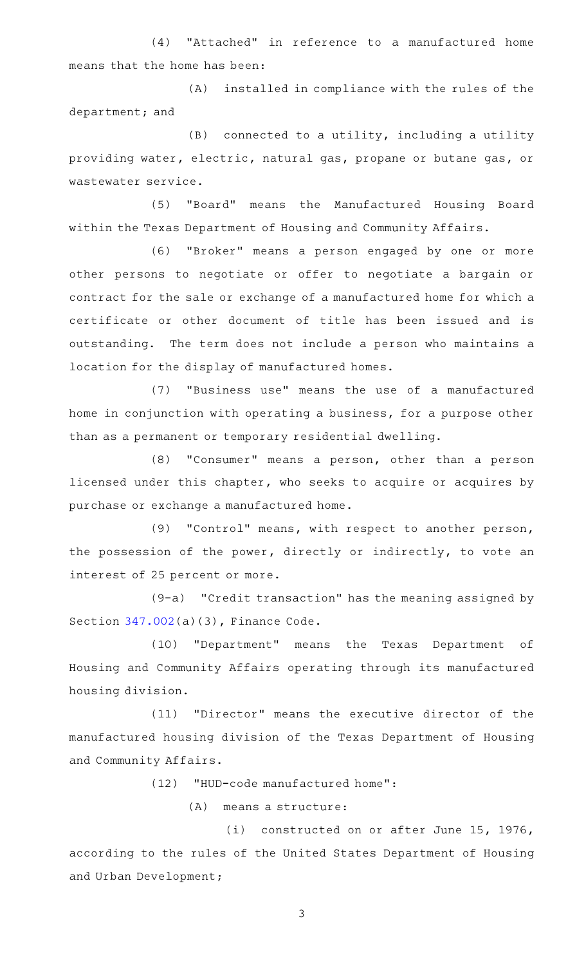(4) "Attached" in reference to a manufactured home means that the home has been:

(A) installed in compliance with the rules of the department; and

 $(B)$  connected to a utility, including a utility providing water, electric, natural gas, propane or butane gas, or wastewater service.

(5) "Board" means the Manufactured Housing Board within the Texas Department of Housing and Community Affairs.

(6) "Broker" means a person engaged by one or more other persons to negotiate or offer to negotiate a bargain or contract for the sale or exchange of a manufactured home for which a certificate or other document of title has been issued and is outstanding. The term does not include a person who maintains a location for the display of manufactured homes.

(7) "Business use" means the use of a manufactured home in conjunction with operating a business, for a purpose other than as a permanent or temporary residential dwelling.

(8) "Consumer" means a person, other than a person licensed under this chapter, who seeks to acquire or acquires by purchase or exchange a manufactured home.

(9) "Control" means, with respect to another person, the possession of the power, directly or indirectly, to vote an interest of 25 percent or more.

(9-a) "Credit transaction" has the meaning assigned by Section [347.002\(](http://www.statutes.legis.state.tx.us/GetStatute.aspx?Code=FI&Value=347.002)a)(3), Finance Code.

(10) "Department" means the Texas Department of Housing and Community Affairs operating through its manufactured housing division.

(11) "Director" means the executive director of the manufactured housing division of the Texas Department of Housing and Community Affairs.

(12) "HUD-code manufactured home":

(A) means a structure:

(i) constructed on or after June 15, 1976, according to the rules of the United States Department of Housing and Urban Development;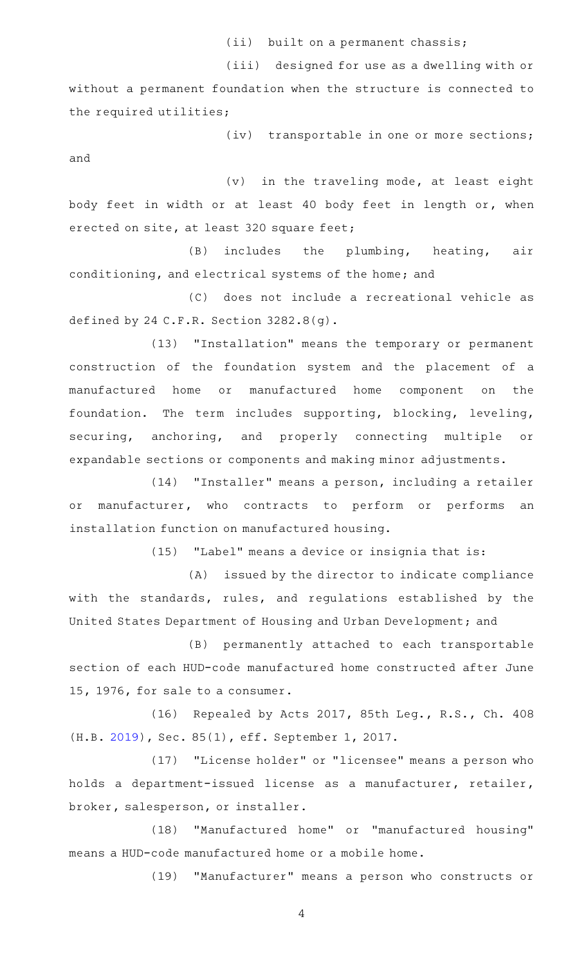(ii) built on a permanent chassis;

(iii) designed for use as a dwelling with or without a permanent foundation when the structure is connected to the required utilities;

(iv) transportable in one or more sections; and

 $(v)$  in the traveling mode, at least eight body feet in width or at least 40 body feet in length or, when erected on site, at least 320 square feet;

(B) includes the plumbing, heating, air conditioning, and electrical systems of the home; and

(C) does not include a recreational vehicle as defined by 24 C.F.R. Section 3282.8(g).

(13) "Installation" means the temporary or permanent construction of the foundation system and the placement of a manufactured home or manufactured home component on the foundation. The term includes supporting, blocking, leveling, securing, anchoring, and properly connecting multiple or expandable sections or components and making minor adjustments.

(14) "Installer" means a person, including a retailer or manufacturer, who contracts to perform or performs an installation function on manufactured housing.

(15) "Label" means a device or insignia that is:

(A) issued by the director to indicate compliance with the standards, rules, and regulations established by the United States Department of Housing and Urban Development; and

(B) permanently attached to each transportable section of each HUD-code manufactured home constructed after June 15, 1976, for sale to a consumer.

(16) Repealed by Acts 2017, 85th Leg., R.S., Ch. 408 (H.B. [2019\)](http://www.legis.state.tx.us/tlodocs/85R/billtext/html/HB02019F.HTM), Sec. 85(1), eff. September 1, 2017.

(17) "License holder" or "licensee" means a person who holds a department-issued license as a manufacturer, retailer, broker, salesperson, or installer.

(18) "Manufactured home" or "manufactured housing" means a HUD-code manufactured home or a mobile home.

(19) "Manufacturer" means a person who constructs or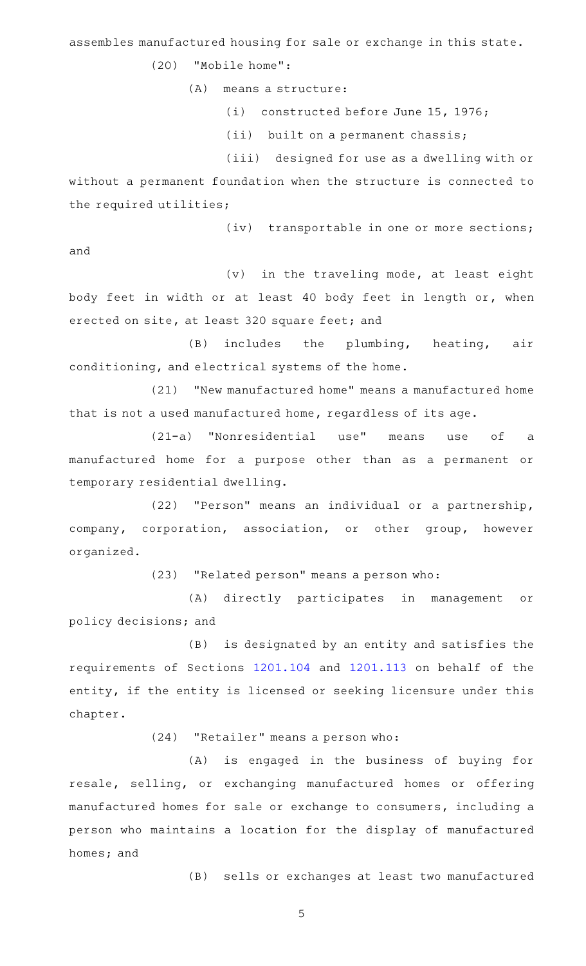assembles manufactured housing for sale or exchange in this state.

(20) "Mobile home":

(A) means a structure:

(i) constructed before June 15, 1976;

(ii) built on a permanent chassis;

(iii) designed for use as a dwelling with or

without a permanent foundation when the structure is connected to the required utilities;

(iv) transportable in one or more sections;

and

 $(v)$  in the traveling mode, at least eight body feet in width or at least 40 body feet in length or, when erected on site, at least 320 square feet; and

(B) includes the plumbing, heating, air conditioning, and electrical systems of the home.

(21) "New manufactured home" means a manufactured home that is not a used manufactured home, regardless of its age.

(21-a) "Nonresidential use" means use of a manufactured home for a purpose other than as a permanent or temporary residential dwelling.

(22) "Person" means an individual or a partnership, company, corporation, association, or other group, however organized.

(23) "Related person" means a person who:

(A) directly participates in management or policy decisions; and

(B) is designated by an entity and satisfies the requirements of Sections [1201.104](http://www.statutes.legis.state.tx.us/GetStatute.aspx?Code=OC&Value=1201.104) and [1201.113](http://www.statutes.legis.state.tx.us/GetStatute.aspx?Code=OC&Value=1201.113) on behalf of the entity, if the entity is licensed or seeking licensure under this chapter.

 $(24)$  "Retailer" means a person who:

(A) is engaged in the business of buying for resale, selling, or exchanging manufactured homes or offering manufactured homes for sale or exchange to consumers, including a person who maintains a location for the display of manufactured homes; and

(B) sells or exchanges at least two manufactured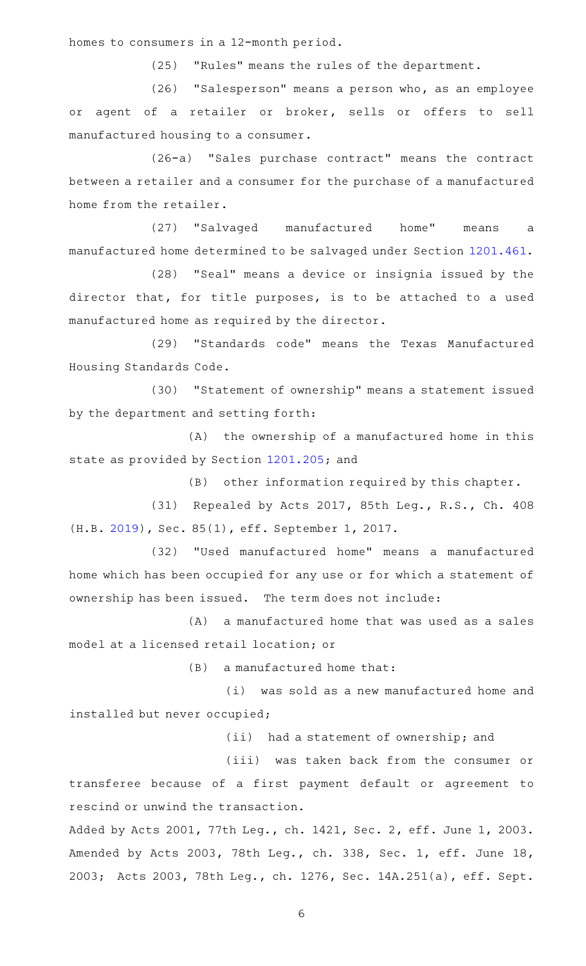homes to consumers in a 12-month period.

(25) "Rules" means the rules of the department.

(26) "Salesperson" means a person who, as an employee or agent of a retailer or broker, sells or offers to sell manufactured housing to a consumer.

(26-a) "Sales purchase contract" means the contract between a retailer and a consumer for the purchase of a manufactured home from the retailer.

(27) "Salvaged manufactured home" means a manufactured home determined to be salvaged under Section [1201.461](http://www.statutes.legis.state.tx.us/GetStatute.aspx?Code=OC&Value=1201.461).

(28) "Seal" means a device or insignia issued by the director that, for title purposes, is to be attached to a used manufactured home as required by the director.

(29) "Standards code" means the Texas Manufactured Housing Standards Code.

(30) "Statement of ownership" means a statement issued by the department and setting forth:

 $(A)$  the ownership of a manufactured home in this state as provided by Section [1201.205;](http://www.statutes.legis.state.tx.us/GetStatute.aspx?Code=OC&Value=1201.205) and

 $(B)$  other information required by this chapter.

(31) Repealed by Acts 2017, 85th Leg., R.S., Ch. 408 (H.B. [2019\)](http://www.legis.state.tx.us/tlodocs/85R/billtext/html/HB02019F.HTM), Sec. 85(1), eff. September 1, 2017.

(32) "Used manufactured home" means a manufactured home which has been occupied for any use or for which a statement of ownership has been issued. The term does not include:

 $(A)$  a manufactured home that was used as a sales model at a licensed retail location; or

 $(B)$  a manufactured home that:

(i) was sold as a new manufactured home and installed but never occupied;

(ii) had a statement of ownership; and

(iii) was taken back from the consumer or

transferee because of a first payment default or agreement to rescind or unwind the transaction.

Added by Acts 2001, 77th Leg., ch. 1421, Sec. 2, eff. June 1, 2003. Amended by Acts 2003, 78th Leg., ch. 338, Sec. 1, eff. June 18, 2003; Acts 2003, 78th Leg., ch. 1276, Sec. 14A.251(a), eff. Sept.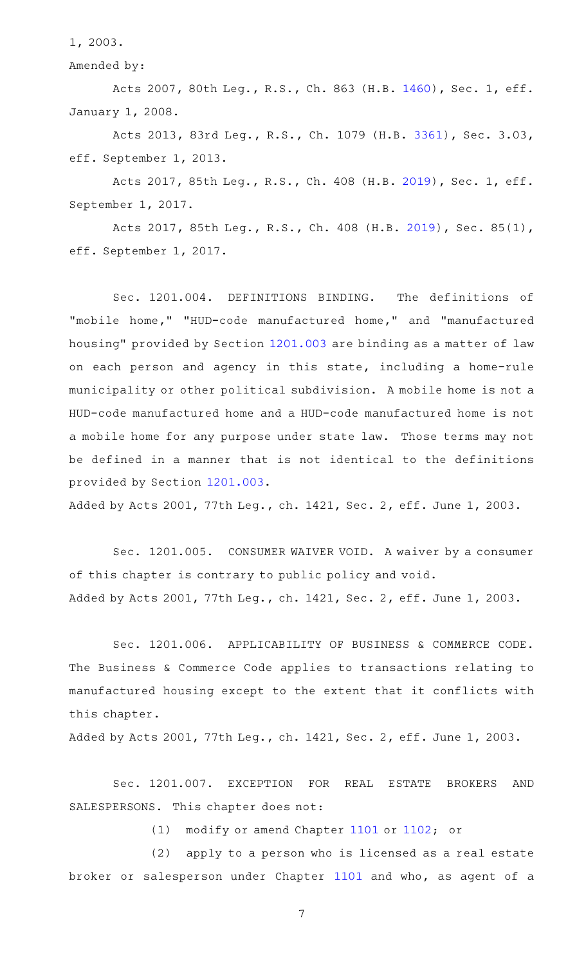1, 2003.

Amended by:

Acts 2007, 80th Leg., R.S., Ch. 863 (H.B. [1460](http://www.legis.state.tx.us/tlodocs/80R/billtext/html/HB01460F.HTM)), Sec. 1, eff. January 1, 2008.

Acts 2013, 83rd Leg., R.S., Ch. 1079 (H.B. [3361](http://www.legis.state.tx.us/tlodocs/83R/billtext/html/HB03361F.HTM)), Sec. 3.03, eff. September 1, 2013.

Acts 2017, 85th Leg., R.S., Ch. 408 (H.B. [2019](http://www.legis.state.tx.us/tlodocs/85R/billtext/html/HB02019F.HTM)), Sec. 1, eff. September 1, 2017.

Acts 2017, 85th Leg., R.S., Ch. 408 (H.B. [2019\)](http://www.legis.state.tx.us/tlodocs/85R/billtext/html/HB02019F.HTM), Sec. 85(1), eff. September 1, 2017.

Sec. 1201.004. DEFINITIONS BINDING. The definitions of "mobile home," "HUD-code manufactured home," and "manufactured housing" provided by Section [1201.003](http://www.statutes.legis.state.tx.us/GetStatute.aspx?Code=OC&Value=1201.003) are binding as a matter of law on each person and agency in this state, including a home-rule municipality or other political subdivision. A mobile home is not a HUD-code manufactured home and a HUD-code manufactured home is not a mobile home for any purpose under state law. Those terms may not be defined in a manner that is not identical to the definitions provided by Section [1201.003.](http://www.statutes.legis.state.tx.us/GetStatute.aspx?Code=OC&Value=1201.003)

Added by Acts 2001, 77th Leg., ch. 1421, Sec. 2, eff. June 1, 2003.

Sec. 1201.005. CONSUMER WAIVER VOID. A waiver by a consumer of this chapter is contrary to public policy and void. Added by Acts 2001, 77th Leg., ch. 1421, Sec. 2, eff. June 1, 2003.

Sec. 1201.006. APPLICABILITY OF BUSINESS & COMMERCE CODE. The Business & Commerce Code applies to transactions relating to manufactured housing except to the extent that it conflicts with this chapter.

Added by Acts 2001, 77th Leg., ch. 1421, Sec. 2, eff. June 1, 2003.

Sec. 1201.007. EXCEPTION FOR REAL ESTATE BROKERS AND SALESPERSONS. This chapter does not:

(1) modify or amend Chapter [1101](http://www.statutes.legis.state.tx.us/GetStatute.aspx?Code=OC&Value=1101) or  $1102$ ; or

(2) apply to a person who is licensed as a real estate broker or salesperson under Chapter [1101](http://www.statutes.legis.state.tx.us/GetStatute.aspx?Code=OC&Value=1101) and who, as agent of a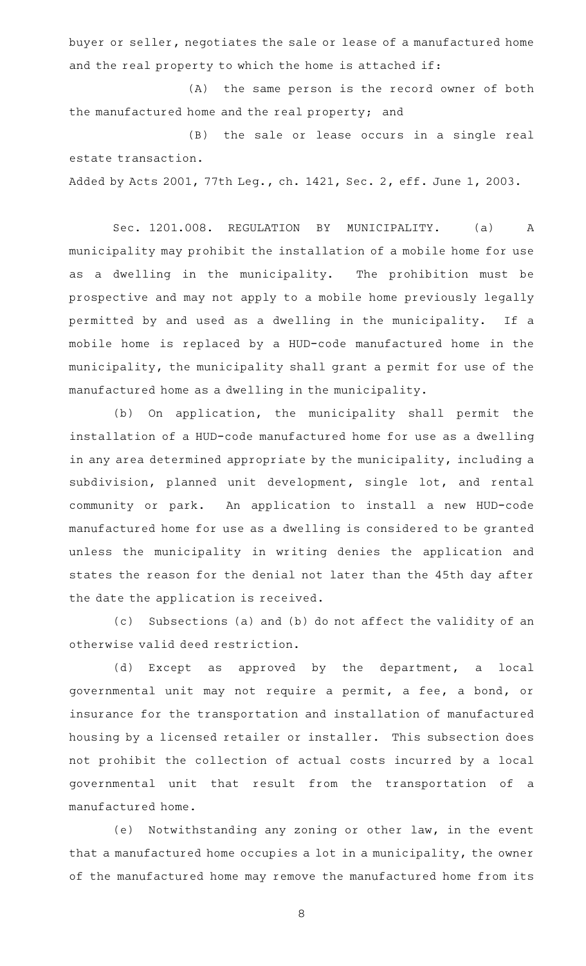buyer or seller, negotiates the sale or lease of a manufactured home and the real property to which the home is attached if:

(A) the same person is the record owner of both the manufactured home and the real property; and

(B) the sale or lease occurs in a single real estate transaction.

Added by Acts 2001, 77th Leg., ch. 1421, Sec. 2, eff. June 1, 2003.

Sec. 1201.008. REGULATION BY MUNICIPALITY. (a) A municipality may prohibit the installation of a mobile home for use as a dwelling in the municipality. The prohibition must be prospective and may not apply to a mobile home previously legally permitted by and used as a dwelling in the municipality. If a mobile home is replaced by a HUD-code manufactured home in the municipality, the municipality shall grant a permit for use of the manufactured home as a dwelling in the municipality.

(b) On application, the municipality shall permit the installation of a HUD-code manufactured home for use as a dwelling in any area determined appropriate by the municipality, including a subdivision, planned unit development, single lot, and rental community or park. An application to install a new HUD-code manufactured home for use as a dwelling is considered to be granted unless the municipality in writing denies the application and states the reason for the denial not later than the 45th day after the date the application is received.

(c) Subsections (a) and (b) do not affect the validity of an otherwise valid deed restriction.

(d) Except as approved by the department, a local governmental unit may not require a permit, a fee, a bond, or insurance for the transportation and installation of manufactured housing by a licensed retailer or installer. This subsection does not prohibit the collection of actual costs incurred by a local governmental unit that result from the transportation of a manufactured home.

(e) Notwithstanding any zoning or other law, in the event that a manufactured home occupies a lot in a municipality, the owner of the manufactured home may remove the manufactured home from its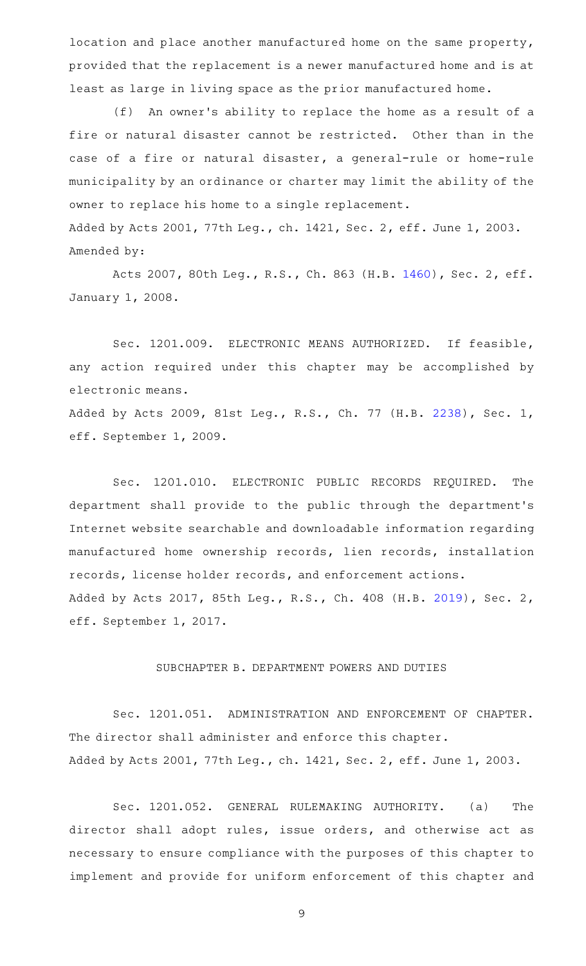location and place another manufactured home on the same property, provided that the replacement is a newer manufactured home and is at least as large in living space as the prior manufactured home.

(f) An owner's ability to replace the home as a result of a fire or natural disaster cannot be restricted. Other than in the case of a fire or natural disaster, a general-rule or home-rule municipality by an ordinance or charter may limit the ability of the owner to replace his home to a single replacement. Added by Acts 2001, 77th Leg., ch. 1421, Sec. 2, eff. June 1, 2003. Amended by:

Acts 2007, 80th Leg., R.S., Ch. 863 (H.B. [1460](http://www.legis.state.tx.us/tlodocs/80R/billtext/html/HB01460F.HTM)), Sec. 2, eff. January 1, 2008.

Sec. 1201.009. ELECTRONIC MEANS AUTHORIZED. If feasible, any action required under this chapter may be accomplished by electronic means.

Added by Acts 2009, 81st Leg., R.S., Ch. 77 (H.B. [2238](http://www.legis.state.tx.us/tlodocs/81R/billtext/html/HB02238F.HTM)), Sec. 1, eff. September 1, 2009.

Sec. 1201.010. ELECTRONIC PUBLIC RECORDS REQUIRED. The department shall provide to the public through the department 's Internet website searchable and downloadable information regarding manufactured home ownership records, lien records, installation records, license holder records, and enforcement actions. Added by Acts 2017, 85th Leg., R.S., Ch. 408 (H.B. [2019](http://www.legis.state.tx.us/tlodocs/85R/billtext/html/HB02019F.HTM)), Sec. 2, eff. September 1, 2017.

## SUBCHAPTER B. DEPARTMENT POWERS AND DUTIES

Sec. 1201.051. ADMINISTRATION AND ENFORCEMENT OF CHAPTER. The director shall administer and enforce this chapter. Added by Acts 2001, 77th Leg., ch. 1421, Sec. 2, eff. June 1, 2003.

Sec. 1201.052. GENERAL RULEMAKING AUTHORITY. (a) The director shall adopt rules, issue orders, and otherwise act as necessary to ensure compliance with the purposes of this chapter to implement and provide for uniform enforcement of this chapter and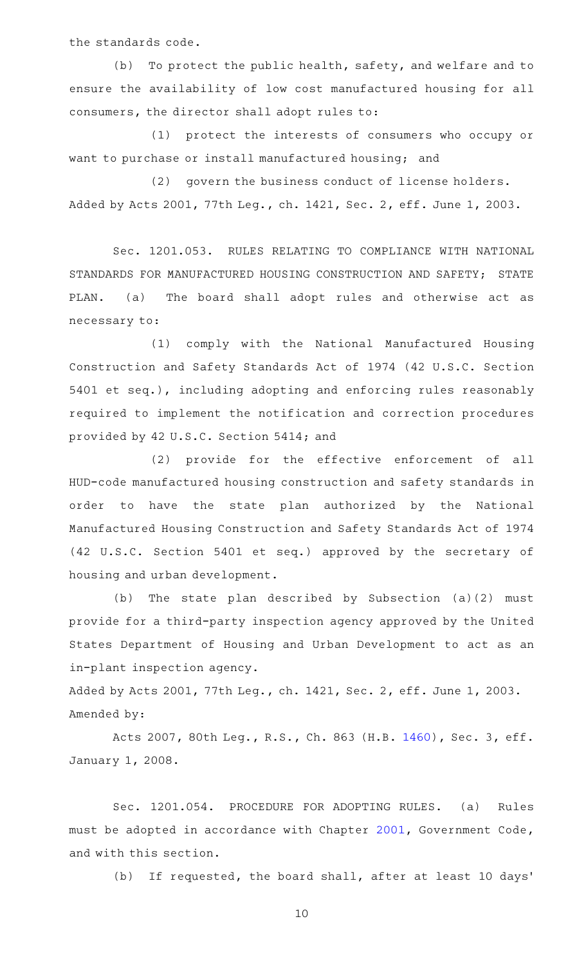the standards code.

(b) To protect the public health, safety, and welfare and to ensure the availability of low cost manufactured housing for all consumers, the director shall adopt rules to:

(1) protect the interests of consumers who occupy or want to purchase or install manufactured housing; and

(2) govern the business conduct of license holders. Added by Acts 2001, 77th Leg., ch. 1421, Sec. 2, eff. June 1, 2003.

Sec. 1201.053. RULES RELATING TO COMPLIANCE WITH NATIONAL STANDARDS FOR MANUFACTURED HOUSING CONSTRUCTION AND SAFETY; STATE PLAN. (a) The board shall adopt rules and otherwise act as necessary to:

(1) comply with the National Manufactured Housing Construction and Safety Standards Act of 1974 (42 U.S.C. Section 5401 et seq.), including adopting and enforcing rules reasonably required to implement the notification and correction procedures provided by 42 U.S.C. Section 5414; and

(2) provide for the effective enforcement of all HUD-code manufactured housing construction and safety standards in order to have the state plan authorized by the National Manufactured Housing Construction and Safety Standards Act of 1974 (42 U.S.C. Section 5401 et seq.) approved by the secretary of housing and urban development.

(b) The state plan described by Subsection  $(a)(2)$  must provide for a third-party inspection agency approved by the United States Department of Housing and Urban Development to act as an in-plant inspection agency.

Added by Acts 2001, 77th Leg., ch. 1421, Sec. 2, eff. June 1, 2003. Amended by:

Acts 2007, 80th Leg., R.S., Ch. 863 (H.B. [1460](http://www.legis.state.tx.us/tlodocs/80R/billtext/html/HB01460F.HTM)), Sec. 3, eff. January 1, 2008.

Sec. 1201.054. PROCEDURE FOR ADOPTING RULES. (a) Rules must be adopted in accordance with Chapter [2001](http://www.statutes.legis.state.tx.us/GetStatute.aspx?Code=GV&Value=2001), Government Code, and with this section.

(b) If requested, the board shall, after at least 10 days'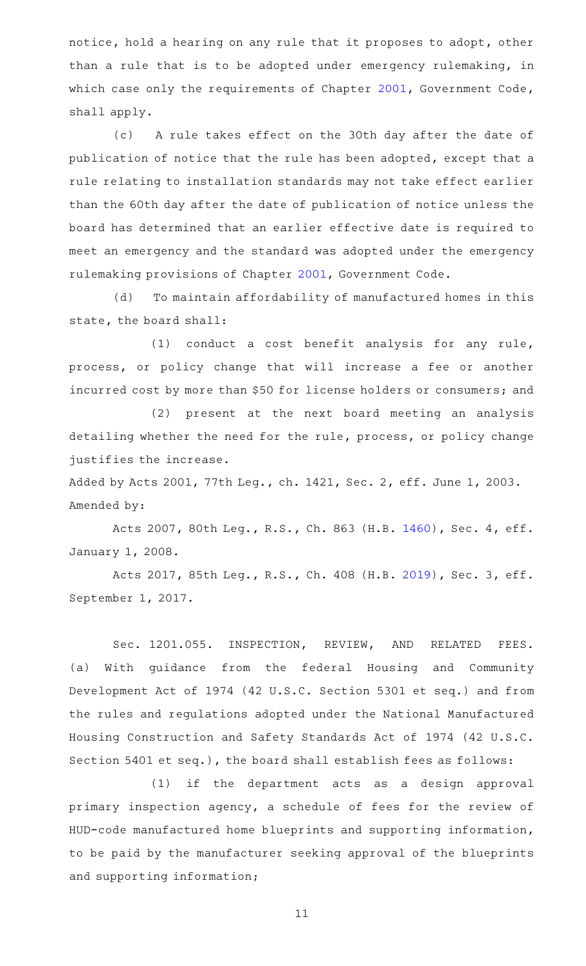notice, hold a hearing on any rule that it proposes to adopt, other than a rule that is to be adopted under emergency rulemaking, in which case only the requirements of Chapter [2001,](http://www.statutes.legis.state.tx.us/GetStatute.aspx?Code=GV&Value=2001) Government Code, shall apply.

(c) A rule takes effect on the 30th day after the date of publication of notice that the rule has been adopted, except that a rule relating to installation standards may not take effect earlier than the 60th day after the date of publication of notice unless the board has determined that an earlier effective date is required to meet an emergency and the standard was adopted under the emergency rulemaking provisions of Chapter [2001](http://www.statutes.legis.state.tx.us/GetStatute.aspx?Code=GV&Value=2001), Government Code.

(d) To maintain affordability of manufactured homes in this state, the board shall:

 $(1)$  conduct a cost benefit analysis for any rule, process, or policy change that will increase a fee or another incurred cost by more than \$50 for license holders or consumers; and

(2) present at the next board meeting an analysis detailing whether the need for the rule, process, or policy change justifies the increase.

Added by Acts 2001, 77th Leg., ch. 1421, Sec. 2, eff. June 1, 2003. Amended by:

Acts 2007, 80th Leg., R.S., Ch. 863 (H.B. [1460](http://www.legis.state.tx.us/tlodocs/80R/billtext/html/HB01460F.HTM)), Sec. 4, eff. January 1, 2008.

Acts 2017, 85th Leg., R.S., Ch. 408 (H.B. [2019](http://www.legis.state.tx.us/tlodocs/85R/billtext/html/HB02019F.HTM)), Sec. 3, eff. September 1, 2017.

Sec. 1201.055. INSPECTION, REVIEW, AND RELATED FEES. (a) With guidance from the federal Housing and Community Development Act of 1974 (42 U.S.C. Section 5301 et seq.) and from the rules and regulations adopted under the National Manufactured Housing Construction and Safety Standards Act of 1974 (42 U.S.C. Section 5401 et seq.), the board shall establish fees as follows:

(1) if the department acts as a design approval primary inspection agency, a schedule of fees for the review of HUD-code manufactured home blueprints and supporting information, to be paid by the manufacturer seeking approval of the blueprints and supporting information;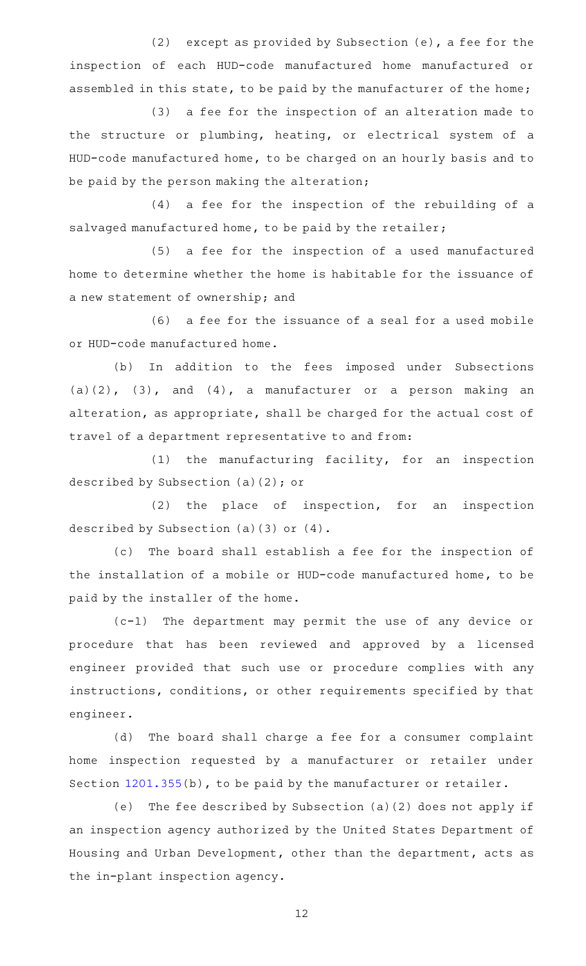(2) except as provided by Subsection  $(e)$ , a fee for the inspection of each HUD-code manufactured home manufactured or assembled in this state, to be paid by the manufacturer of the home;

(3) a fee for the inspection of an alteration made to the structure or plumbing, heating, or electrical system of a HUD-code manufactured home, to be charged on an hourly basis and to be paid by the person making the alteration;

(4) a fee for the inspection of the rebuilding of a salvaged manufactured home, to be paid by the retailer;

(5) a fee for the inspection of a used manufactured home to determine whether the home is habitable for the issuance of a new statement of ownership; and

 $(6)$  a fee for the issuance of a seal for a used mobile or HUD-code manufactured home.

(b) In addition to the fees imposed under Subsections  $(a)(2)$ ,  $(3)$ , and  $(4)$ , a manufacturer or a person making an alteration, as appropriate, shall be charged for the actual cost of travel of a department representative to and from:

 $(1)$  the manufacturing facility, for an inspection described by Subsection (a)(2); or

 $(2)$  the place of inspection, for an inspection described by Subsection (a)(3) or (4).

(c) The board shall establish a fee for the inspection of the installation of a mobile or HUD-code manufactured home, to be paid by the installer of the home.

 $(c-1)$  The department may permit the use of any device or procedure that has been reviewed and approved by a licensed engineer provided that such use or procedure complies with any instructions, conditions, or other requirements specified by that engineer.

(d) The board shall charge a fee for a consumer complaint home inspection requested by a manufacturer or retailer under Section [1201.355](http://www.statutes.legis.state.tx.us/GetStatute.aspx?Code=OC&Value=1201.355)(b), to be paid by the manufacturer or retailer.

(e) The fee described by Subsection (a)(2) does not apply if an inspection agency authorized by the United States Department of Housing and Urban Development, other than the department, acts as the in-plant inspection agency.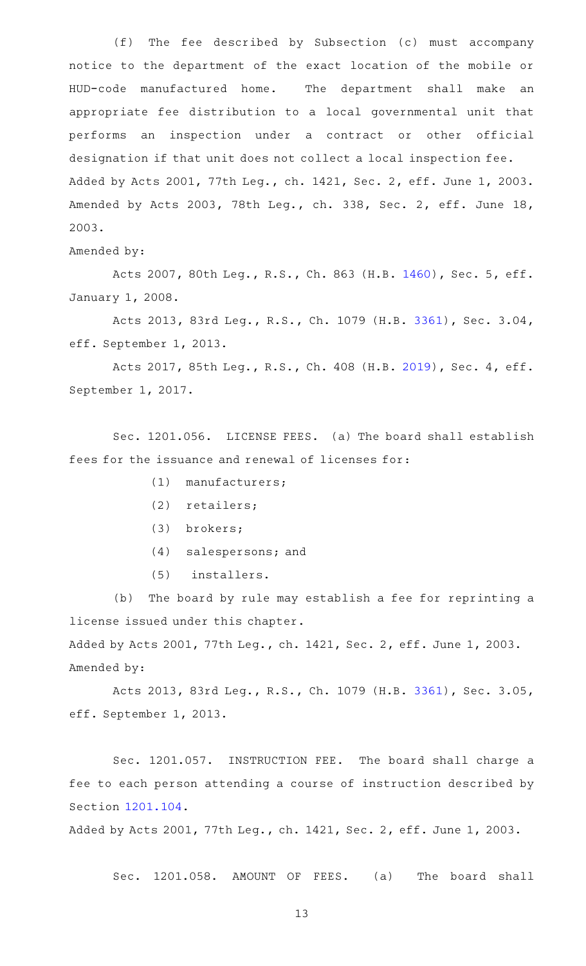(f) The fee described by Subsection (c) must accompany notice to the department of the exact location of the mobile or HUD-code manufactured home. The department shall make an appropriate fee distribution to a local governmental unit that performs an inspection under a contract or other official designation if that unit does not collect a local inspection fee. Added by Acts 2001, 77th Leg., ch. 1421, Sec. 2, eff. June 1, 2003. Amended by Acts 2003, 78th Leg., ch. 338, Sec. 2, eff. June 18, 2003.

Amended by:

Acts 2007, 80th Leg., R.S., Ch. 863 (H.B. [1460](http://www.legis.state.tx.us/tlodocs/80R/billtext/html/HB01460F.HTM)), Sec. 5, eff. January 1, 2008.

Acts 2013, 83rd Leg., R.S., Ch. 1079 (H.B. [3361](http://www.legis.state.tx.us/tlodocs/83R/billtext/html/HB03361F.HTM)), Sec. 3.04, eff. September 1, 2013.

Acts 2017, 85th Leg., R.S., Ch. 408 (H.B. [2019](http://www.legis.state.tx.us/tlodocs/85R/billtext/html/HB02019F.HTM)), Sec. 4, eff. September 1, 2017.

Sec. 1201.056. LICENSE FEES. (a) The board shall establish fees for the issuance and renewal of licenses for:

- $(1)$  manufacturers;
- (2) retailers;
- (3) brokers;
- (4) salespersons; and
- (5) installers.

(b) The board by rule may establish a fee for reprinting a license issued under this chapter.

Added by Acts 2001, 77th Leg., ch. 1421, Sec. 2, eff. June 1, 2003. Amended by:

Acts 2013, 83rd Leg., R.S., Ch. 1079 (H.B. [3361](http://www.legis.state.tx.us/tlodocs/83R/billtext/html/HB03361F.HTM)), Sec. 3.05, eff. September 1, 2013.

Sec. 1201.057. INSTRUCTION FEE. The board shall charge a fee to each person attending a course of instruction described by Section [1201.104](http://www.statutes.legis.state.tx.us/GetStatute.aspx?Code=OC&Value=1201.104).

Added by Acts 2001, 77th Leg., ch. 1421, Sec. 2, eff. June 1, 2003.

Sec. 1201.058. AMOUNT OF FEES. (a) The board shall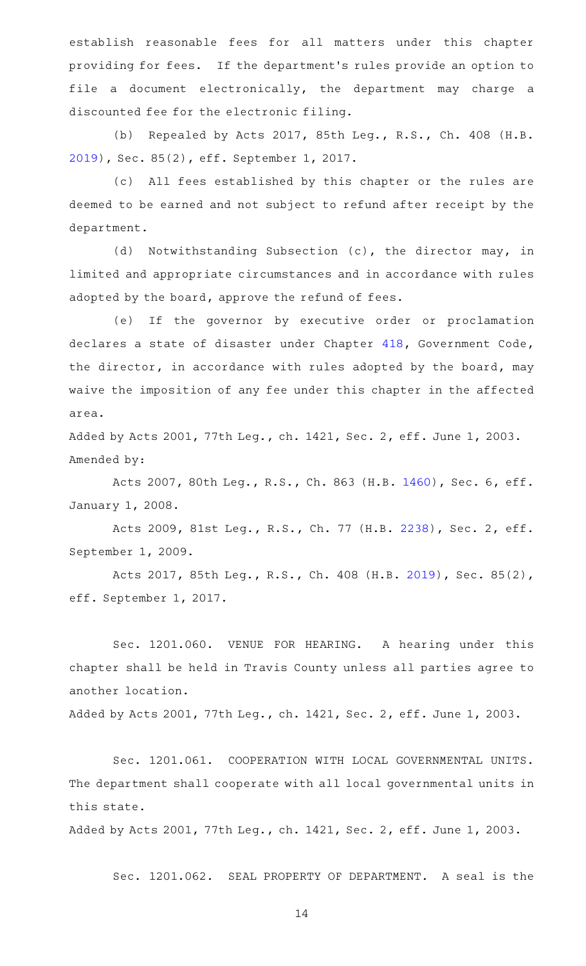establish reasonable fees for all matters under this chapter providing for fees. If the department's rules provide an option to file a document electronically, the department may charge a discounted fee for the electronic filing.

(b) Repealed by Acts 2017, 85th Leg., R.S., Ch. 408 (H.B. [2019](http://www.legis.state.tx.us/tlodocs/85R/billtext/html/HB02019F.HTM)), Sec. 85(2), eff. September 1, 2017.

(c) All fees established by this chapter or the rules are deemed to be earned and not subject to refund after receipt by the department.

(d) Notwithstanding Subsection (c), the director may, in limited and appropriate circumstances and in accordance with rules adopted by the board, approve the refund of fees.

(e) If the governor by executive order or proclamation declares a state of disaster under Chapter [418](http://www.statutes.legis.state.tx.us/GetStatute.aspx?Code=GV&Value=418), Government Code, the director, in accordance with rules adopted by the board, may waive the imposition of any fee under this chapter in the affected area.

Added by Acts 2001, 77th Leg., ch. 1421, Sec. 2, eff. June 1, 2003. Amended by:

Acts 2007, 80th Leg., R.S., Ch. 863 (H.B. [1460](http://www.legis.state.tx.us/tlodocs/80R/billtext/html/HB01460F.HTM)), Sec. 6, eff. January 1, 2008.

Acts 2009, 81st Leg., R.S., Ch. 77 (H.B. [2238](http://www.legis.state.tx.us/tlodocs/81R/billtext/html/HB02238F.HTM)), Sec. 2, eff. September 1, 2009.

Acts 2017, 85th Leg., R.S., Ch. 408 (H.B. [2019\)](http://www.legis.state.tx.us/tlodocs/85R/billtext/html/HB02019F.HTM), Sec. 85(2), eff. September 1, 2017.

Sec. 1201.060. VENUE FOR HEARING. A hearing under this chapter shall be held in Travis County unless all parties agree to another location.

Added by Acts 2001, 77th Leg., ch. 1421, Sec. 2, eff. June 1, 2003.

Sec. 1201.061. COOPERATION WITH LOCAL GOVERNMENTAL UNITS. The department shall cooperate with all local governmental units in this state.

Added by Acts 2001, 77th Leg., ch. 1421, Sec. 2, eff. June 1, 2003.

Sec. 1201.062. SEAL PROPERTY OF DEPARTMENT. A seal is the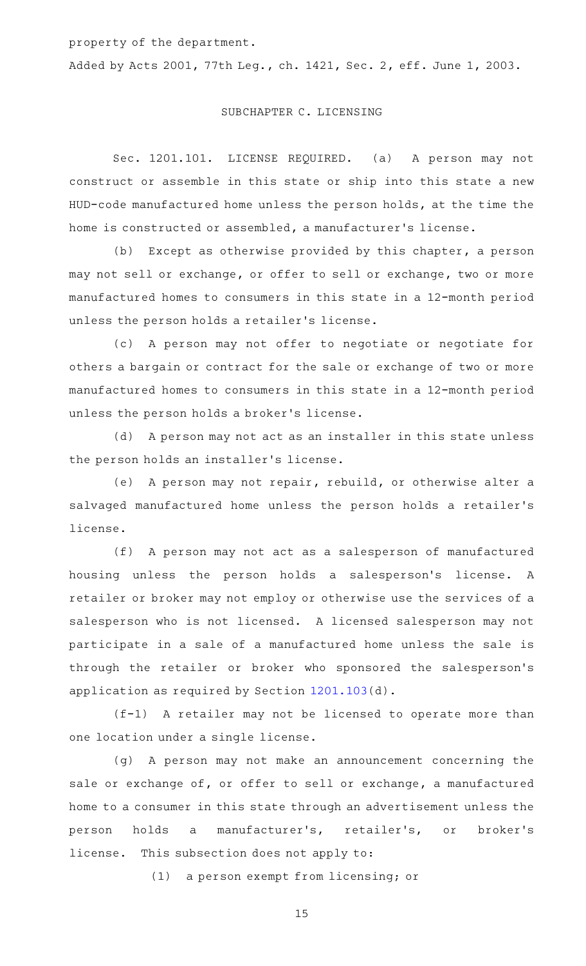property of the department.

Added by Acts 2001, 77th Leg., ch. 1421, Sec. 2, eff. June 1, 2003.

## SUBCHAPTER C. LICENSING

Sec. 1201.101. LICENSE REQUIRED. (a) A person may not construct or assemble in this state or ship into this state a new HUD-code manufactured home unless the person holds, at the time the home is constructed or assembled, a manufacturer 's license.

(b) Except as otherwise provided by this chapter, a person may not sell or exchange, or offer to sell or exchange, two or more manufactured homes to consumers in this state in a 12-month period unless the person holds a retailer 's license.

(c)AAA person may not offer to negotiate or negotiate for others a bargain or contract for the sale or exchange of two or more manufactured homes to consumers in this state in a 12-month period unless the person holds a broker 's license.

(d) A person may not act as an installer in this state unless the person holds an installer 's license.

(e) A person may not repair, rebuild, or otherwise alter a salvaged manufactured home unless the person holds a retailer 's license.

(f) A person may not act as a salesperson of manufactured housing unless the person holds a salesperson's license. A retailer or broker may not employ or otherwise use the services of a salesperson who is not licensed. A licensed salesperson may not participate in a sale of a manufactured home unless the sale is through the retailer or broker who sponsored the salesperson 's application as required by Section [1201.103\(](http://www.statutes.legis.state.tx.us/GetStatute.aspx?Code=OC&Value=1201.103)d).

 $(f-1)$  A retailer may not be licensed to operate more than one location under a single license.

(g) A person may not make an announcement concerning the sale or exchange of, or offer to sell or exchange, a manufactured home to a consumer in this state through an advertisement unless the person holds a manufacturer 's, retailer 's, or broker 's license. This subsection does not apply to:

(1) a person exempt from licensing; or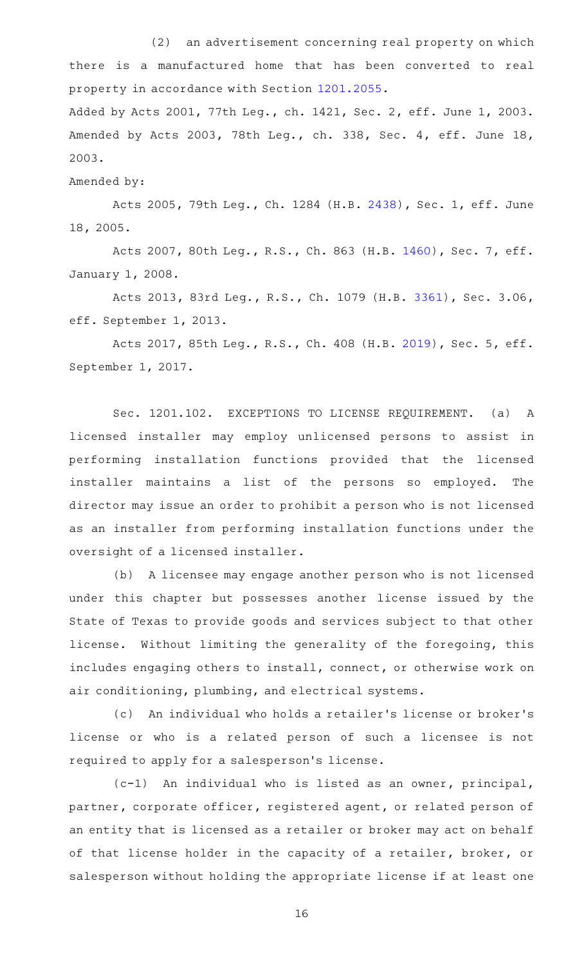(2) an advertisement concerning real property on which there is a manufactured home that has been converted to real property in accordance with Section [1201.2055](http://www.statutes.legis.state.tx.us/GetStatute.aspx?Code=OC&Value=1201.2055).

Added by Acts 2001, 77th Leg., ch. 1421, Sec. 2, eff. June 1, 2003. Amended by Acts 2003, 78th Leg., ch. 338, Sec. 4, eff. June 18, 2003.

Amended by:

Acts 2005, 79th Leg., Ch. 1284 (H.B. [2438](http://www.legis.state.tx.us/tlodocs/79R/billtext/html/HB02438F.HTM)), Sec. 1, eff. June 18, 2005.

Acts 2007, 80th Leg., R.S., Ch. 863 (H.B. [1460](http://www.legis.state.tx.us/tlodocs/80R/billtext/html/HB01460F.HTM)), Sec. 7, eff. January 1, 2008.

Acts 2013, 83rd Leg., R.S., Ch. 1079 (H.B. [3361](http://www.legis.state.tx.us/tlodocs/83R/billtext/html/HB03361F.HTM)), Sec. 3.06, eff. September 1, 2013.

Acts 2017, 85th Leg., R.S., Ch. 408 (H.B. [2019](http://www.legis.state.tx.us/tlodocs/85R/billtext/html/HB02019F.HTM)), Sec. 5, eff. September 1, 2017.

Sec. 1201.102. EXCEPTIONS TO LICENSE REQUIREMENT. (a) A licensed installer may employ unlicensed persons to assist in performing installation functions provided that the licensed installer maintains a list of the persons so employed. The director may issue an order to prohibit a person who is not licensed as an installer from performing installation functions under the oversight of a licensed installer.

(b) A licensee may engage another person who is not licensed under this chapter but possesses another license issued by the State of Texas to provide goods and services subject to that other license. Without limiting the generality of the foregoing, this includes engaging others to install, connect, or otherwise work on air conditioning, plumbing, and electrical systems.

(c) An individual who holds a retailer's license or broker's license or who is a related person of such a licensee is not required to apply for a salesperson 's license.

 $(c-1)$  An individual who is listed as an owner, principal, partner, corporate officer, registered agent, or related person of an entity that is licensed as a retailer or broker may act on behalf of that license holder in the capacity of a retailer, broker, or salesperson without holding the appropriate license if at least one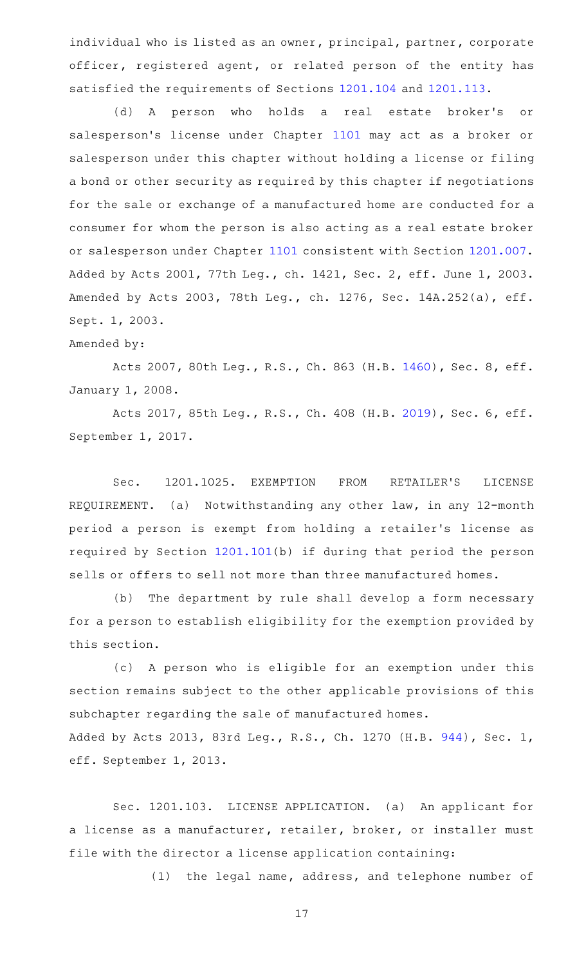individual who is listed as an owner, principal, partner, corporate officer, registered agent, or related person of the entity has satisfied the requirements of Sections [1201.104](http://www.statutes.legis.state.tx.us/GetStatute.aspx?Code=OC&Value=1201.104) and [1201.113](http://www.statutes.legis.state.tx.us/GetStatute.aspx?Code=OC&Value=1201.113).

(d) A person who holds a real estate broker's or salesperson's license under Chapter [1101](http://www.statutes.legis.state.tx.us/GetStatute.aspx?Code=OC&Value=1101) may act as a broker or salesperson under this chapter without holding a license or filing a bond or other security as required by this chapter if negotiations for the sale or exchange of a manufactured home are conducted for a consumer for whom the person is also acting as a real estate broker or salesperson under Chapter [1101](http://www.statutes.legis.state.tx.us/GetStatute.aspx?Code=OC&Value=1101) consistent with Section [1201.007](http://www.statutes.legis.state.tx.us/GetStatute.aspx?Code=OC&Value=1201.007). Added by Acts 2001, 77th Leg., ch. 1421, Sec. 2, eff. June 1, 2003. Amended by Acts 2003, 78th Leg., ch. 1276, Sec. 14A.252(a), eff. Sept. 1, 2003.

#### Amended by:

Acts 2007, 80th Leg., R.S., Ch. 863 (H.B. [1460](http://www.legis.state.tx.us/tlodocs/80R/billtext/html/HB01460F.HTM)), Sec. 8, eff. January 1, 2008.

Acts 2017, 85th Leg., R.S., Ch. 408 (H.B. [2019](http://www.legis.state.tx.us/tlodocs/85R/billtext/html/HB02019F.HTM)), Sec. 6, eff. September 1, 2017.

Sec. 1201.1025. EXEMPTION FROM RETAILER'S LICENSE REQUIREMENT. (a) Notwithstanding any other law, in any 12-month period a person is exempt from holding a retailer's license as required by Section [1201.101](http://www.statutes.legis.state.tx.us/GetStatute.aspx?Code=OC&Value=1201.101)(b) if during that period the person sells or offers to sell not more than three manufactured homes.

(b) The department by rule shall develop a form necessary for a person to establish eligibility for the exemption provided by this section.

(c)AAA person who is eligible for an exemption under this section remains subject to the other applicable provisions of this subchapter regarding the sale of manufactured homes. Added by Acts 2013, 83rd Leg., R.S., Ch. 1270 (H.B. [944](http://www.legis.state.tx.us/tlodocs/83R/billtext/html/HB00944F.HTM)), Sec. 1, eff. September 1, 2013.

Sec. 1201.103. LICENSE APPLICATION. (a) An applicant for a license as a manufacturer, retailer, broker, or installer must file with the director a license application containing:

(1) the legal name, address, and telephone number of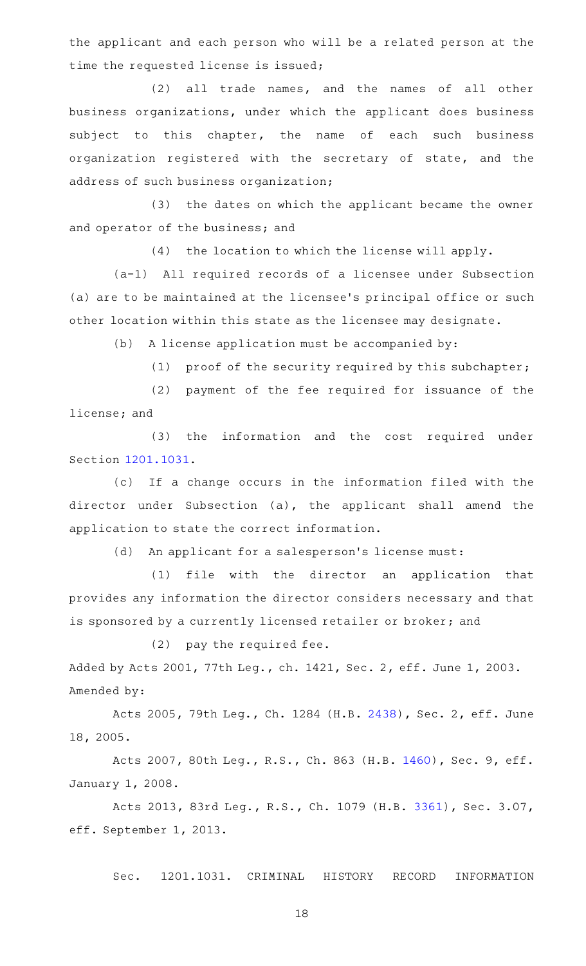the applicant and each person who will be a related person at the time the requested license is issued;

(2) all trade names, and the names of all other business organizations, under which the applicant does business subject to this chapter, the name of each such business organization registered with the secretary of state, and the address of such business organization;

(3) the dates on which the applicant became the owner and operator of the business; and

 $(4)$  the location to which the license will apply.

(a-1) All required records of a licensee under Subsection (a) are to be maintained at the licensee 's principal office or such other location within this state as the licensee may designate.

 $(b)$  A license application must be accompanied by:

(1) proof of the security required by this subchapter;

(2) payment of the fee required for issuance of the license; and

(3) the information and the cost required under Section [1201.1031.](http://www.statutes.legis.state.tx.us/GetStatute.aspx?Code=OC&Value=1201.1031)

(c) If a change occurs in the information filed with the director under Subsection (a), the applicant shall amend the application to state the correct information.

(d) An applicant for a salesperson's license must:

(1) file with the director an application that provides any information the director considers necessary and that is sponsored by a currently licensed retailer or broker; and

 $(2)$  pay the required fee. Added by Acts 2001, 77th Leg., ch. 1421, Sec. 2, eff. June 1, 2003. Amended by:

Acts 2005, 79th Leg., Ch. 1284 (H.B. [2438](http://www.legis.state.tx.us/tlodocs/79R/billtext/html/HB02438F.HTM)), Sec. 2, eff. June 18, 2005.

Acts 2007, 80th Leg., R.S., Ch. 863 (H.B. [1460](http://www.legis.state.tx.us/tlodocs/80R/billtext/html/HB01460F.HTM)), Sec. 9, eff. January 1, 2008.

Acts 2013, 83rd Leg., R.S., Ch. 1079 (H.B. [3361](http://www.legis.state.tx.us/tlodocs/83R/billtext/html/HB03361F.HTM)), Sec. 3.07, eff. September 1, 2013.

Sec. 1201.1031. CRIMINAL HISTORY RECORD INFORMATION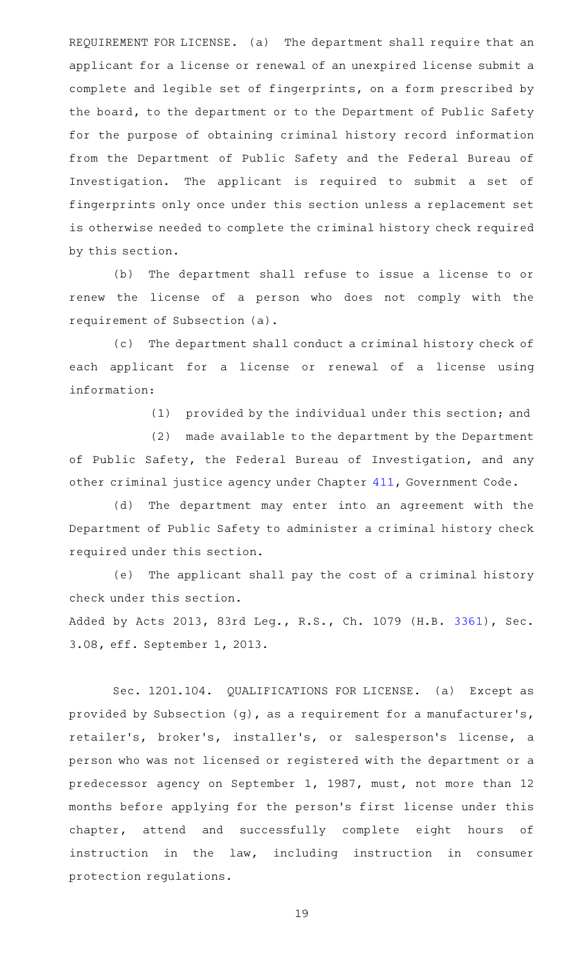REQUIREMENT FOR LICENSE. (a) The department shall require that an applicant for a license or renewal of an unexpired license submit a complete and legible set of fingerprints, on a form prescribed by the board, to the department or to the Department of Public Safety for the purpose of obtaining criminal history record information from the Department of Public Safety and the Federal Bureau of Investigation. The applicant is required to submit a set of fingerprints only once under this section unless a replacement set is otherwise needed to complete the criminal history check required by this section.

(b) The department shall refuse to issue a license to or renew the license of a person who does not comply with the requirement of Subsection (a).

(c) The department shall conduct a criminal history check of each applicant for a license or renewal of a license using information:

(1) provided by the individual under this section; and

(2) made available to the department by the Department of Public Safety, the Federal Bureau of Investigation, and any other criminal justice agency under Chapter [411,](http://www.statutes.legis.state.tx.us/GetStatute.aspx?Code=GV&Value=411) Government Code.

(d) The department may enter into an agreement with the Department of Public Safety to administer a criminal history check required under this section.

(e) The applicant shall pay the cost of a criminal history check under this section.

Added by Acts 2013, 83rd Leg., R.S., Ch. 1079 (H.B. [3361](http://www.legis.state.tx.us/tlodocs/83R/billtext/html/HB03361F.HTM)), Sec. 3.08, eff. September 1, 2013.

Sec. 1201.104. QUALIFICATIONS FOR LICENSE. (a) Except as provided by Subsection (g), as a requirement for a manufacturer 's, retailer's, broker's, installer's, or salesperson's license, a person who was not licensed or registered with the department or a predecessor agency on September 1, 1987, must, not more than 12 months before applying for the person 's first license under this chapter, attend and successfully complete eight hours of instruction in the law, including instruction in consumer protection regulations.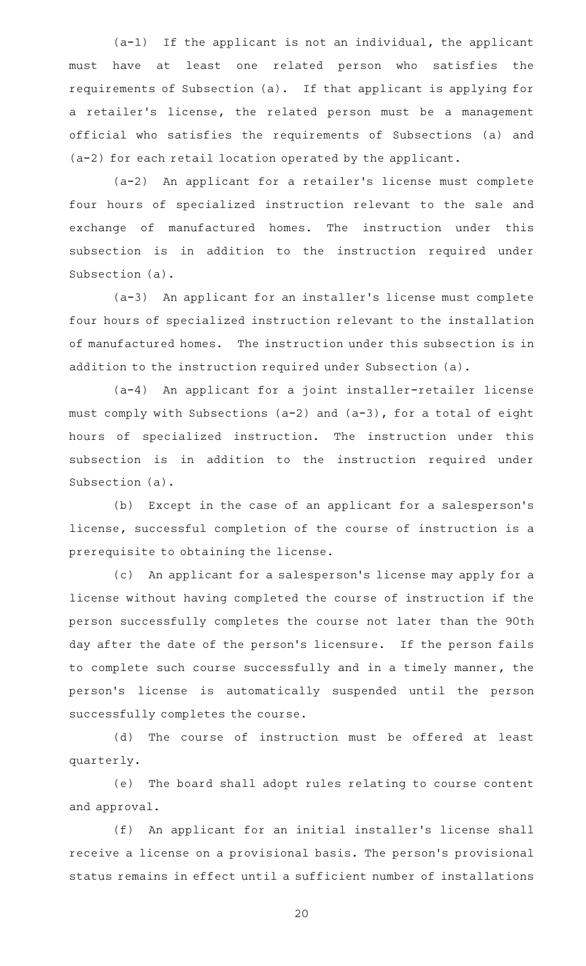$(a-1)$  If the applicant is not an individual, the applicant must have at least one related person who satisfies the requirements of Subsection (a). If that applicant is applying for a retailer 's license, the related person must be a management official who satisfies the requirements of Subsections (a) and (a-2) for each retail location operated by the applicant.

(a-2) An applicant for a retailer's license must complete four hours of specialized instruction relevant to the sale and exchange of manufactured homes. The instruction under this subsection is in addition to the instruction required under Subsection (a).

(a-3) An applicant for an installer's license must complete four hours of specialized instruction relevant to the installation of manufactured homes. The instruction under this subsection is in addition to the instruction required under Subsection (a).

(a-4) An applicant for a joint installer-retailer license must comply with Subsections (a-2) and (a-3), for a total of eight hours of specialized instruction. The instruction under this subsection is in addition to the instruction required under Subsection (a).

(b) Except in the case of an applicant for a salesperson's license, successful completion of the course of instruction is a prerequisite to obtaining the license.

(c) An applicant for a salesperson's license may apply for a license without having completed the course of instruction if the person successfully completes the course not later than the 90th day after the date of the person's licensure. If the person fails to complete such course successfully and in a timely manner, the person 's license is automatically suspended until the person successfully completes the course.

(d) The course of instruction must be offered at least quarterly.

(e) The board shall adopt rules relating to course content and approval.

(f) An applicant for an initial installer's license shall receive a license on a provisional basis. The person 's provisional status remains in effect until a sufficient number of installations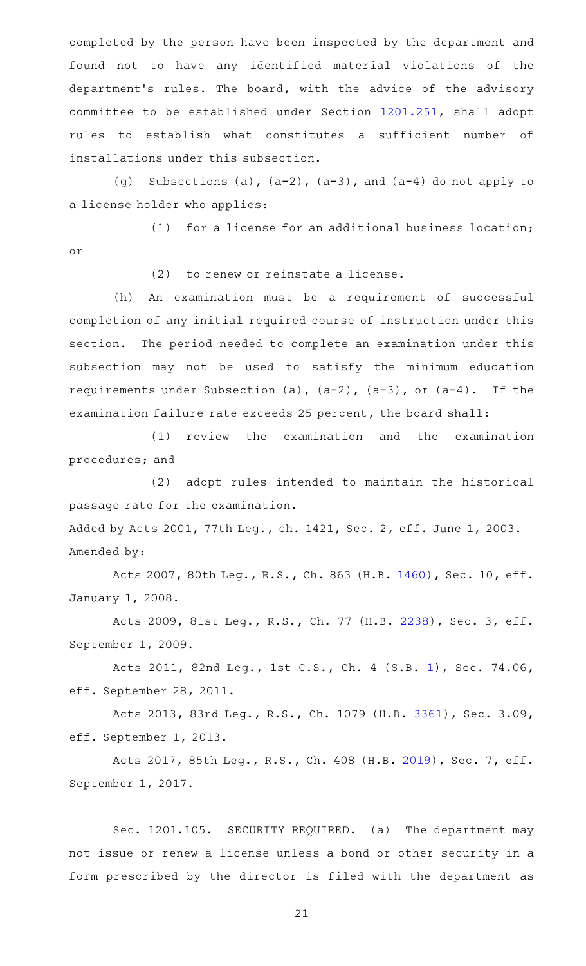completed by the person have been inspected by the department and found not to have any identified material violations of the department's rules. The board, with the advice of the advisory committee to be established under Section [1201.251](http://www.statutes.legis.state.tx.us/GetStatute.aspx?Code=OC&Value=1201.251), shall adopt rules to establish what constitutes a sufficient number of installations under this subsection.

(g) Subsections (a),  $(a-2)$ ,  $(a-3)$ , and  $(a-4)$  do not apply to a license holder who applies:

(1) for a license for an additional business location; or

 $(2)$  to renew or reinstate a license.

(h) An examination must be a requirement of successful completion of any initial required course of instruction under this section. The period needed to complete an examination under this subsection may not be used to satisfy the minimum education requirements under Subsection (a),  $(a-2)$ ,  $(a-3)$ , or  $(a-4)$ . If the examination failure rate exceeds 25 percent, the board shall:

(1) review the examination and the examination procedures; and

(2) adopt rules intended to maintain the historical passage rate for the examination.

Added by Acts 2001, 77th Leg., ch. 1421, Sec. 2, eff. June 1, 2003. Amended by:

Acts 2007, 80th Leg., R.S., Ch. 863 (H.B. [1460\)](http://www.legis.state.tx.us/tlodocs/80R/billtext/html/HB01460F.HTM), Sec. 10, eff. January 1, 2008.

Acts 2009, 81st Leg., R.S., Ch. 77 (H.B. [2238](http://www.legis.state.tx.us/tlodocs/81R/billtext/html/HB02238F.HTM)), Sec. 3, eff. September 1, 2009.

Acts 2011, 82nd Leg., 1st C.S., Ch. 4 (S.B. [1](http://www.legis.state.tx.us/tlodocs/821/billtext/html/SB00001F.HTM)), Sec. 74.06, eff. September 28, 2011.

Acts 2013, 83rd Leg., R.S., Ch. 1079 (H.B. [3361](http://www.legis.state.tx.us/tlodocs/83R/billtext/html/HB03361F.HTM)), Sec. 3.09, eff. September 1, 2013.

Acts 2017, 85th Leg., R.S., Ch. 408 (H.B. [2019](http://www.legis.state.tx.us/tlodocs/85R/billtext/html/HB02019F.HTM)), Sec. 7, eff. September 1, 2017.

Sec. 1201.105. SECURITY REQUIRED. (a) The department may not issue or renew a license unless a bond or other security in a form prescribed by the director is filed with the department as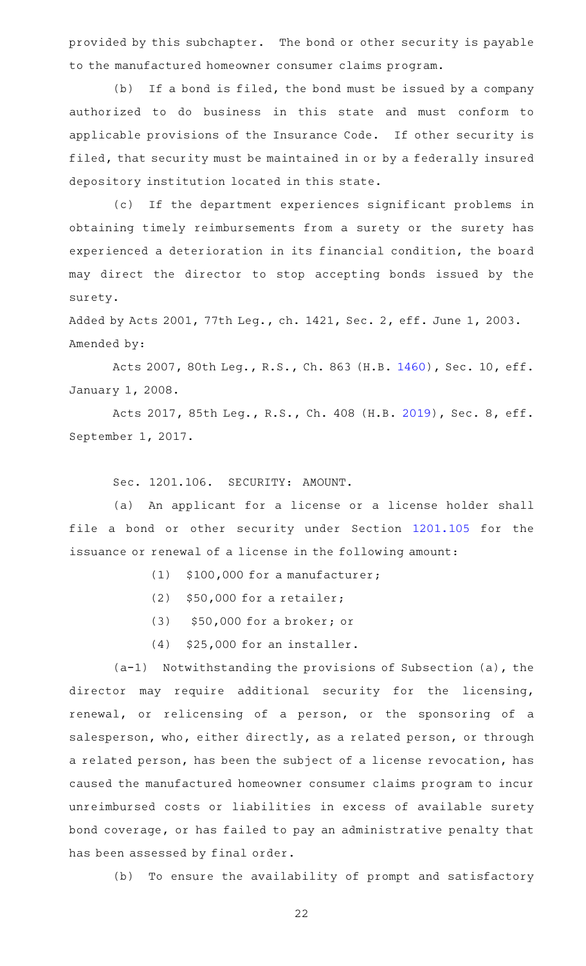provided by this subchapter. The bond or other security is payable to the manufactured homeowner consumer claims program.

(b) If a bond is filed, the bond must be issued by a company authorized to do business in this state and must conform to applicable provisions of the Insurance Code. If other security is filed, that security must be maintained in or by a federally insured depository institution located in this state.

(c) If the department experiences significant problems in obtaining timely reimbursements from a surety or the surety has experienced a deterioration in its financial condition, the board may direct the director to stop accepting bonds issued by the surety.

Added by Acts 2001, 77th Leg., ch. 1421, Sec. 2, eff. June 1, 2003. Amended by:

Acts 2007, 80th Leg., R.S., Ch. 863 (H.B. [1460\)](http://www.legis.state.tx.us/tlodocs/80R/billtext/html/HB01460F.HTM), Sec. 10, eff. January 1, 2008.

Acts 2017, 85th Leg., R.S., Ch. 408 (H.B. [2019](http://www.legis.state.tx.us/tlodocs/85R/billtext/html/HB02019F.HTM)), Sec. 8, eff. September 1, 2017.

Sec. 1201.106. SECURITY: AMOUNT.

(a) An applicant for a license or a license holder shall file a bond or other security under Section [1201.105](http://www.statutes.legis.state.tx.us/GetStatute.aspx?Code=OC&Value=1201.105) for the issuance or renewal of a license in the following amount:

- $(1)$  \$100,000 for a manufacturer;
- (2)  $$50,000$  for a retailer;
- (3) \$50,000 for a broker; or
- $(4)$  \$25,000 for an installer.

 $(a-1)$  Notwithstanding the provisions of Subsection (a), the director may require additional security for the licensing, renewal, or relicensing of a person, or the sponsoring of a salesperson, who, either directly, as a related person, or through a related person, has been the subject of a license revocation, has caused the manufactured homeowner consumer claims program to incur unreimbursed costs or liabilities in excess of available surety bond coverage, or has failed to pay an administrative penalty that has been assessed by final order.

(b) To ensure the availability of prompt and satisfactory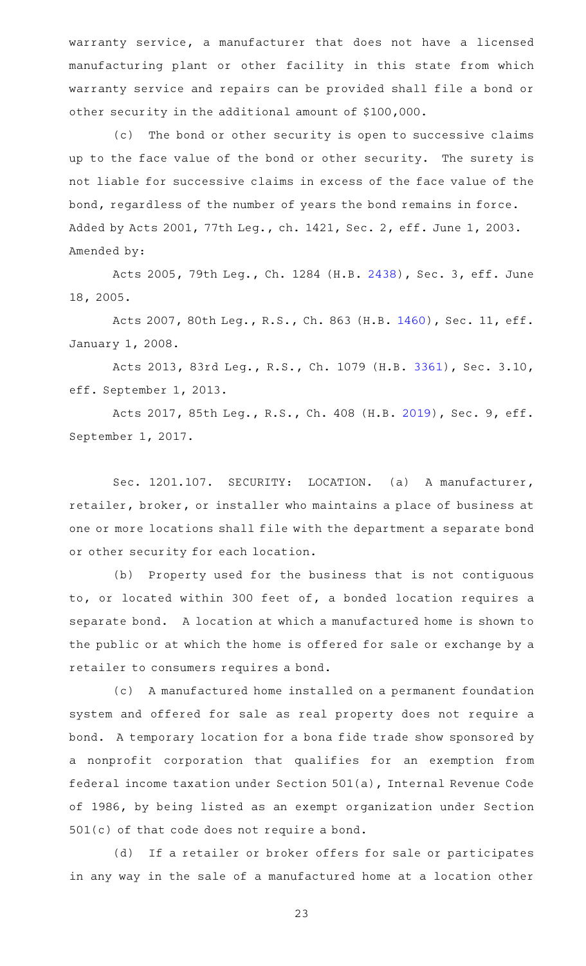warranty service, a manufacturer that does not have a licensed manufacturing plant or other facility in this state from which warranty service and repairs can be provided shall file a bond or other security in the additional amount of \$100,000.

(c) The bond or other security is open to successive claims up to the face value of the bond or other security. The surety is not liable for successive claims in excess of the face value of the bond, regardless of the number of years the bond remains in force. Added by Acts 2001, 77th Leg., ch. 1421, Sec. 2, eff. June 1, 2003. Amended by:

Acts 2005, 79th Leg., Ch. 1284 (H.B. [2438](http://www.legis.state.tx.us/tlodocs/79R/billtext/html/HB02438F.HTM)), Sec. 3, eff. June 18, 2005.

Acts 2007, 80th Leg., R.S., Ch. 863 (H.B. [1460\)](http://www.legis.state.tx.us/tlodocs/80R/billtext/html/HB01460F.HTM), Sec. 11, eff. January 1, 2008.

Acts 2013, 83rd Leg., R.S., Ch. 1079 (H.B. [3361](http://www.legis.state.tx.us/tlodocs/83R/billtext/html/HB03361F.HTM)), Sec. 3.10, eff. September 1, 2013.

Acts 2017, 85th Leg., R.S., Ch. 408 (H.B. [2019](http://www.legis.state.tx.us/tlodocs/85R/billtext/html/HB02019F.HTM)), Sec. 9, eff. September 1, 2017.

Sec. 1201.107. SECURITY: LOCATION. (a) A manufacturer, retailer, broker, or installer who maintains a place of business at one or more locations shall file with the department a separate bond or other security for each location.

(b) Property used for the business that is not contiguous to, or located within 300 feet of, a bonded location requires a separate bond. A location at which a manufactured home is shown to the public or at which the home is offered for sale or exchange by a retailer to consumers requires a bond.

(c) A manufactured home installed on a permanent foundation system and offered for sale as real property does not require a bond. A temporary location for a bona fide trade show sponsored by a nonprofit corporation that qualifies for an exemption from federal income taxation under Section 501(a), Internal Revenue Code of 1986, by being listed as an exempt organization under Section 501(c) of that code does not require a bond.

(d) If a retailer or broker offers for sale or participates in any way in the sale of a manufactured home at a location other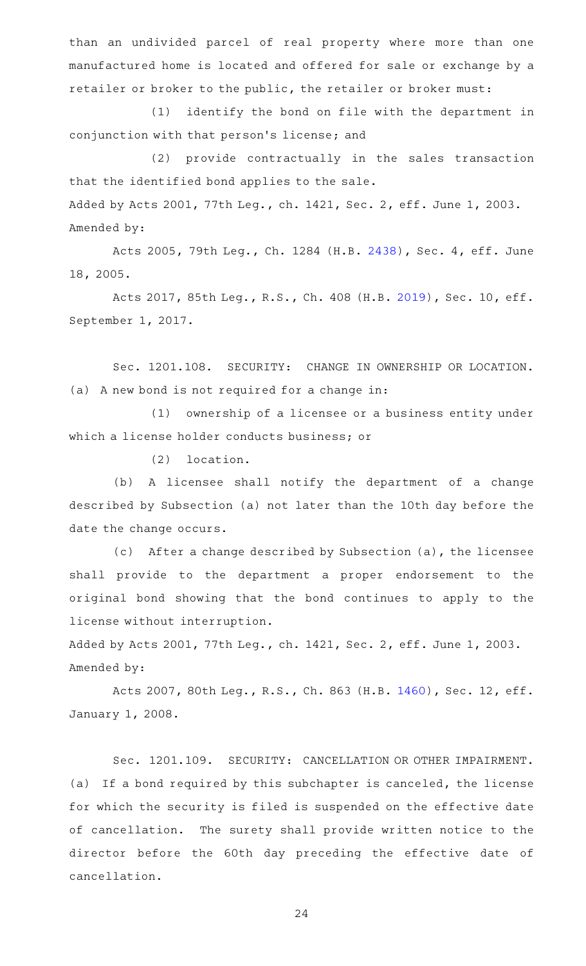than an undivided parcel of real property where more than one manufactured home is located and offered for sale or exchange by a retailer or broker to the public, the retailer or broker must:

(1) identify the bond on file with the department in conjunction with that person's license; and

(2) provide contractually in the sales transaction that the identified bond applies to the sale.

Added by Acts 2001, 77th Leg., ch. 1421, Sec. 2, eff. June 1, 2003. Amended by:

Acts 2005, 79th Leg., Ch. 1284 (H.B. [2438](http://www.legis.state.tx.us/tlodocs/79R/billtext/html/HB02438F.HTM)), Sec. 4, eff. June 18, 2005.

Acts 2017, 85th Leg., R.S., Ch. 408 (H.B. [2019\)](http://www.legis.state.tx.us/tlodocs/85R/billtext/html/HB02019F.HTM), Sec. 10, eff. September 1, 2017.

Sec. 1201.108. SECURITY: CHANGE IN OWNERSHIP OR LOCATION. (a) A new bond is not required for a change in:

(1) ownership of a licensee or a business entity under which a license holder conducts business; or

 $(2)$  location.

(b) A licensee shall notify the department of a change described by Subsection (a) not later than the 10th day before the date the change occurs.

(c) After a change described by Subsection (a), the licensee shall provide to the department a proper endorsement to the original bond showing that the bond continues to apply to the license without interruption.

Added by Acts 2001, 77th Leg., ch. 1421, Sec. 2, eff. June 1, 2003. Amended by:

Acts 2007, 80th Leg., R.S., Ch. 863 (H.B. [1460\)](http://www.legis.state.tx.us/tlodocs/80R/billtext/html/HB01460F.HTM), Sec. 12, eff. January 1, 2008.

Sec. 1201.109. SECURITY: CANCELLATION OR OTHER IMPAIRMENT. (a) If a bond required by this subchapter is canceled, the license for which the security is filed is suspended on the effective date of cancellation. The surety shall provide written notice to the director before the 60th day preceding the effective date of cancellation.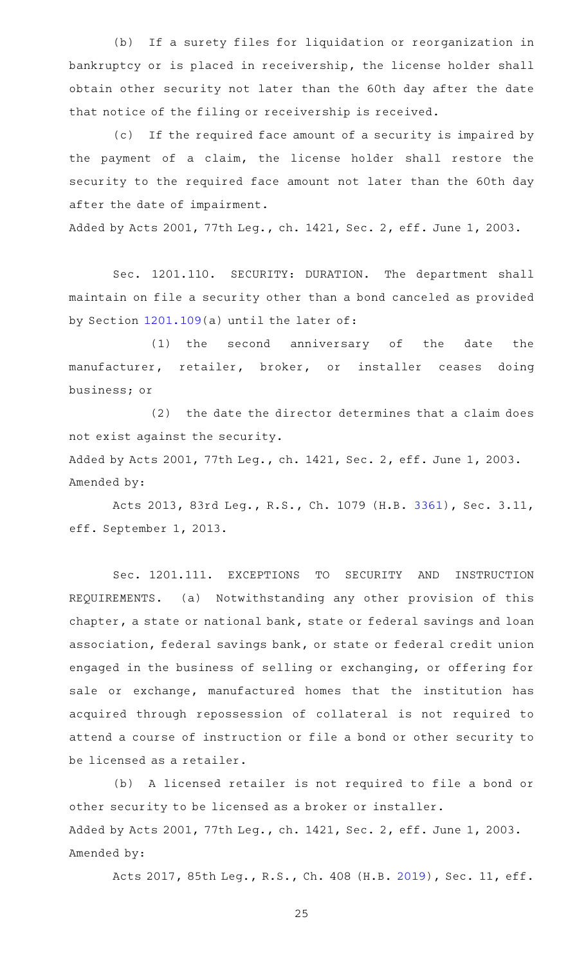(b) If a surety files for liquidation or reorganization in bankruptcy or is placed in receivership, the license holder shall obtain other security not later than the 60th day after the date that notice of the filing or receivership is received.

(c) If the required face amount of a security is impaired by the payment of a claim, the license holder shall restore the security to the required face amount not later than the 60th day after the date of impairment.

Added by Acts 2001, 77th Leg., ch. 1421, Sec. 2, eff. June 1, 2003.

Sec. 1201.110. SECURITY: DURATION. The department shall maintain on file a security other than a bond canceled as provided by Section [1201.109](http://www.statutes.legis.state.tx.us/GetStatute.aspx?Code=OC&Value=1201.109)(a) until the later of:

(1) the second anniversary of the date the manufacturer, retailer, broker, or installer ceases doing business; or

 $(2)$  the date the director determines that a claim does not exist against the security.

Added by Acts 2001, 77th Leg., ch. 1421, Sec. 2, eff. June 1, 2003. Amended by:

Acts 2013, 83rd Leg., R.S., Ch. 1079 (H.B. [3361](http://www.legis.state.tx.us/tlodocs/83R/billtext/html/HB03361F.HTM)), Sec. 3.11, eff. September 1, 2013.

Sec. 1201.111. EXCEPTIONS TO SECURITY AND INSTRUCTION REQUIREMENTS. (a) Notwithstanding any other provision of this chapter, a state or national bank, state or federal savings and loan association, federal savings bank, or state or federal credit union engaged in the business of selling or exchanging, or offering for sale or exchange, manufactured homes that the institution has acquired through repossession of collateral is not required to attend a course of instruction or file a bond or other security to be licensed as a retailer.

(b) A licensed retailer is not required to file a bond or other security to be licensed as a broker or installer. Added by Acts 2001, 77th Leg., ch. 1421, Sec. 2, eff. June 1, 2003. Amended by:

Acts 2017, 85th Leg., R.S., Ch. 408 (H.B. [2019\)](http://www.legis.state.tx.us/tlodocs/85R/billtext/html/HB02019F.HTM), Sec. 11, eff.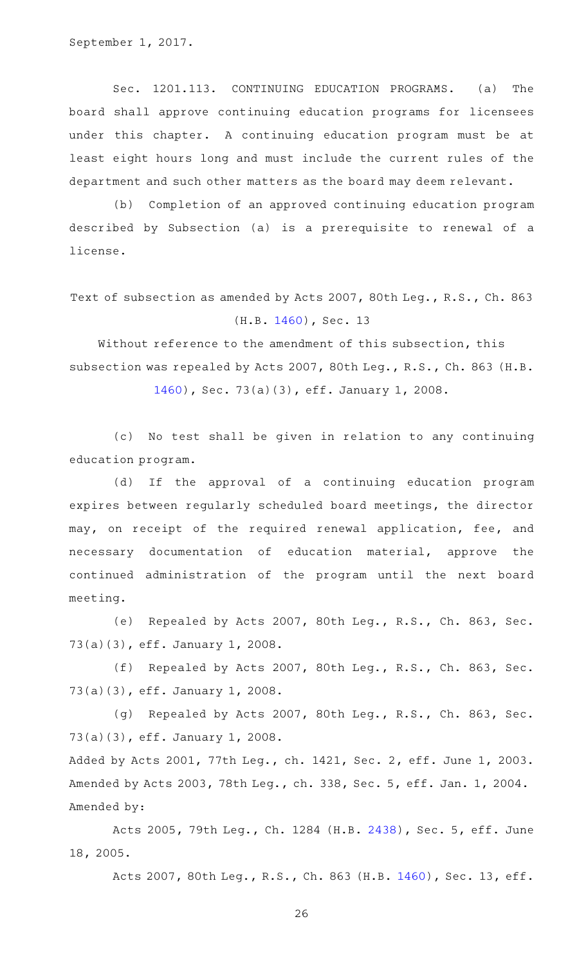Sec. 1201.113. CONTINUING EDUCATION PROGRAMS. (a) The board shall approve continuing education programs for licensees under this chapter. A continuing education program must be at least eight hours long and must include the current rules of the department and such other matters as the board may deem relevant.

(b) Completion of an approved continuing education program described by Subsection (a) is a prerequisite to renewal of a license.

Text of subsection as amended by Acts 2007, 80th Leg., R.S., Ch. 863 (H.B. [1460](http://www.legis.state.tx.us/tlodocs/80R/billtext/html/HB01460F.HTM)), Sec. 13

Without reference to the amendment of this subsection, this subsection was repealed by Acts 2007, 80th Leg., R.S., Ch. 863 (H.B.

[1460](http://www.legis.state.tx.us/tlodocs/80R/billtext/html/HB01460F.HTM)), Sec. 73(a)(3), eff. January 1, 2008.

(c) No test shall be given in relation to any continuing education program.

(d) If the approval of a continuing education program expires between regularly scheduled board meetings, the director may, on receipt of the required renewal application, fee, and necessary documentation of education material, approve the continued administration of the program until the next board meeting.

(e) Repealed by Acts 2007, 80th Leg., R.S., Ch. 863, Sec. 73(a)(3), eff. January 1, 2008.

(f) Repealed by Acts 2007, 80th Leg., R.S., Ch. 863, Sec. 73(a)(3), eff. January 1, 2008.

(g) Repealed by Acts 2007, 80th Leg., R.S., Ch. 863, Sec. 73(a)(3), eff. January 1, 2008.

Added by Acts 2001, 77th Leg., ch. 1421, Sec. 2, eff. June 1, 2003. Amended by Acts 2003, 78th Leg., ch. 338, Sec. 5, eff. Jan. 1, 2004. Amended by:

Acts 2005, 79th Leg., Ch. 1284 (H.B. [2438](http://www.legis.state.tx.us/tlodocs/79R/billtext/html/HB02438F.HTM)), Sec. 5, eff. June 18, 2005.

Acts 2007, 80th Leg., R.S., Ch. 863 (H.B. [1460\)](http://www.legis.state.tx.us/tlodocs/80R/billtext/html/HB01460F.HTM), Sec. 13, eff.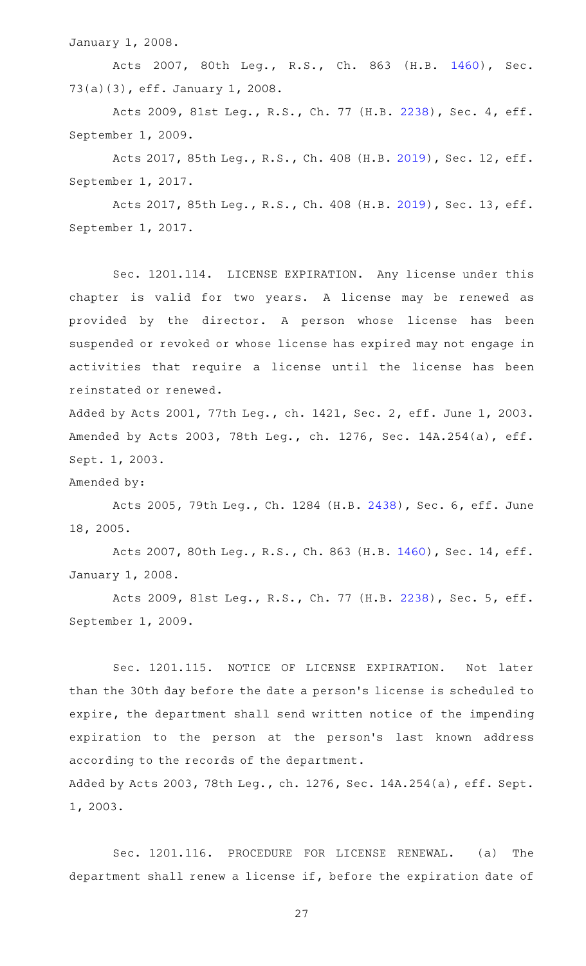January 1, 2008.

Acts 2007, 80th Leg., R.S., Ch. 863 (H.B. [1460\)](http://www.legis.state.tx.us/tlodocs/80R/billtext/html/HB01460F.HTM), Sec. 73(a)(3), eff. January 1, 2008.

Acts 2009, 81st Leg., R.S., Ch. 77 (H.B. [2238](http://www.legis.state.tx.us/tlodocs/81R/billtext/html/HB02238F.HTM)), Sec. 4, eff. September 1, 2009.

Acts 2017, 85th Leg., R.S., Ch. 408 (H.B. [2019\)](http://www.legis.state.tx.us/tlodocs/85R/billtext/html/HB02019F.HTM), Sec. 12, eff. September 1, 2017.

Acts 2017, 85th Leg., R.S., Ch. 408 (H.B. [2019\)](http://www.legis.state.tx.us/tlodocs/85R/billtext/html/HB02019F.HTM), Sec. 13, eff. September 1, 2017.

Sec. 1201.114. LICENSE EXPIRATION. Any license under this chapter is valid for two years. A license may be renewed as provided by the director. A person whose license has been suspended or revoked or whose license has expired may not engage in activities that require a license until the license has been reinstated or renewed.

Added by Acts 2001, 77th Leg., ch. 1421, Sec. 2, eff. June 1, 2003. Amended by Acts 2003, 78th Leg., ch. 1276, Sec. 14A.254(a), eff. Sept. 1, 2003.

Amended by:

Acts 2005, 79th Leg., Ch. 1284 (H.B. [2438](http://www.legis.state.tx.us/tlodocs/79R/billtext/html/HB02438F.HTM)), Sec. 6, eff. June 18, 2005.

Acts 2007, 80th Leg., R.S., Ch. 863 (H.B. [1460\)](http://www.legis.state.tx.us/tlodocs/80R/billtext/html/HB01460F.HTM), Sec. 14, eff. January 1, 2008.

Acts 2009, 81st Leg., R.S., Ch. 77 (H.B. [2238](http://www.legis.state.tx.us/tlodocs/81R/billtext/html/HB02238F.HTM)), Sec. 5, eff. September 1, 2009.

Sec. 1201.115. NOTICE OF LICENSE EXPIRATION. Not later than the 30th day before the date a person 's license is scheduled to expire, the department shall send written notice of the impending expiration to the person at the person's last known address according to the records of the department. Added by Acts 2003, 78th Leg., ch. 1276, Sec. 14A.254(a), eff. Sept.

1, 2003.

Sec. 1201.116. PROCEDURE FOR LICENSE RENEWAL. (a) The department shall renew a license if, before the expiration date of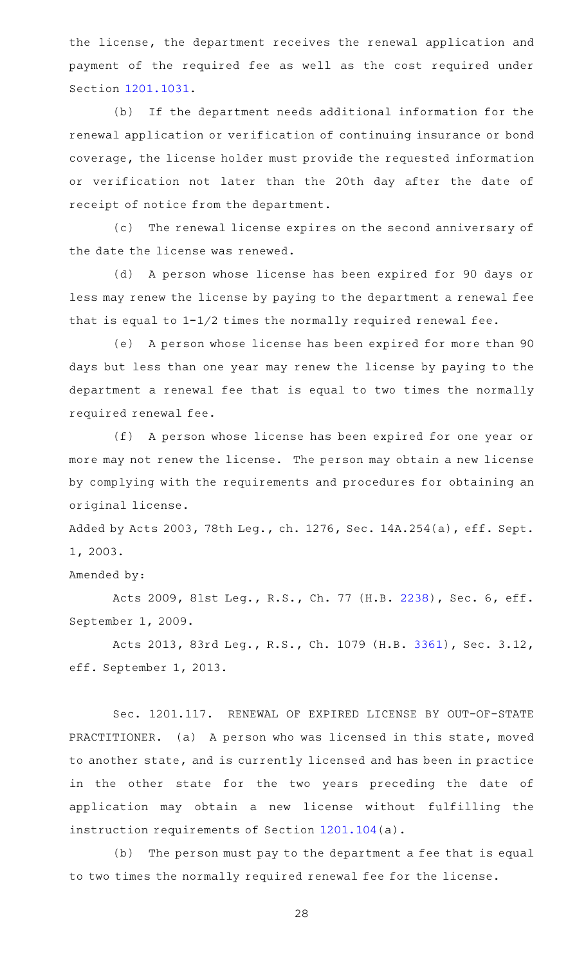the license, the department receives the renewal application and payment of the required fee as well as the cost required under Section [1201.1031.](http://www.statutes.legis.state.tx.us/GetStatute.aspx?Code=OC&Value=1201.1031)

(b) If the department needs additional information for the renewal application or verification of continuing insurance or bond coverage, the license holder must provide the requested information or verification not later than the 20th day after the date of receipt of notice from the department.

(c) The renewal license expires on the second anniversary of the date the license was renewed.

(d) A person whose license has been expired for 90 days or less may renew the license by paying to the department a renewal fee that is equal to 1-1/2 times the normally required renewal fee.

(e) A person whose license has been expired for more than 90 days but less than one year may renew the license by paying to the department a renewal fee that is equal to two times the normally required renewal fee.

(f) A person whose license has been expired for one year or more may not renew the license. The person may obtain a new license by complying with the requirements and procedures for obtaining an original license.

Added by Acts 2003, 78th Leg., ch. 1276, Sec. 14A.254(a), eff. Sept. 1, 2003.

Amended by:

Acts 2009, 81st Leg., R.S., Ch. 77 (H.B. [2238](http://www.legis.state.tx.us/tlodocs/81R/billtext/html/HB02238F.HTM)), Sec. 6, eff. September 1, 2009.

Acts 2013, 83rd Leg., R.S., Ch. 1079 (H.B. [3361](http://www.legis.state.tx.us/tlodocs/83R/billtext/html/HB03361F.HTM)), Sec. 3.12, eff. September 1, 2013.

Sec. 1201.117. RENEWAL OF EXPIRED LICENSE BY OUT-OF-STATE PRACTITIONER. (a) A person who was licensed in this state, moved to another state, and is currently licensed and has been in practice in the other state for the two years preceding the date of application may obtain a new license without fulfilling the instruction requirements of Section [1201.104](http://www.statutes.legis.state.tx.us/GetStatute.aspx?Code=OC&Value=1201.104)(a).

(b) The person must pay to the department a fee that is equal to two times the normally required renewal fee for the license.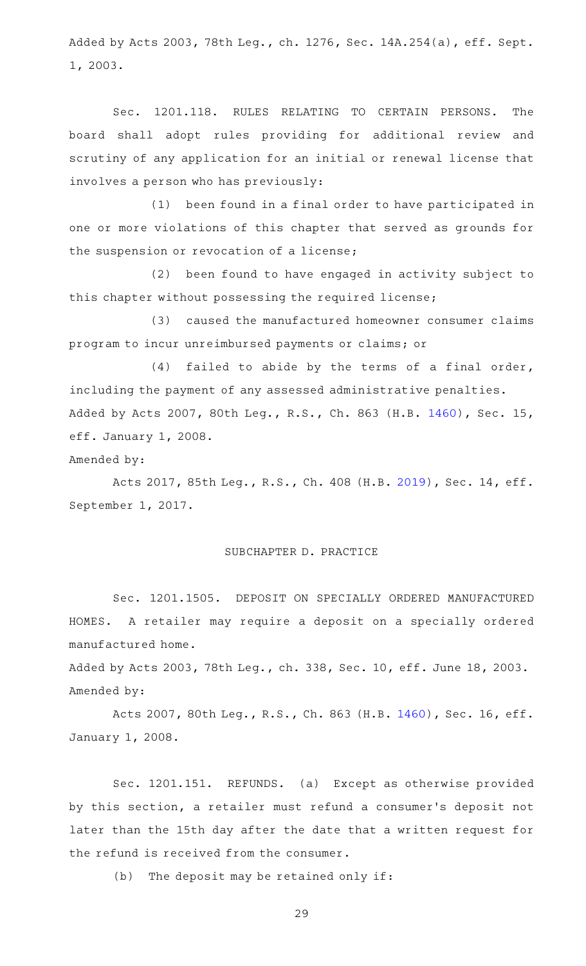Added by Acts 2003, 78th Leg., ch. 1276, Sec. 14A.254(a), eff. Sept. 1, 2003.

Sec. 1201.118. RULES RELATING TO CERTAIN PERSONS. The board shall adopt rules providing for additional review and scrutiny of any application for an initial or renewal license that involves a person who has previously:

(1) been found in a final order to have participated in one or more violations of this chapter that served as grounds for the suspension or revocation of a license;

(2) been found to have engaged in activity subject to this chapter without possessing the required license;

(3) caused the manufactured homeowner consumer claims program to incur unreimbursed payments or claims; or

 $(4)$  failed to abide by the terms of a final order, including the payment of any assessed administrative penalties. Added by Acts 2007, 80th Leg., R.S., Ch. 863 (H.B. [1460\)](http://www.legis.state.tx.us/tlodocs/80R/billtext/html/HB01460F.HTM), Sec. 15, eff. January 1, 2008.

Amended by:

Acts 2017, 85th Leg., R.S., Ch. 408 (H.B. [2019\)](http://www.legis.state.tx.us/tlodocs/85R/billtext/html/HB02019F.HTM), Sec. 14, eff. September 1, 2017.

# SUBCHAPTER D. PRACTICE

Sec. 1201.1505. DEPOSIT ON SPECIALLY ORDERED MANUFACTURED HOMES. A retailer may require a deposit on a specially ordered manufactured home.

Added by Acts 2003, 78th Leg., ch. 338, Sec. 10, eff. June 18, 2003. Amended by:

Acts 2007, 80th Leg., R.S., Ch. 863 (H.B. [1460\)](http://www.legis.state.tx.us/tlodocs/80R/billtext/html/HB01460F.HTM), Sec. 16, eff. January 1, 2008.

Sec. 1201.151. REFUNDS. (a) Except as otherwise provided by this section, a retailer must refund a consumer 's deposit not later than the 15th day after the date that a written request for the refund is received from the consumer.

 $(b)$  The deposit may be retained only if: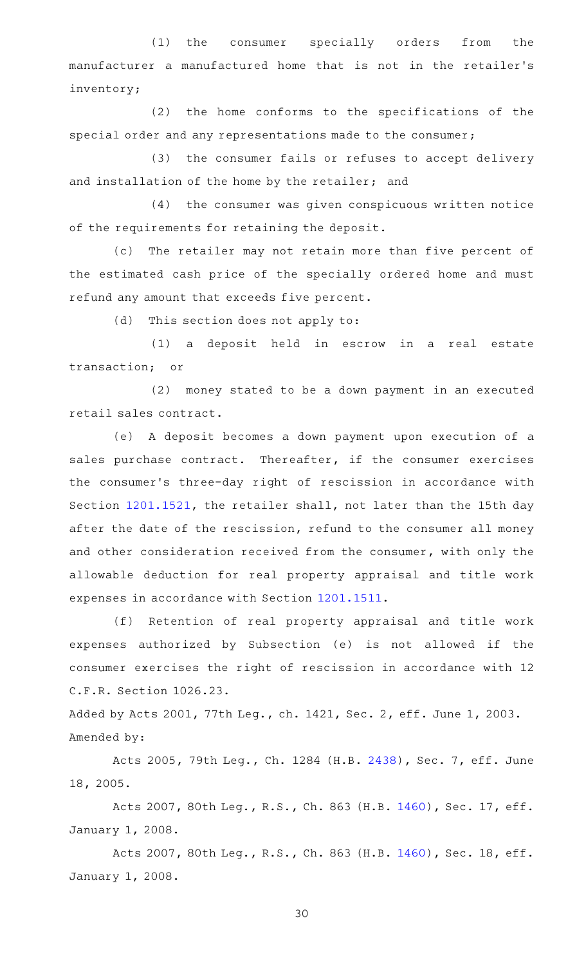(1) the consumer specially orders from the manufacturer a manufactured home that is not in the retailer 's inventory;

 $(2)$  the home conforms to the specifications of the special order and any representations made to the consumer;

(3) the consumer fails or refuses to accept delivery and installation of the home by the retailer; and

(4) the consumer was given conspicuous written notice of the requirements for retaining the deposit.

(c) The retailer may not retain more than five percent of the estimated cash price of the specially ordered home and must refund any amount that exceeds five percent.

(d) This section does not apply to:

(1) a deposit held in escrow in a real estate transaction; or

(2) money stated to be a down payment in an executed retail sales contract.

(e)AAA deposit becomes a down payment upon execution of a sales purchase contract. Thereafter, if the consumer exercises the consumer 's three-day right of rescission in accordance with Section [1201.1521](http://www.statutes.legis.state.tx.us/GetStatute.aspx?Code=OC&Value=1201.1521), the retailer shall, not later than the 15th day after the date of the rescission, refund to the consumer all money and other consideration received from the consumer, with only the allowable deduction for real property appraisal and title work expenses in accordance with Section [1201.1511](http://www.statutes.legis.state.tx.us/GetStatute.aspx?Code=OC&Value=1201.1511).

(f) Retention of real property appraisal and title work expenses authorized by Subsection (e) is not allowed if the consumer exercises the right of rescission in accordance with 12 C.F.R. Section 1026.23.

Added by Acts 2001, 77th Leg., ch. 1421, Sec. 2, eff. June 1, 2003. Amended by:

Acts 2005, 79th Leg., Ch. 1284 (H.B. [2438](http://www.legis.state.tx.us/tlodocs/79R/billtext/html/HB02438F.HTM)), Sec. 7, eff. June 18, 2005.

Acts 2007, 80th Leg., R.S., Ch. 863 (H.B. [1460\)](http://www.legis.state.tx.us/tlodocs/80R/billtext/html/HB01460F.HTM), Sec. 17, eff. January 1, 2008.

Acts 2007, 80th Leg., R.S., Ch. 863 (H.B. [1460\)](http://www.legis.state.tx.us/tlodocs/80R/billtext/html/HB01460F.HTM), Sec. 18, eff. January 1, 2008.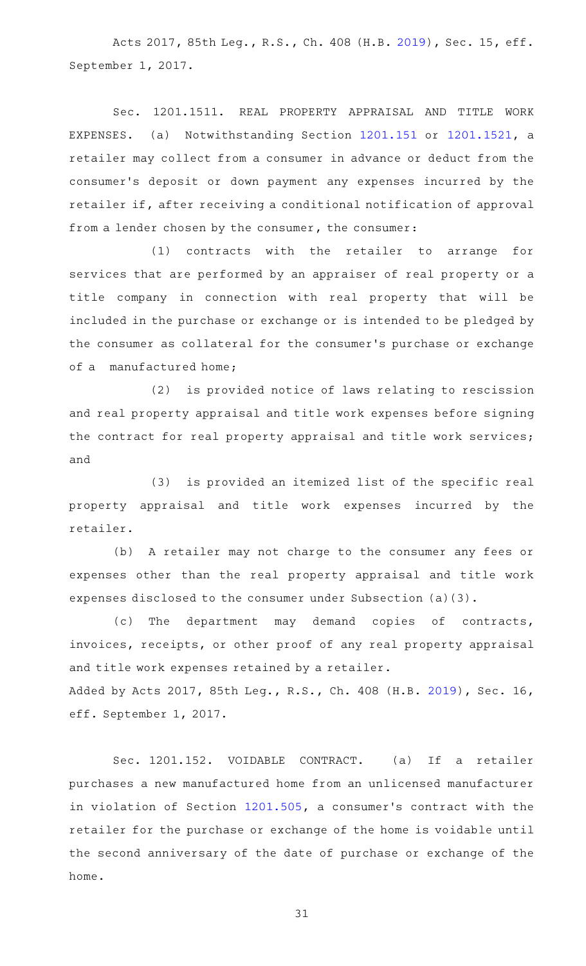Acts 2017, 85th Leg., R.S., Ch. 408 (H.B. [2019\)](http://www.legis.state.tx.us/tlodocs/85R/billtext/html/HB02019F.HTM), Sec. 15, eff. September 1, 2017.

Sec. 1201.1511. REAL PROPERTY APPRAISAL AND TITLE WORK EXPENSES. (a) Notwithstanding Section [1201.151](http://www.statutes.legis.state.tx.us/GetStatute.aspx?Code=OC&Value=1201.151) or [1201.1521,](http://www.statutes.legis.state.tx.us/GetStatute.aspx?Code=OC&Value=1201.1521) a retailer may collect from a consumer in advance or deduct from the consumer 's deposit or down payment any expenses incurred by the retailer if, after receiving a conditional notification of approval from a lender chosen by the consumer, the consumer:

(1) contracts with the retailer to arrange for services that are performed by an appraiser of real property or a title company in connection with real property that will be included in the purchase or exchange or is intended to be pledged by the consumer as collateral for the consumer 's purchase or exchange of a manufactured home;

(2) is provided notice of laws relating to rescission and real property appraisal and title work expenses before signing the contract for real property appraisal and title work services; and

(3) is provided an itemized list of the specific real property appraisal and title work expenses incurred by the retailer.

(b) A retailer may not charge to the consumer any fees or expenses other than the real property appraisal and title work expenses disclosed to the consumer under Subsection (a)(3).

(c) The department may demand copies of contracts, invoices, receipts, or other proof of any real property appraisal and title work expenses retained by a retailer. Added by Acts 2017, 85th Leg., R.S., Ch. 408 (H.B. [2019\)](http://www.legis.state.tx.us/tlodocs/85R/billtext/html/HB02019F.HTM), Sec. 16, eff. September 1, 2017.

Sec. 1201.152. VOIDABLE CONTRACT. (a) If a retailer purchases a new manufactured home from an unlicensed manufacturer in violation of Section [1201.505,](http://www.statutes.legis.state.tx.us/GetStatute.aspx?Code=OC&Value=1201.505) a consumer 's contract with the retailer for the purchase or exchange of the home is voidable until the second anniversary of the date of purchase or exchange of the home.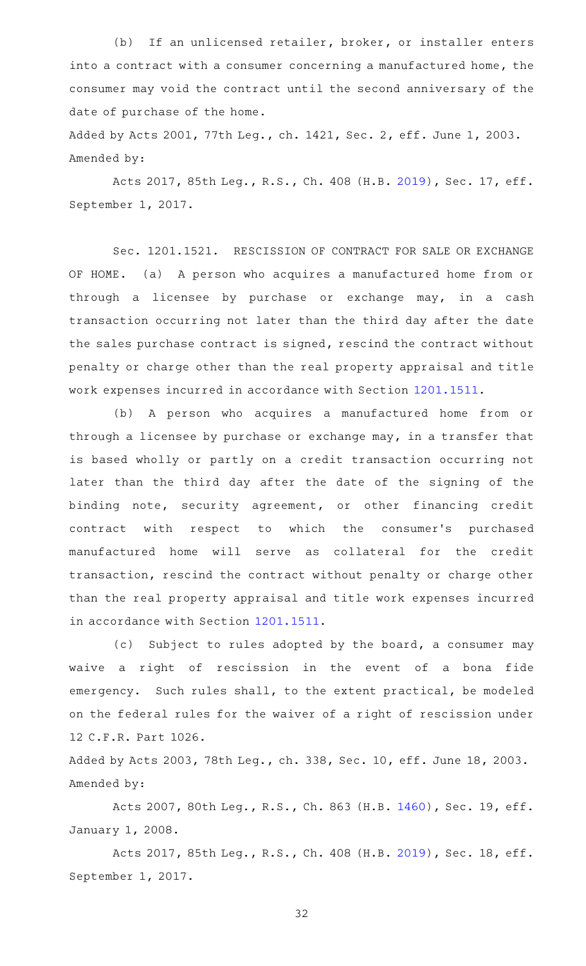(b) If an unlicensed retailer, broker, or installer enters into a contract with a consumer concerning a manufactured home, the consumer may void the contract until the second anniversary of the date of purchase of the home.

Added by Acts 2001, 77th Leg., ch. 1421, Sec. 2, eff. June 1, 2003. Amended by:

Acts 2017, 85th Leg., R.S., Ch. 408 (H.B. [2019\)](http://www.legis.state.tx.us/tlodocs/85R/billtext/html/HB02019F.HTM), Sec. 17, eff. September 1, 2017.

Sec. 1201.1521. RESCISSION OF CONTRACT FOR SALE OR EXCHANGE OF HOME. (a) A person who acquires a manufactured home from or through a licensee by purchase or exchange may, in a cash transaction occurring not later than the third day after the date the sales purchase contract is signed, rescind the contract without penalty or charge other than the real property appraisal and title work expenses incurred in accordance with Section [1201.1511.](http://www.statutes.legis.state.tx.us/GetStatute.aspx?Code=OC&Value=1201.1511)

(b) A person who acquires a manufactured home from or through a licensee by purchase or exchange may, in a transfer that is based wholly or partly on a credit transaction occurring not later than the third day after the date of the signing of the binding note, security agreement, or other financing credit contract with respect to which the consumer's purchased manufactured home will serve as collateral for the credit transaction, rescind the contract without penalty or charge other than the real property appraisal and title work expenses incurred in accordance with Section [1201.1511.](http://www.statutes.legis.state.tx.us/GetStatute.aspx?Code=OC&Value=1201.1511)

(c) Subject to rules adopted by the board, a consumer may waive a right of rescission in the event of a bona fide emergency. Such rules shall, to the extent practical, be modeled on the federal rules for the waiver of a right of rescission under 12 C.F.R. Part 1026.

Added by Acts 2003, 78th Leg., ch. 338, Sec. 10, eff. June 18, 2003. Amended by:

Acts 2007, 80th Leg., R.S., Ch. 863 (H.B. [1460\)](http://www.legis.state.tx.us/tlodocs/80R/billtext/html/HB01460F.HTM), Sec. 19, eff. January 1, 2008.

Acts 2017, 85th Leg., R.S., Ch. 408 (H.B. [2019\)](http://www.legis.state.tx.us/tlodocs/85R/billtext/html/HB02019F.HTM), Sec. 18, eff. September 1, 2017.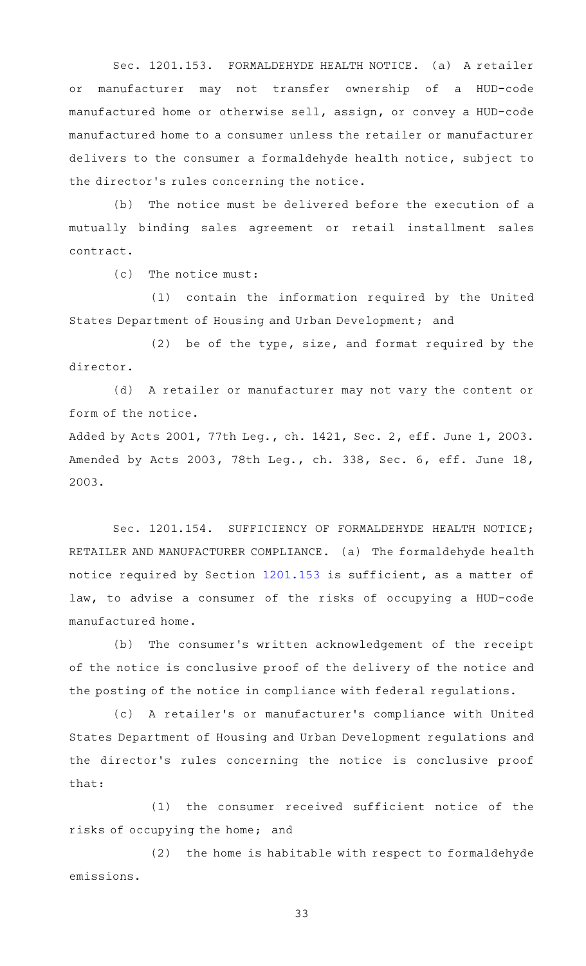Sec. 1201.153. FORMALDEHYDE HEALTH NOTICE. (a) A retailer or manufacturer may not transfer ownership of a HUD-code manufactured home or otherwise sell, assign, or convey a HUD-code manufactured home to a consumer unless the retailer or manufacturer delivers to the consumer a formaldehyde health notice, subject to the director 's rules concerning the notice.

(b) The notice must be delivered before the execution of a mutually binding sales agreement or retail installment sales contract.

 $(c)$  The notice must:

(1) contain the information required by the United States Department of Housing and Urban Development; and

 $(2)$  be of the type, size, and format required by the director.

(d) A retailer or manufacturer may not vary the content or form of the notice.

Added by Acts 2001, 77th Leg., ch. 1421, Sec. 2, eff. June 1, 2003. Amended by Acts 2003, 78th Leg., ch. 338, Sec. 6, eff. June 18, 2003.

Sec. 1201.154. SUFFICIENCY OF FORMALDEHYDE HEALTH NOTICE; RETAILER AND MANUFACTURER COMPLIANCE. (a) The formaldehyde health notice required by Section [1201.153](http://www.statutes.legis.state.tx.us/GetStatute.aspx?Code=OC&Value=1201.153) is sufficient, as a matter of law, to advise a consumer of the risks of occupying a HUD-code manufactured home.

(b) The consumer's written acknowledgement of the receipt of the notice is conclusive proof of the delivery of the notice and the posting of the notice in compliance with federal regulations.

(c)AAA retailer 's or manufacturer 's compliance with United States Department of Housing and Urban Development regulations and the director 's rules concerning the notice is conclusive proof that:

(1) the consumer received sufficient notice of the risks of occupying the home; and

(2) the home is habitable with respect to formaldehyde emissions.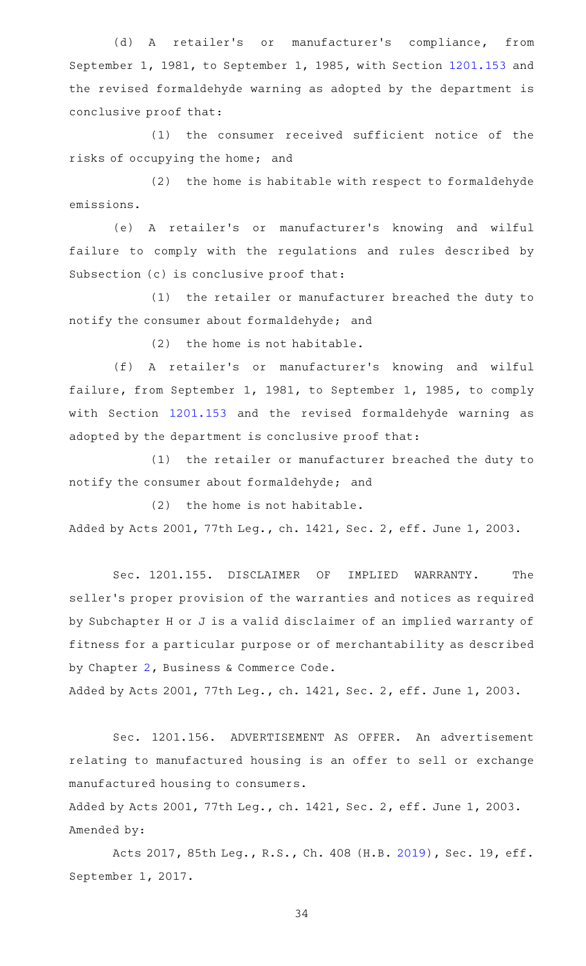(d) A retailer's or manufacturer's compliance, from September 1, 1981, to September 1, 1985, with Section [1201.153](http://www.statutes.legis.state.tx.us/GetStatute.aspx?Code=OC&Value=1201.153) and the revised formaldehyde warning as adopted by the department is conclusive proof that:

(1) the consumer received sufficient notice of the risks of occupying the home; and

 $(2)$  the home is habitable with respect to formaldehyde emissions.

(e)AAA retailer 's or manufacturer 's knowing and wilful failure to comply with the regulations and rules described by Subsection (c) is conclusive proof that:

(1) the retailer or manufacturer breached the duty to notify the consumer about formaldehyde; and

 $(2)$  the home is not habitable.

(f)AAA retailer 's or manufacturer 's knowing and wilful failure, from September 1, 1981, to September 1, 1985, to comply with Section [1201.153](http://www.statutes.legis.state.tx.us/GetStatute.aspx?Code=OC&Value=1201.153) and the revised formaldehyde warning as adopted by the department is conclusive proof that:

(1) the retailer or manufacturer breached the duty to notify the consumer about formaldehyde; and

 $(2)$  the home is not habitable. Added by Acts 2001, 77th Leg., ch. 1421, Sec. 2, eff. June 1, 2003.

Sec. 1201.155. DISCLAIMER OF IMPLIED WARRANTY. The seller 's proper provision of the warranties and notices as required by Subchapter H or J is a valid disclaimer of an implied warranty of fitness for a particular purpose or of merchantability as described by Chapter [2,](http://www.statutes.legis.state.tx.us/GetStatute.aspx?Code=BC&Value=2) Business & Commerce Code.

Added by Acts 2001, 77th Leg., ch. 1421, Sec. 2, eff. June 1, 2003.

Sec. 1201.156. ADVERTISEMENT AS OFFER. An advertisement relating to manufactured housing is an offer to sell or exchange manufactured housing to consumers.

Added by Acts 2001, 77th Leg., ch. 1421, Sec. 2, eff. June 1, 2003. Amended by:

Acts 2017, 85th Leg., R.S., Ch. 408 (H.B. [2019\)](http://www.legis.state.tx.us/tlodocs/85R/billtext/html/HB02019F.HTM), Sec. 19, eff. September 1, 2017.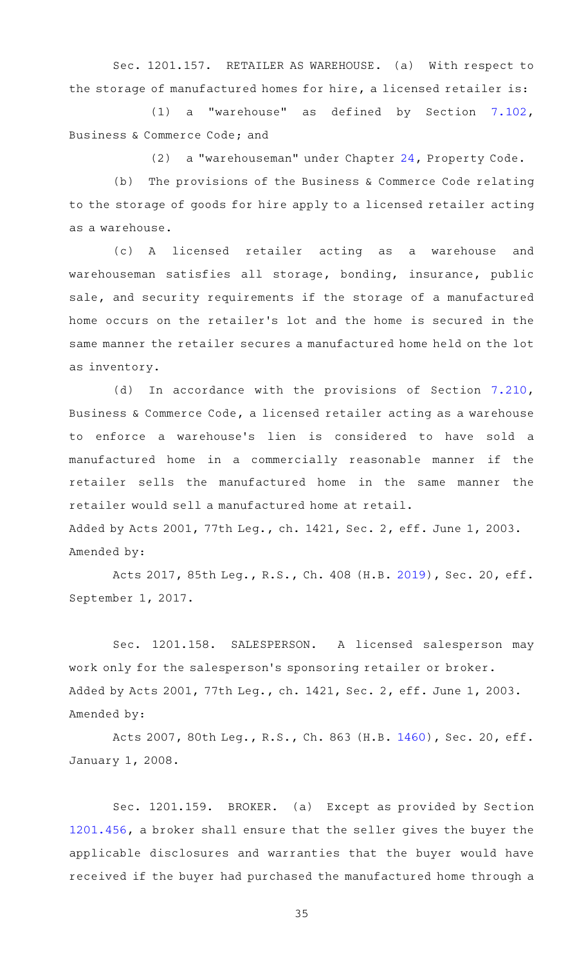Sec. 1201.157. RETAILER AS WAREHOUSE. (a) With respect to the storage of manufactured homes for hire, a licensed retailer is:

(1) a "warehouse" as defined by Section  $7.102$ , Business & Commerce Code; and

(2) a "warehouseman" under Chapter [24](http://www.statutes.legis.state.tx.us/GetStatute.aspx?Code=PR&Value=24), Property Code.

(b) The provisions of the Business & Commerce Code relating to the storage of goods for hire apply to a licensed retailer acting as a warehouse.

(c)AAA licensed retailer acting as a warehouse and warehouseman satisfies all storage, bonding, insurance, public sale, and security requirements if the storage of a manufactured home occurs on the retailer 's lot and the home is secured in the same manner the retailer secures a manufactured home held on the lot as inventory.

(d) In accordance with the provisions of Section  $7.210$ , Business & Commerce Code, a licensed retailer acting as a warehouse to enforce a warehouse 's lien is considered to have sold a manufactured home in a commercially reasonable manner if the retailer sells the manufactured home in the same manner the retailer would sell a manufactured home at retail. Added by Acts 2001, 77th Leg., ch. 1421, Sec. 2, eff. June 1, 2003.

Acts 2017, 85th Leg., R.S., Ch. 408 (H.B. [2019\)](http://www.legis.state.tx.us/tlodocs/85R/billtext/html/HB02019F.HTM), Sec. 20, eff. September 1, 2017.

Amended by:

Sec. 1201.158. SALESPERSON. A licensed salesperson may work only for the salesperson's sponsoring retailer or broker. Added by Acts 2001, 77th Leg., ch. 1421, Sec. 2, eff. June 1, 2003. Amended by:

Acts 2007, 80th Leg., R.S., Ch. 863 (H.B. [1460\)](http://www.legis.state.tx.us/tlodocs/80R/billtext/html/HB01460F.HTM), Sec. 20, eff. January 1, 2008.

Sec. 1201.159. BROKER. (a) Except as provided by Section [1201.456](http://www.statutes.legis.state.tx.us/GetStatute.aspx?Code=OC&Value=1201.456), a broker shall ensure that the seller gives the buyer the applicable disclosures and warranties that the buyer would have received if the buyer had purchased the manufactured home through a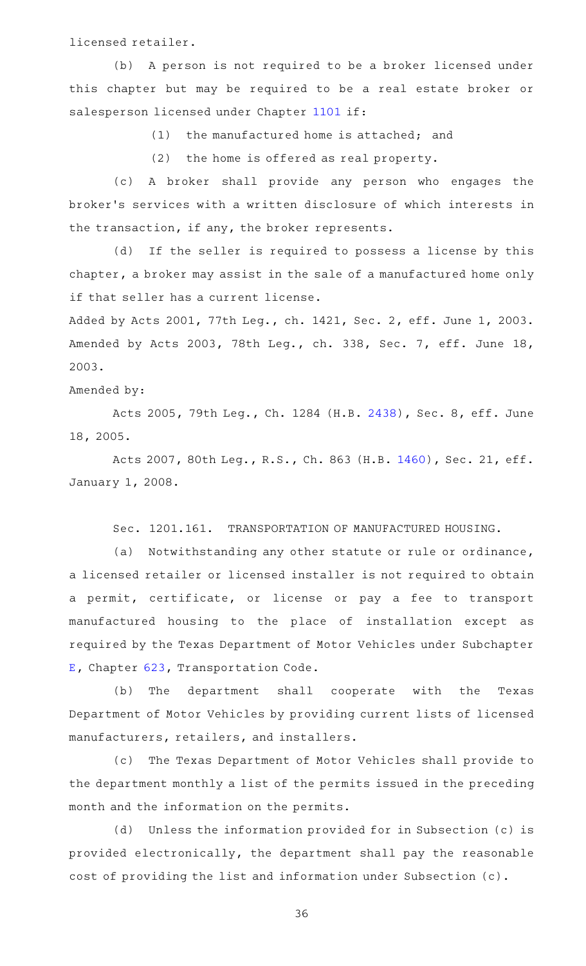licensed retailer.

(b) A person is not required to be a broker licensed under this chapter but may be required to be a real estate broker or salesperson licensed under Chapter [1101](http://www.statutes.legis.state.tx.us/GetStatute.aspx?Code=OC&Value=1101) if:

 $(1)$  the manufactured home is attached; and

 $(2)$  the home is offered as real property.

(c)AAA broker shall provide any person who engages the broker 's services with a written disclosure of which interests in the transaction, if any, the broker represents.

(d) If the seller is required to possess a license by this chapter, a broker may assist in the sale of a manufactured home only if that seller has a current license.

Added by Acts 2001, 77th Leg., ch. 1421, Sec. 2, eff. June 1, 2003. Amended by Acts 2003, 78th Leg., ch. 338, Sec. 7, eff. June 18, 2003.

Amended by:

Acts 2005, 79th Leg., Ch. 1284 (H.B. [2438](http://www.legis.state.tx.us/tlodocs/79R/billtext/html/HB02438F.HTM)), Sec. 8, eff. June 18, 2005.

Acts 2007, 80th Leg., R.S., Ch. 863 (H.B. [1460\)](http://www.legis.state.tx.us/tlodocs/80R/billtext/html/HB01460F.HTM), Sec. 21, eff. January 1, 2008.

Sec. 1201.161. TRANSPORTATION OF MANUFACTURED HOUSING.

(a) Notwithstanding any other statute or rule or ordinance, a licensed retailer or licensed installer is not required to obtain a permit, certificate, or license or pay a fee to transport manufactured housing to the place of installation except as required by the Texas Department of Motor Vehicles under Subchapter [E,](http://www.statutes.legis.state.tx.us/GetStatute.aspx?Code=TN&Value=623.091) Chapter [623,](http://www.statutes.legis.state.tx.us/GetStatute.aspx?Code=TN&Value=623) Transportation Code.

(b) The department shall cooperate with the Texas Department of Motor Vehicles by providing current lists of licensed manufacturers, retailers, and installers.

(c) The Texas Department of Motor Vehicles shall provide to the department monthly a list of the permits issued in the preceding month and the information on the permits.

(d) Unless the information provided for in Subsection (c) is provided electronically, the department shall pay the reasonable cost of providing the list and information under Subsection (c).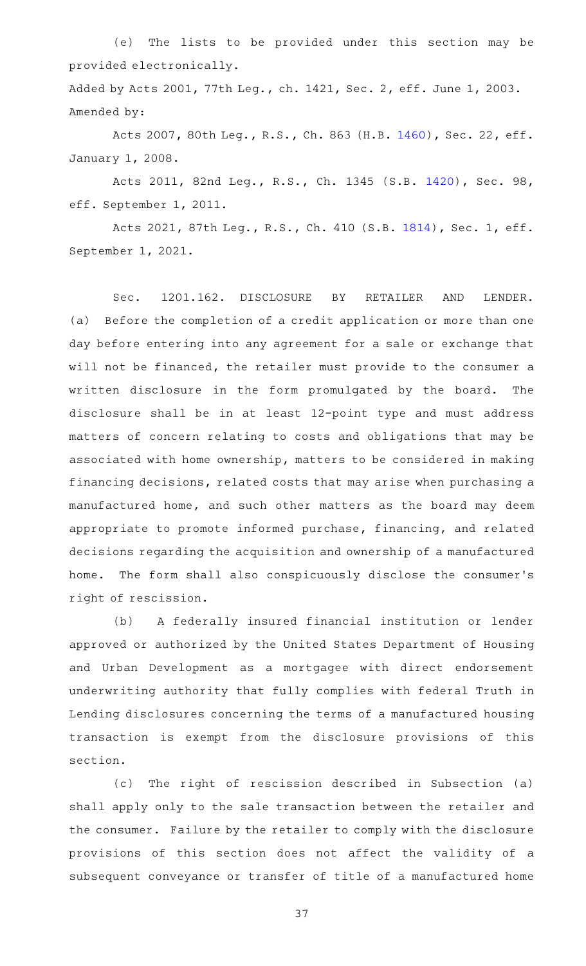(e) The lists to be provided under this section may be provided electronically.

Added by Acts 2001, 77th Leg., ch. 1421, Sec. 2, eff. June 1, 2003. Amended by:

Acts 2007, 80th Leg., R.S., Ch. 863 (H.B. [1460\)](http://www.legis.state.tx.us/tlodocs/80R/billtext/html/HB01460F.HTM), Sec. 22, eff. January 1, 2008.

Acts 2011, 82nd Leg., R.S., Ch. 1345 (S.B. [1420](http://www.legis.state.tx.us/tlodocs/82R/billtext/html/SB01420F.HTM)), Sec. 98, eff. September 1, 2011.

Acts 2021, 87th Leg., R.S., Ch. 410 (S.B. [1814](http://www.legis.state.tx.us/tlodocs/87R/billtext/html/SB01814F.HTM)), Sec. 1, eff. September 1, 2021.

Sec. 1201.162. DISCLOSURE BY RETAILER AND LENDER. (a) Before the completion of a credit application or more than one day before entering into any agreement for a sale or exchange that will not be financed, the retailer must provide to the consumer a written disclosure in the form promulgated by the board. The disclosure shall be in at least 12-point type and must address matters of concern relating to costs and obligations that may be associated with home ownership, matters to be considered in making financing decisions, related costs that may arise when purchasing a manufactured home, and such other matters as the board may deem appropriate to promote informed purchase, financing, and related decisions regarding the acquisition and ownership of a manufactured home. The form shall also conspicuously disclose the consumer's right of rescission.

(b) A federally insured financial institution or lender approved or authorized by the United States Department of Housing and Urban Development as a mortgagee with direct endorsement underwriting authority that fully complies with federal Truth in Lending disclosures concerning the terms of a manufactured housing transaction is exempt from the disclosure provisions of this section.

(c) The right of rescission described in Subsection (a) shall apply only to the sale transaction between the retailer and the consumer. Failure by the retailer to comply with the disclosure provisions of this section does not affect the validity of a subsequent conveyance or transfer of title of a manufactured home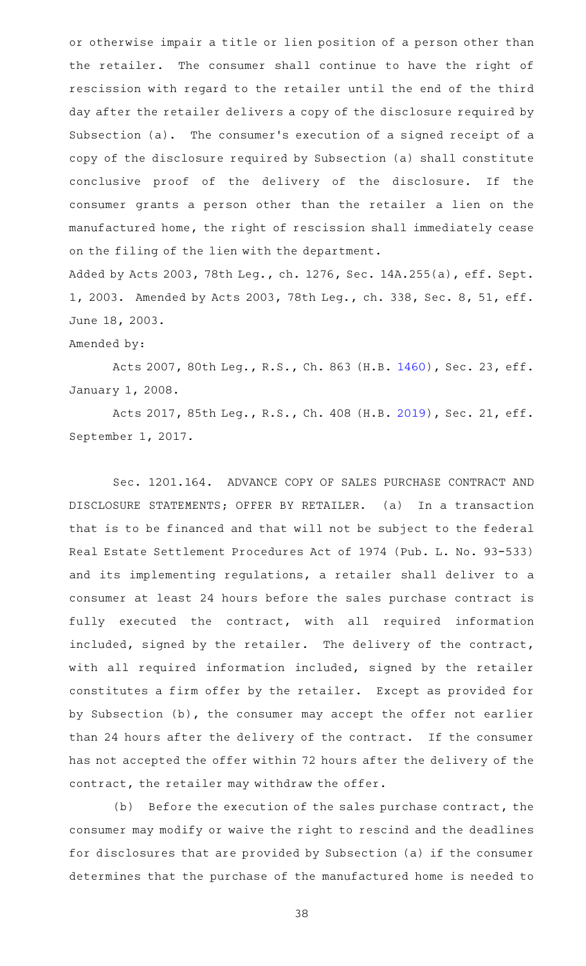or otherwise impair a title or lien position of a person other than the retailer. The consumer shall continue to have the right of rescission with regard to the retailer until the end of the third day after the retailer delivers a copy of the disclosure required by Subsection (a). The consumer's execution of a signed receipt of a copy of the disclosure required by Subsection (a) shall constitute conclusive proof of the delivery of the disclosure. If the consumer grants a person other than the retailer a lien on the manufactured home, the right of rescission shall immediately cease on the filing of the lien with the department.

Added by Acts 2003, 78th Leg., ch. 1276, Sec. 14A.255(a), eff. Sept. 1, 2003. Amended by Acts 2003, 78th Leg., ch. 338, Sec. 8, 51, eff. June 18, 2003.

## Amended by:

Acts 2007, 80th Leg., R.S., Ch. 863 (H.B. [1460\)](http://www.legis.state.tx.us/tlodocs/80R/billtext/html/HB01460F.HTM), Sec. 23, eff. January 1, 2008.

Acts 2017, 85th Leg., R.S., Ch. 408 (H.B. [2019\)](http://www.legis.state.tx.us/tlodocs/85R/billtext/html/HB02019F.HTM), Sec. 21, eff. September 1, 2017.

Sec. 1201.164. ADVANCE COPY OF SALES PURCHASE CONTRACT AND DISCLOSURE STATEMENTS; OFFER BY RETAILER. (a) In a transaction that is to be financed and that will not be subject to the federal Real Estate Settlement Procedures Act of 1974 (Pub. L. No. 93-533) and its implementing regulations, a retailer shall deliver to a consumer at least 24 hours before the sales purchase contract is fully executed the contract, with all required information included, signed by the retailer. The delivery of the contract, with all required information included, signed by the retailer constitutes a firm offer by the retailer. Except as provided for by Subsection (b), the consumer may accept the offer not earlier than 24 hours after the delivery of the contract. If the consumer has not accepted the offer within 72 hours after the delivery of the contract, the retailer may withdraw the offer.

(b) Before the execution of the sales purchase contract, the consumer may modify or waive the right to rescind and the deadlines for disclosures that are provided by Subsection (a) if the consumer determines that the purchase of the manufactured home is needed to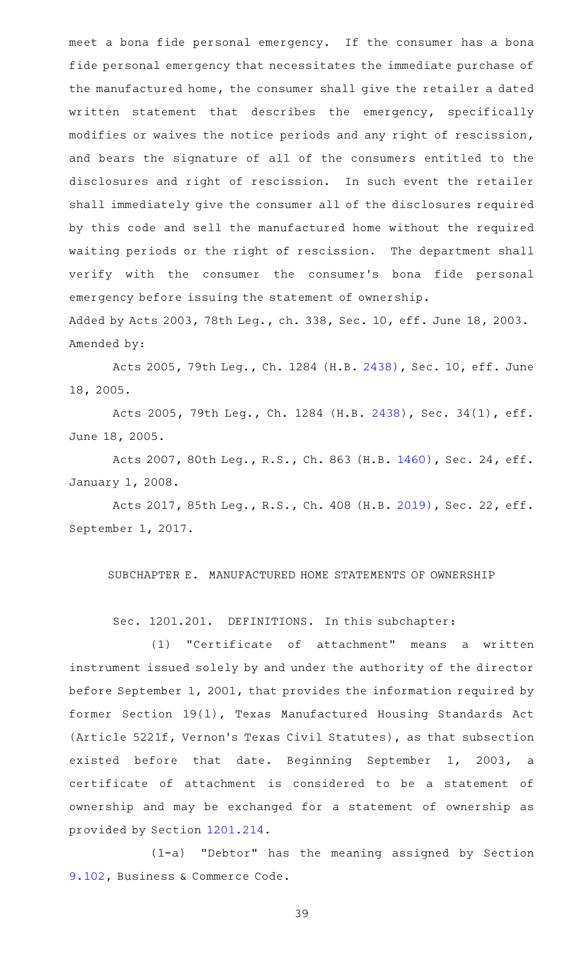meet a bona fide personal emergency. If the consumer has a bona fide personal emergency that necessitates the immediate purchase of the manufactured home, the consumer shall give the retailer a dated written statement that describes the emergency, specifically modifies or waives the notice periods and any right of rescission, and bears the signature of all of the consumers entitled to the disclosures and right of rescission. In such event the retailer shall immediately give the consumer all of the disclosures required by this code and sell the manufactured home without the required waiting periods or the right of rescission. The department shall verify with the consumer the consumer 's bona fide personal emergency before issuing the statement of ownership. Added by Acts 2003, 78th Leg., ch. 338, Sec. 10, eff. June 18, 2003.

Acts 2005, 79th Leg., Ch. 1284 (H.B. [2438\)](http://www.legis.state.tx.us/tlodocs/79R/billtext/html/HB02438F.HTM), Sec. 10, eff. June 18, 2005.

Amended by:

Acts 2005, 79th Leg., Ch. 1284 (H.B. [2438](http://www.legis.state.tx.us/tlodocs/79R/billtext/html/HB02438F.HTM)), Sec. 34(1), eff. June 18, 2005.

Acts 2007, 80th Leg., R.S., Ch. 863 (H.B. [1460\)](http://www.legis.state.tx.us/tlodocs/80R/billtext/html/HB01460F.HTM), Sec. 24, eff. January 1, 2008.

Acts 2017, 85th Leg., R.S., Ch. 408 (H.B. [2019\)](http://www.legis.state.tx.us/tlodocs/85R/billtext/html/HB02019F.HTM), Sec. 22, eff. September 1, 2017.

SUBCHAPTER E. MANUFACTURED HOME STATEMENTS OF OWNERSHIP

Sec. 1201.201. DEFINITIONS. In this subchapter:

(1) "Certificate of attachment" means a written instrument issued solely by and under the authority of the director before September 1, 2001, that provides the information required by former Section 19(l), Texas Manufactured Housing Standards Act (Article 5221f, Vernon 's Texas Civil Statutes), as that subsection existed before that date. Beginning September 1, 2003, a certificate of attachment is considered to be a statement of ownership and may be exchanged for a statement of ownership as provided by Section [1201.214.](http://www.statutes.legis.state.tx.us/GetStatute.aspx?Code=OC&Value=1201.214)

(1-a) "Debtor" has the meaning assigned by Section [9.102,](http://www.statutes.legis.state.tx.us/GetStatute.aspx?Code=BC&Value=9.102) Business & Commerce Code.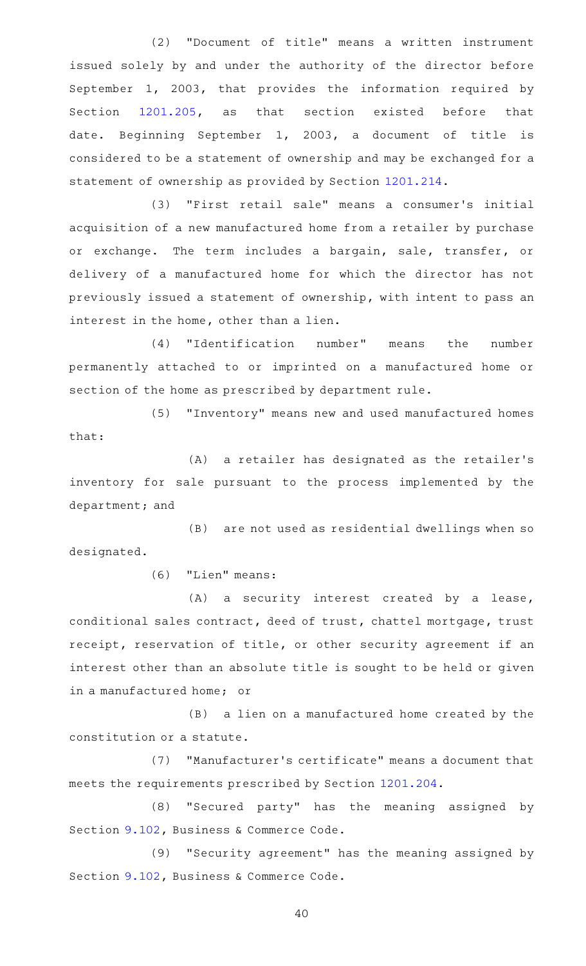(2) "Document of title" means a written instrument issued solely by and under the authority of the director before September 1, 2003, that provides the information required by Section [1201.205](http://www.statutes.legis.state.tx.us/GetStatute.aspx?Code=OC&Value=1201.205), as that section existed before that date. Beginning September 1, 2003, a document of title is considered to be a statement of ownership and may be exchanged for a statement of ownership as provided by Section [1201.214.](http://www.statutes.legis.state.tx.us/GetStatute.aspx?Code=OC&Value=1201.214)

(3) "First retail sale" means a consumer's initial acquisition of a new manufactured home from a retailer by purchase or exchange. The term includes a bargain, sale, transfer, or delivery of a manufactured home for which the director has not previously issued a statement of ownership, with intent to pass an interest in the home, other than a lien.

(4) "Identification number" means the number permanently attached to or imprinted on a manufactured home or section of the home as prescribed by department rule.

(5) "Inventory" means new and used manufactured homes that:

(A) a retailer has designated as the retailer's inventory for sale pursuant to the process implemented by the department; and

(B) are not used as residential dwellings when so designated.

(6) "Lien" means:

 $(A)$  a security interest created by a lease, conditional sales contract, deed of trust, chattel mortgage, trust receipt, reservation of title, or other security agreement if an interest other than an absolute title is sought to be held or given in a manufactured home; or

(B) a lien on a manufactured home created by the constitution or a statute.

(7) "Manufacturer's certificate" means a document that meets the requirements prescribed by Section [1201.204.](http://www.statutes.legis.state.tx.us/GetStatute.aspx?Code=OC&Value=1201.204)

(8) "Secured party" has the meaning assigned by Section [9.102,](http://www.statutes.legis.state.tx.us/GetStatute.aspx?Code=BC&Value=9.102) Business & Commerce Code.

(9) "Security agreement" has the meaning assigned by Section [9.102,](http://www.statutes.legis.state.tx.us/GetStatute.aspx?Code=BC&Value=9.102) Business & Commerce Code.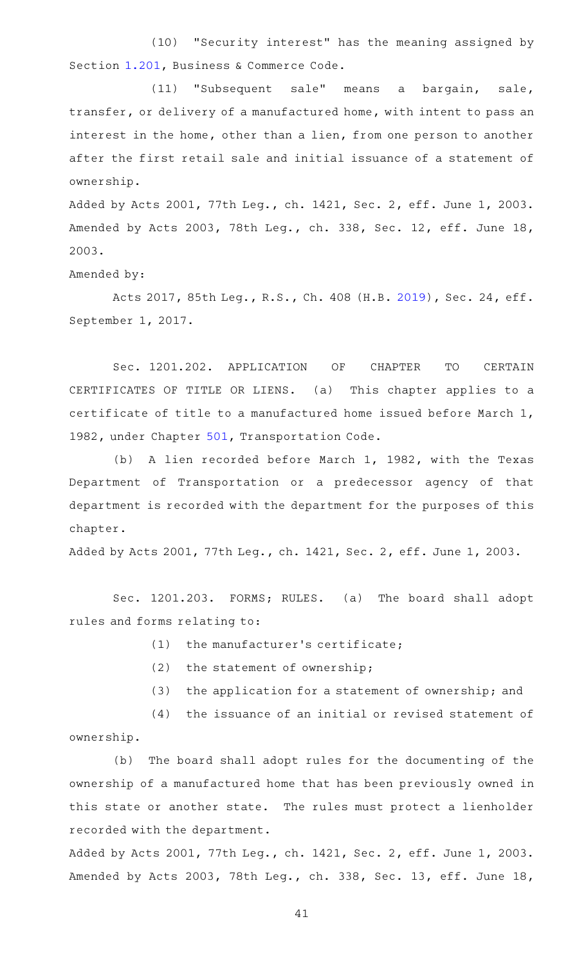(10) "Security interest" has the meaning assigned by Section [1.201,](http://www.statutes.legis.state.tx.us/GetStatute.aspx?Code=BC&Value=1.201) Business & Commerce Code.

(11) "Subsequent sale" means a bargain, sale, transfer, or delivery of a manufactured home, with intent to pass an interest in the home, other than a lien, from one person to another after the first retail sale and initial issuance of a statement of ownership.

Added by Acts 2001, 77th Leg., ch. 1421, Sec. 2, eff. June 1, 2003. Amended by Acts 2003, 78th Leg., ch. 338, Sec. 12, eff. June 18, 2003.

Amended by:

Acts 2017, 85th Leg., R.S., Ch. 408 (H.B. [2019\)](http://www.legis.state.tx.us/tlodocs/85R/billtext/html/HB02019F.HTM), Sec. 24, eff. September 1, 2017.

Sec. 1201.202. APPLICATION OF CHAPTER TO CERTAIN CERTIFICATES OF TITLE OR LIENS. (a) This chapter applies to a certificate of title to a manufactured home issued before March 1, 1982, under Chapter [501](http://www.statutes.legis.state.tx.us/GetStatute.aspx?Code=TN&Value=501), Transportation Code.

(b) A lien recorded before March 1, 1982, with the Texas Department of Transportation or a predecessor agency of that department is recorded with the department for the purposes of this chapter.

Added by Acts 2001, 77th Leg., ch. 1421, Sec. 2, eff. June 1, 2003.

Sec. 1201.203. FORMS; RULES. (a) The board shall adopt rules and forms relating to:

- $(1)$  the manufacturer's certificate;
- $(2)$  the statement of ownership;
- (3) the application for a statement of ownership; and

 $(4)$  the issuance of an initial or revised statement of ownership.

(b) The board shall adopt rules for the documenting of the ownership of a manufactured home that has been previously owned in this state or another state. The rules must protect a lienholder recorded with the department.

Added by Acts 2001, 77th Leg., ch. 1421, Sec. 2, eff. June 1, 2003. Amended by Acts 2003, 78th Leg., ch. 338, Sec. 13, eff. June 18,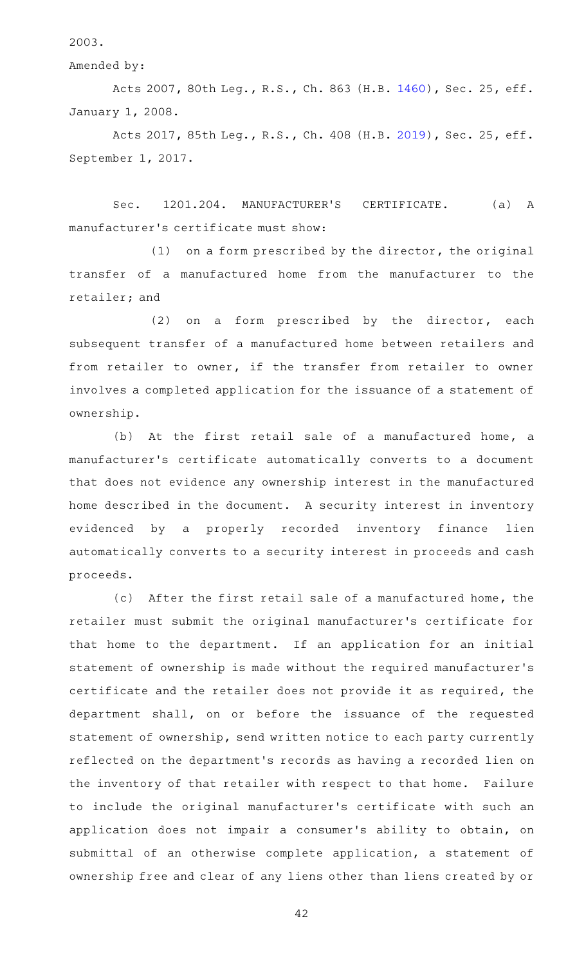2003.

Amended by:

Acts 2007, 80th Leg., R.S., Ch. 863 (H.B. [1460\)](http://www.legis.state.tx.us/tlodocs/80R/billtext/html/HB01460F.HTM), Sec. 25, eff. January 1, 2008.

Acts 2017, 85th Leg., R.S., Ch. 408 (H.B. [2019\)](http://www.legis.state.tx.us/tlodocs/85R/billtext/html/HB02019F.HTM), Sec. 25, eff. September 1, 2017.

Sec. 1201.204. MANUFACTURER'S CERTIFICATE. (a) A manufacturer 's certificate must show:

 $(1)$  on a form prescribed by the director, the original transfer of a manufactured home from the manufacturer to the retailer; and

 $(2)$  on a form prescribed by the director, each subsequent transfer of a manufactured home between retailers and from retailer to owner, if the transfer from retailer to owner involves a completed application for the issuance of a statement of ownership.

(b) At the first retail sale of a manufactured home, a manufacturer's certificate automatically converts to a document that does not evidence any ownership interest in the manufactured home described in the document. A security interest in inventory evidenced by a properly recorded inventory finance lien automatically converts to a security interest in proceeds and cash proceeds.

(c) After the first retail sale of a manufactured home, the retailer must submit the original manufacturer 's certificate for that home to the department. If an application for an initial statement of ownership is made without the required manufacturer 's certificate and the retailer does not provide it as required, the department shall, on or before the issuance of the requested statement of ownership, send written notice to each party currently reflected on the department 's records as having a recorded lien on the inventory of that retailer with respect to that home. Failure to include the original manufacturer 's certificate with such an application does not impair a consumer 's ability to obtain, on submittal of an otherwise complete application, a statement of ownership free and clear of any liens other than liens created by or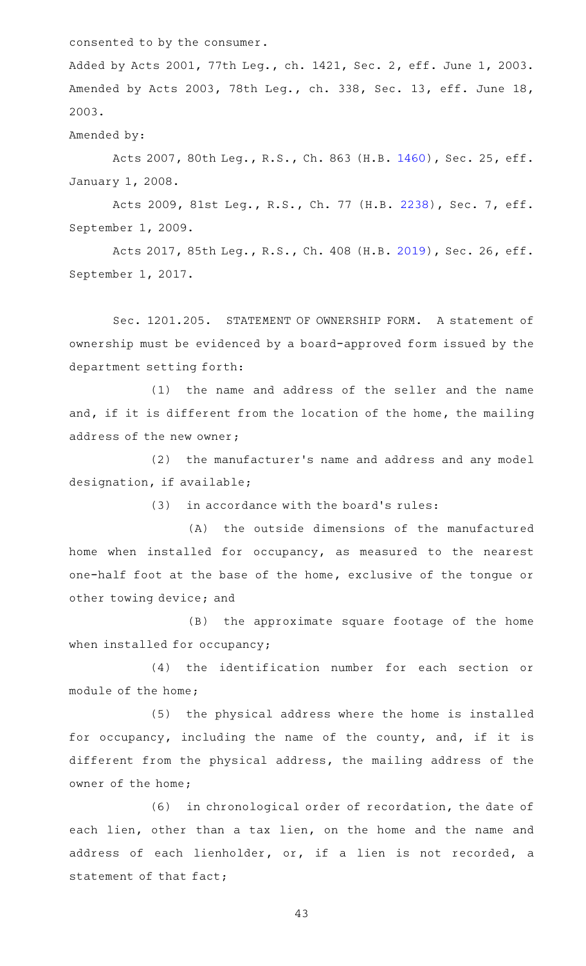consented to by the consumer.

Added by Acts 2001, 77th Leg., ch. 1421, Sec. 2, eff. June 1, 2003. Amended by Acts 2003, 78th Leg., ch. 338, Sec. 13, eff. June 18, 2003.

Amended by:

Acts 2007, 80th Leg., R.S., Ch. 863 (H.B. [1460\)](http://www.legis.state.tx.us/tlodocs/80R/billtext/html/HB01460F.HTM), Sec. 25, eff. January 1, 2008.

Acts 2009, 81st Leg., R.S., Ch. 77 (H.B. [2238](http://www.legis.state.tx.us/tlodocs/81R/billtext/html/HB02238F.HTM)), Sec. 7, eff. September 1, 2009.

Acts 2017, 85th Leg., R.S., Ch. 408 (H.B. [2019\)](http://www.legis.state.tx.us/tlodocs/85R/billtext/html/HB02019F.HTM), Sec. 26, eff. September 1, 2017.

Sec. 1201.205. STATEMENT OF OWNERSHIP FORM. A statement of ownership must be evidenced by a board-approved form issued by the department setting forth:

(1) the name and address of the seller and the name and, if it is different from the location of the home, the mailing address of the new owner;

(2) the manufacturer's name and address and any model designation, if available;

(3) in accordance with the board's rules:

(A) the outside dimensions of the manufactured home when installed for occupancy, as measured to the nearest one-half foot at the base of the home, exclusive of the tongue or other towing device; and

(B) the approximate square footage of the home when installed for occupancy;

(4) the identification number for each section or module of the home;

(5) the physical address where the home is installed for occupancy, including the name of the county, and, if it is different from the physical address, the mailing address of the owner of the home;

(6) in chronological order of recordation, the date of each lien, other than a tax lien, on the home and the name and address of each lienholder, or, if a lien is not recorded, a statement of that fact;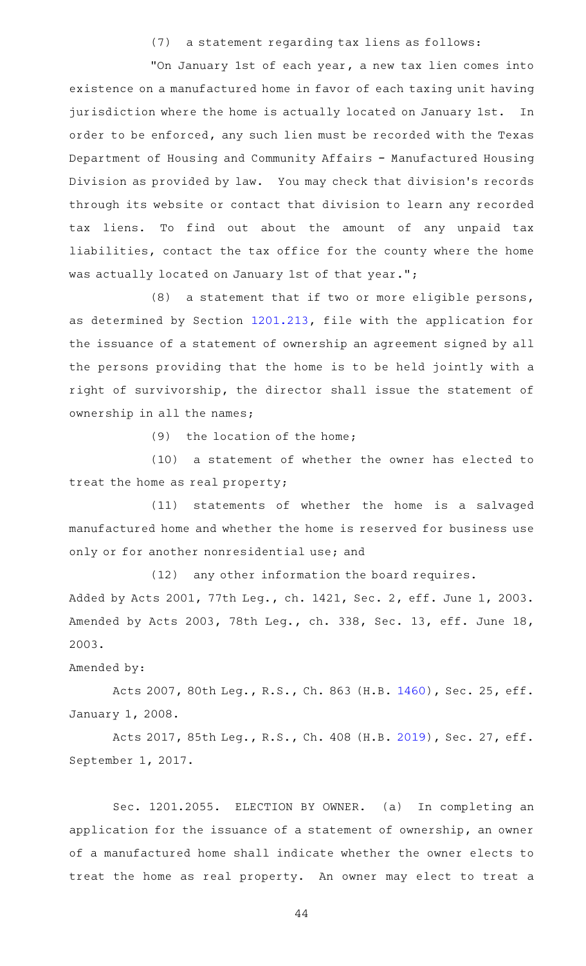(7) a statement regarding tax liens as follows:

"On January 1st of each year, a new tax lien comes into existence on a manufactured home in favor of each taxing unit having jurisdiction where the home is actually located on January 1st. In order to be enforced, any such lien must be recorded with the Texas Department of Housing and Community Affairs - Manufactured Housing Division as provided by law. You may check that division's records through its website or contact that division to learn any recorded tax liens. To find out about the amount of any unpaid tax liabilities, contact the tax office for the county where the home was actually located on January 1st of that year.";

 $(8)$  a statement that if two or more eligible persons, as determined by Section [1201.213](http://www.statutes.legis.state.tx.us/GetStatute.aspx?Code=OC&Value=1201.213), file with the application for the issuance of a statement of ownership an agreement signed by all the persons providing that the home is to be held jointly with a right of survivorship, the director shall issue the statement of ownership in all the names;

(9) the location of the home;

(10) a statement of whether the owner has elected to treat the home as real property;

(11) statements of whether the home is a salvaged manufactured home and whether the home is reserved for business use only or for another nonresidential use; and

 $(12)$  any other information the board requires. Added by Acts 2001, 77th Leg., ch. 1421, Sec. 2, eff. June 1, 2003. Amended by Acts 2003, 78th Leg., ch. 338, Sec. 13, eff. June 18, 2003.

Amended by:

Acts 2007, 80th Leg., R.S., Ch. 863 (H.B. [1460\)](http://www.legis.state.tx.us/tlodocs/80R/billtext/html/HB01460F.HTM), Sec. 25, eff. January 1, 2008.

Acts 2017, 85th Leg., R.S., Ch. 408 (H.B. [2019\)](http://www.legis.state.tx.us/tlodocs/85R/billtext/html/HB02019F.HTM), Sec. 27, eff. September 1, 2017.

Sec. 1201.2055. ELECTION BY OWNER. (a) In completing an application for the issuance of a statement of ownership, an owner of a manufactured home shall indicate whether the owner elects to treat the home as real property. An owner may elect to treat a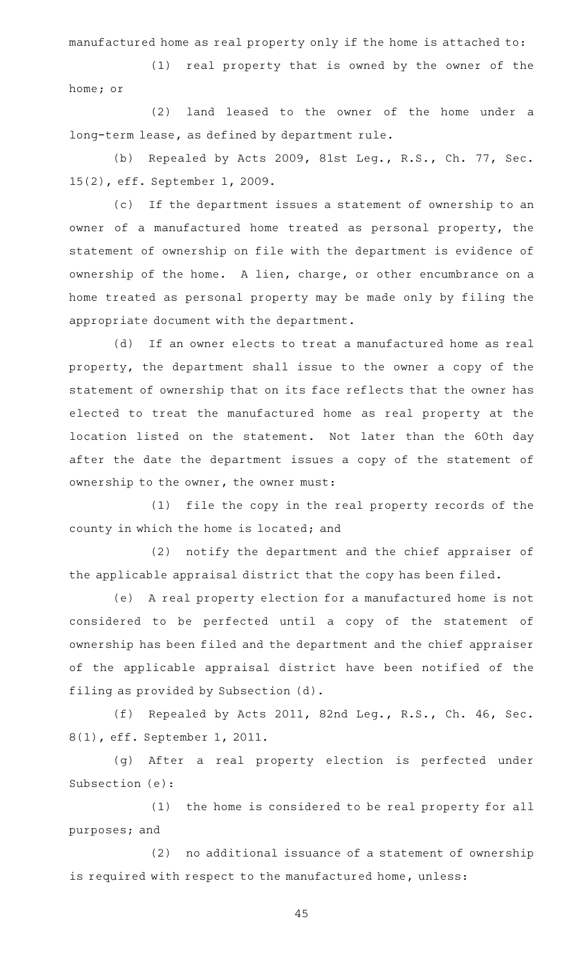manufactured home as real property only if the home is attached to:

(1) real property that is owned by the owner of the home; or

(2) land leased to the owner of the home under a long-term lease, as defined by department rule.

(b) Repealed by Acts 2009, 81st Leg., R.S., Ch. 77, Sec. 15(2), eff. September 1, 2009.

(c) If the department issues a statement of ownership to an owner of a manufactured home treated as personal property, the statement of ownership on file with the department is evidence of ownership of the home. A lien, charge, or other encumbrance on a home treated as personal property may be made only by filing the appropriate document with the department.

(d) If an owner elects to treat a manufactured home as real property, the department shall issue to the owner a copy of the statement of ownership that on its face reflects that the owner has elected to treat the manufactured home as real property at the location listed on the statement. Not later than the 60th day after the date the department issues a copy of the statement of ownership to the owner, the owner must:

(1) file the copy in the real property records of the county in which the home is located; and

(2) notify the department and the chief appraiser of the applicable appraisal district that the copy has been filed.

(e) A real property election for a manufactured home is not considered to be perfected until a copy of the statement of ownership has been filed and the department and the chief appraiser of the applicable appraisal district have been notified of the filing as provided by Subsection (d).

(f) Repealed by Acts 2011, 82nd Leg., R.S., Ch. 46, Sec. 8(1), eff. September 1, 2011.

(g) After a real property election is perfected under Subsection (e):

(1) the home is considered to be real property for all purposes; and

(2) no additional issuance of a statement of ownership is required with respect to the manufactured home, unless: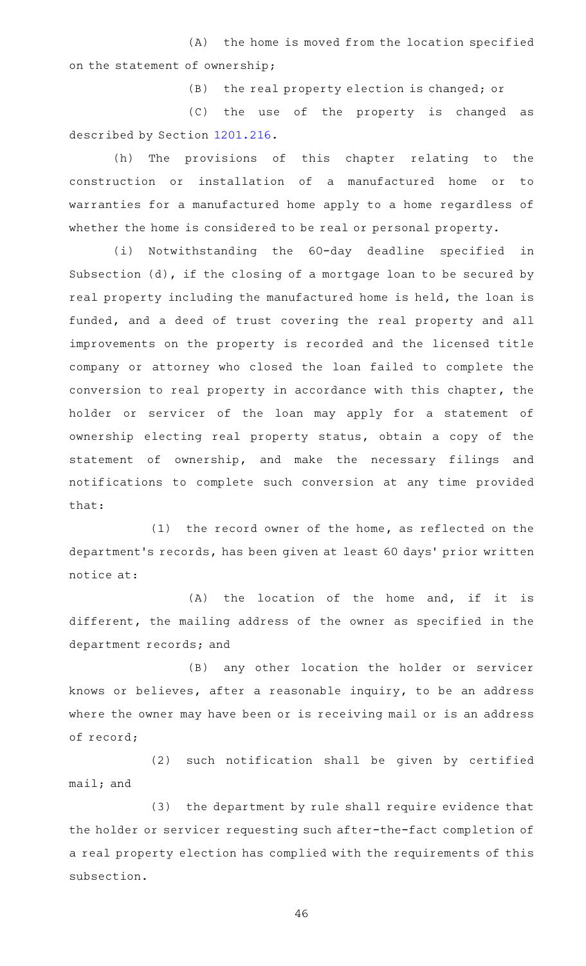(A) the home is moved from the location specified on the statement of ownership;

(B) the real property election is changed; or

(C) the use of the property is changed as described by Section [1201.216](http://www.statutes.legis.state.tx.us/GetStatute.aspx?Code=OC&Value=1201.216).

(h) The provisions of this chapter relating to the construction or installation of a manufactured home or to warranties for a manufactured home apply to a home regardless of whether the home is considered to be real or personal property.

(i) Notwithstanding the 60-day deadline specified in Subsection (d), if the closing of a mortgage loan to be secured by real property including the manufactured home is held, the loan is funded, and a deed of trust covering the real property and all improvements on the property is recorded and the licensed title company or attorney who closed the loan failed to complete the conversion to real property in accordance with this chapter, the holder or servicer of the loan may apply for a statement of ownership electing real property status, obtain a copy of the statement of ownership, and make the necessary filings and notifications to complete such conversion at any time provided that:

 $(1)$  the record owner of the home, as reflected on the department's records, has been given at least 60 days' prior written notice at:

 $(A)$  the location of the home and, if it is different, the mailing address of the owner as specified in the department records; and

(B) any other location the holder or servicer knows or believes, after a reasonable inquiry, to be an address where the owner may have been or is receiving mail or is an address of record;

(2) such notification shall be given by certified mail; and

(3) the department by rule shall require evidence that the holder or servicer requesting such after-the-fact completion of a real property election has complied with the requirements of this subsection.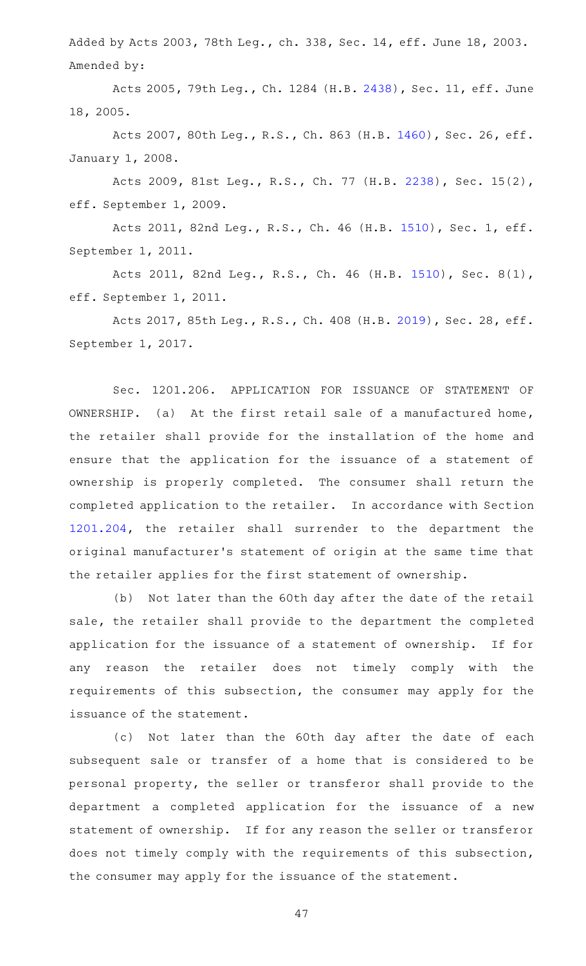Added by Acts 2003, 78th Leg., ch. 338, Sec. 14, eff. June 18, 2003. Amended by:

Acts 2005, 79th Leg., Ch. 1284 (H.B. [2438\)](http://www.legis.state.tx.us/tlodocs/79R/billtext/html/HB02438F.HTM), Sec. 11, eff. June 18, 2005.

Acts 2007, 80th Leg., R.S., Ch. 863 (H.B. [1460\)](http://www.legis.state.tx.us/tlodocs/80R/billtext/html/HB01460F.HTM), Sec. 26, eff. January 1, 2008.

Acts 2009, 81st Leg., R.S., Ch. 77 (H.B. [2238](http://www.legis.state.tx.us/tlodocs/81R/billtext/html/HB02238F.HTM)), Sec. 15(2), eff. September 1, 2009.

Acts 2011, 82nd Leg., R.S., Ch. 46 (H.B. [1510](http://www.legis.state.tx.us/tlodocs/82R/billtext/html/HB01510F.HTM)), Sec. 1, eff. September 1, 2011.

Acts 2011, 82nd Leg., R.S., Ch. 46 (H.B. [1510](http://www.legis.state.tx.us/tlodocs/82R/billtext/html/HB01510F.HTM)), Sec. 8(1), eff. September 1, 2011.

Acts 2017, 85th Leg., R.S., Ch. 408 (H.B. [2019\)](http://www.legis.state.tx.us/tlodocs/85R/billtext/html/HB02019F.HTM), Sec. 28, eff. September 1, 2017.

Sec. 1201.206. APPLICATION FOR ISSUANCE OF STATEMENT OF OWNERSHIP. (a) At the first retail sale of a manufactured home, the retailer shall provide for the installation of the home and ensure that the application for the issuance of a statement of ownership is properly completed. The consumer shall return the completed application to the retailer. In accordance with Section [1201.204](http://www.statutes.legis.state.tx.us/GetStatute.aspx?Code=OC&Value=1201.204), the retailer shall surrender to the department the original manufacturer 's statement of origin at the same time that the retailer applies for the first statement of ownership.

(b) Not later than the 60th day after the date of the retail sale, the retailer shall provide to the department the completed application for the issuance of a statement of ownership. If for any reason the retailer does not timely comply with the requirements of this subsection, the consumer may apply for the issuance of the statement.

(c) Not later than the 60th day after the date of each subsequent sale or transfer of a home that is considered to be personal property, the seller or transferor shall provide to the department a completed application for the issuance of a new statement of ownership. If for any reason the seller or transferor does not timely comply with the requirements of this subsection, the consumer may apply for the issuance of the statement.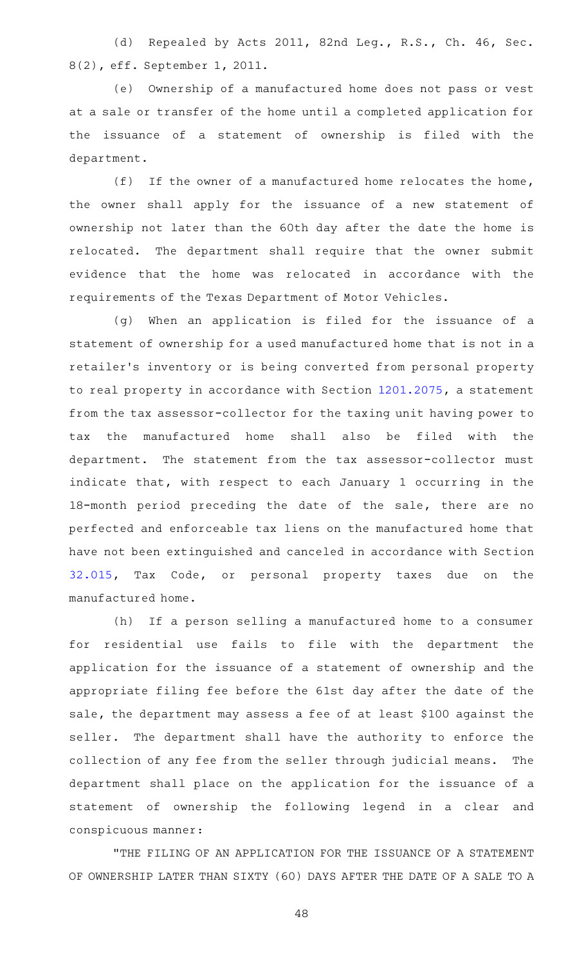(d) Repealed by Acts 2011, 82nd Leg., R.S., Ch. 46, Sec. 8(2), eff. September 1, 2011.

(e) Ownership of a manufactured home does not pass or vest at a sale or transfer of the home until a completed application for the issuance of a statement of ownership is filed with the department.

(f) If the owner of a manufactured home relocates the home, the owner shall apply for the issuance of a new statement of ownership not later than the 60th day after the date the home is relocated. The department shall require that the owner submit evidence that the home was relocated in accordance with the requirements of the Texas Department of Motor Vehicles.

(g) When an application is filed for the issuance of a statement of ownership for a used manufactured home that is not in a retailer 's inventory or is being converted from personal property to real property in accordance with Section [1201.2075,](http://www.statutes.legis.state.tx.us/GetStatute.aspx?Code=OC&Value=1201.2075) a statement from the tax assessor-collector for the taxing unit having power to tax the manufactured home shall also be filed with the department. The statement from the tax assessor-collector must indicate that, with respect to each January 1 occurring in the 18-month period preceding the date of the sale, there are no perfected and enforceable tax liens on the manufactured home that have not been extinguished and canceled in accordance with Section [32.015](http://www.statutes.legis.state.tx.us/GetStatute.aspx?Code=TX&Value=32.015), Tax Code, or personal property taxes due on the manufactured home.

(h) If a person selling a manufactured home to a consumer for residential use fails to file with the department the application for the issuance of a statement of ownership and the appropriate filing fee before the 61st day after the date of the sale, the department may assess a fee of at least \$100 against the seller. The department shall have the authority to enforce the collection of any fee from the seller through judicial means. The department shall place on the application for the issuance of a statement of ownership the following legend in a clear and conspicuous manner:

"THE FILING OF AN APPLICATION FOR THE ISSUANCE OF A STATEMENT OF OWNERSHIP LATER THAN SIXTY (60) DAYS AFTER THE DATE OF A SALE TO A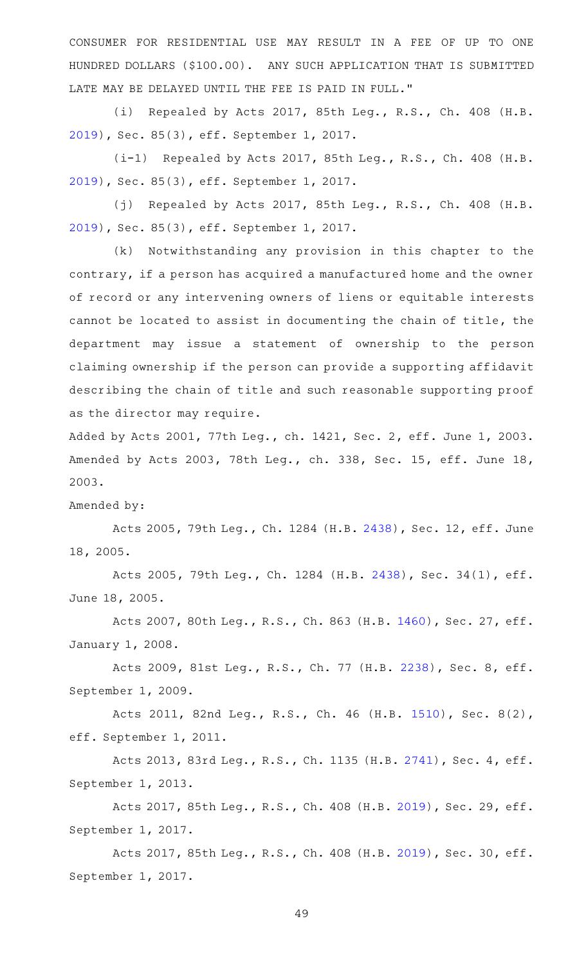CONSUMER FOR RESIDENTIAL USE MAY RESULT IN A FEE OF UP TO ONE HUNDRED DOLLARS (\$100.00). ANY SUCH APPLICATION THAT IS SUBMITTED LATE MAY BE DELAYED UNTIL THE FEE IS PAID IN FULL."

(i) Repealed by Acts 2017, 85th Leg., R.S., Ch. 408 (H.B. [2019](http://www.legis.state.tx.us/tlodocs/85R/billtext/html/HB02019F.HTM)), Sec. 85(3), eff. September 1, 2017.

(i-1) Repealed by Acts 2017, 85th Leg., R.S., Ch. 408 (H.B. [2019](http://www.legis.state.tx.us/tlodocs/85R/billtext/html/HB02019F.HTM)), Sec. 85(3), eff. September 1, 2017.

(j) Repealed by Acts 2017, 85th Leg., R.S., Ch. 408 (H.B. [2019](http://www.legis.state.tx.us/tlodocs/85R/billtext/html/HB02019F.HTM)), Sec. 85(3), eff. September 1, 2017.

(k) Notwithstanding any provision in this chapter to the contrary, if a person has acquired a manufactured home and the owner of record or any intervening owners of liens or equitable interests cannot be located to assist in documenting the chain of title, the department may issue a statement of ownership to the person claiming ownership if the person can provide a supporting affidavit describing the chain of title and such reasonable supporting proof as the director may require.

Added by Acts 2001, 77th Leg., ch. 1421, Sec. 2, eff. June 1, 2003. Amended by Acts 2003, 78th Leg., ch. 338, Sec. 15, eff. June 18, 2003.

Amended by:

Acts 2005, 79th Leg., Ch. 1284 (H.B. [2438\)](http://www.legis.state.tx.us/tlodocs/79R/billtext/html/HB02438F.HTM), Sec. 12, eff. June 18, 2005.

Acts 2005, 79th Leg., Ch. 1284 (H.B. [2438](http://www.legis.state.tx.us/tlodocs/79R/billtext/html/HB02438F.HTM)), Sec. 34(1), eff. June 18, 2005.

Acts 2007, 80th Leg., R.S., Ch. 863 (H.B. [1460\)](http://www.legis.state.tx.us/tlodocs/80R/billtext/html/HB01460F.HTM), Sec. 27, eff. January 1, 2008.

Acts 2009, 81st Leg., R.S., Ch. 77 (H.B. [2238](http://www.legis.state.tx.us/tlodocs/81R/billtext/html/HB02238F.HTM)), Sec. 8, eff. September 1, 2009.

Acts 2011, 82nd Leg., R.S., Ch. 46 (H.B. [1510](http://www.legis.state.tx.us/tlodocs/82R/billtext/html/HB01510F.HTM)), Sec. 8(2), eff. September 1, 2011.

Acts 2013, 83rd Leg., R.S., Ch. 1135 (H.B. [2741](http://www.legis.state.tx.us/tlodocs/83R/billtext/html/HB02741F.HTM)), Sec. 4, eff. September 1, 2013.

Acts 2017, 85th Leg., R.S., Ch. 408 (H.B. [2019\)](http://www.legis.state.tx.us/tlodocs/85R/billtext/html/HB02019F.HTM), Sec. 29, eff. September 1, 2017.

Acts 2017, 85th Leg., R.S., Ch. 408 (H.B. [2019\)](http://www.legis.state.tx.us/tlodocs/85R/billtext/html/HB02019F.HTM), Sec. 30, eff. September 1, 2017.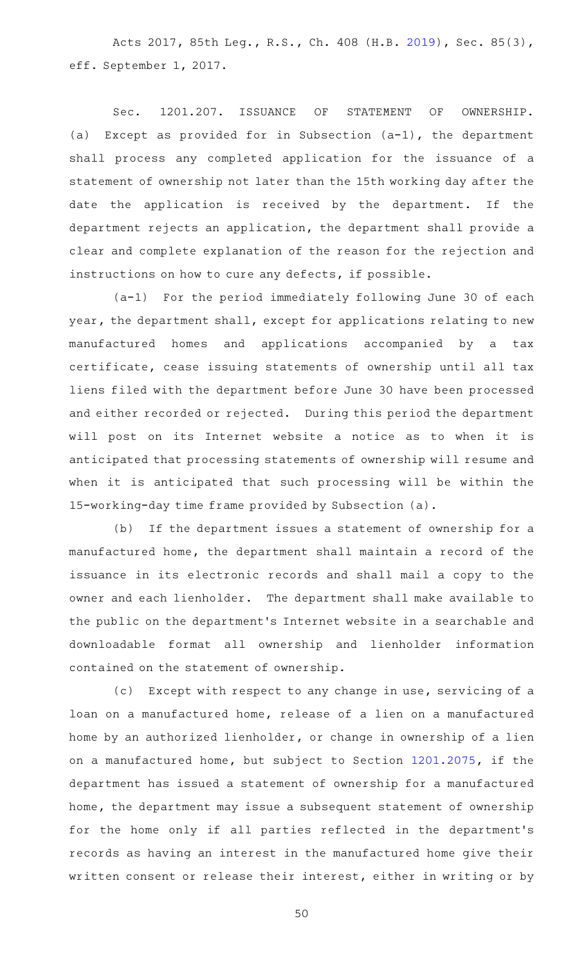Acts 2017, 85th Leg., R.S., Ch. 408 (H.B. [2019\)](http://www.legis.state.tx.us/tlodocs/85R/billtext/html/HB02019F.HTM), Sec. 85(3), eff. September 1, 2017.

Sec. 1201.207. ISSUANCE OF STATEMENT OF OWNERSHIP. (a) Except as provided for in Subsection  $(a-1)$ , the department shall process any completed application for the issuance of a statement of ownership not later than the 15th working day after the date the application is received by the department. If the department rejects an application, the department shall provide a clear and complete explanation of the reason for the rejection and instructions on how to cure any defects, if possible.

(a-1) For the period immediately following June 30 of each year, the department shall, except for applications relating to new manufactured homes and applications accompanied by a tax certificate, cease issuing statements of ownership until all tax liens filed with the department before June 30 have been processed and either recorded or rejected. During this period the department will post on its Internet website a notice as to when it is anticipated that processing statements of ownership will resume and when it is anticipated that such processing will be within the 15-working-day time frame provided by Subsection (a).

(b) If the department issues a statement of ownership for a manufactured home, the department shall maintain a record of the issuance in its electronic records and shall mail a copy to the owner and each lienholder. The department shall make available to the public on the department 's Internet website in a searchable and downloadable format all ownership and lienholder information contained on the statement of ownership.

(c) Except with respect to any change in use, servicing of a loan on a manufactured home, release of a lien on a manufactured home by an authorized lienholder, or change in ownership of a lien on a manufactured home, but subject to Section [1201.2075](http://www.statutes.legis.state.tx.us/GetStatute.aspx?Code=OC&Value=1201.2075), if the department has issued a statement of ownership for a manufactured home, the department may issue a subsequent statement of ownership for the home only if all parties reflected in the department 's records as having an interest in the manufactured home give their written consent or release their interest, either in writing or by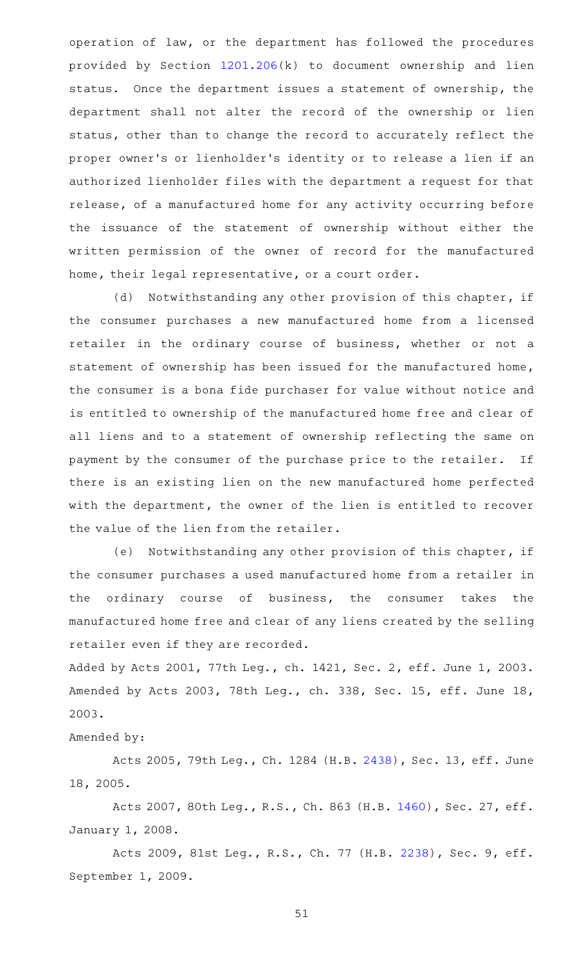operation of law, or the department has followed the procedures provided by Section [1201.206](http://www.statutes.legis.state.tx.us/GetStatute.aspx?Code=OC&Value=1201.206)(k) to document ownership and lien status. Once the department issues a statement of ownership, the department shall not alter the record of the ownership or lien status, other than to change the record to accurately reflect the proper owner 's or lienholder 's identity or to release a lien if an authorized lienholder files with the department a request for that release, of a manufactured home for any activity occurring before the issuance of the statement of ownership without either the written permission of the owner of record for the manufactured home, their legal representative, or a court order.

(d) Notwithstanding any other provision of this chapter, if the consumer purchases a new manufactured home from a licensed retailer in the ordinary course of business, whether or not a statement of ownership has been issued for the manufactured home, the consumer is a bona fide purchaser for value without notice and is entitled to ownership of the manufactured home free and clear of all liens and to a statement of ownership reflecting the same on payment by the consumer of the purchase price to the retailer. If there is an existing lien on the new manufactured home perfected with the department, the owner of the lien is entitled to recover the value of the lien from the retailer.

(e) Notwithstanding any other provision of this chapter, if the consumer purchases a used manufactured home from a retailer in the ordinary course of business, the consumer takes the manufactured home free and clear of any liens created by the selling retailer even if they are recorded.

Added by Acts 2001, 77th Leg., ch. 1421, Sec. 2, eff. June 1, 2003. Amended by Acts 2003, 78th Leg., ch. 338, Sec. 15, eff. June 18, 2003.

Amended by:

Acts 2005, 79th Leg., Ch. 1284 (H.B. [2438\)](http://www.legis.state.tx.us/tlodocs/79R/billtext/html/HB02438F.HTM), Sec. 13, eff. June 18, 2005.

Acts 2007, 80th Leg., R.S., Ch. 863 (H.B. [1460\)](http://www.legis.state.tx.us/tlodocs/80R/billtext/html/HB01460F.HTM), Sec. 27, eff. January 1, 2008.

Acts 2009, 81st Leg., R.S., Ch. 77 (H.B. [2238](http://www.legis.state.tx.us/tlodocs/81R/billtext/html/HB02238F.HTM)), Sec. 9, eff. September 1, 2009.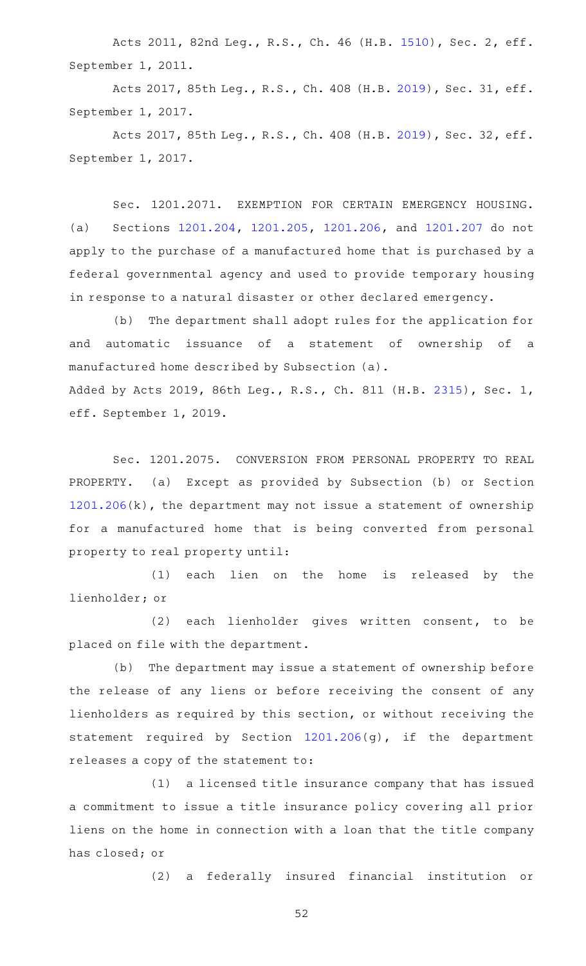Acts 2011, 82nd Leg., R.S., Ch. 46 (H.B. [1510](http://www.legis.state.tx.us/tlodocs/82R/billtext/html/HB01510F.HTM)), Sec. 2, eff. September 1, 2011.

Acts 2017, 85th Leg., R.S., Ch. 408 (H.B. [2019\)](http://www.legis.state.tx.us/tlodocs/85R/billtext/html/HB02019F.HTM), Sec. 31, eff. September 1, 2017.

Acts 2017, 85th Leg., R.S., Ch. 408 (H.B. [2019\)](http://www.legis.state.tx.us/tlodocs/85R/billtext/html/HB02019F.HTM), Sec. 32, eff. September 1, 2017.

Sec. 1201.2071. EXEMPTION FOR CERTAIN EMERGENCY HOUSING. (a) Sections [1201.204](http://www.statutes.legis.state.tx.us/GetStatute.aspx?Code=OC&Value=1201.204), [1201.205](http://www.statutes.legis.state.tx.us/GetStatute.aspx?Code=OC&Value=1201.205), [1201.206,](http://www.statutes.legis.state.tx.us/GetStatute.aspx?Code=OC&Value=1201.206) and [1201.207](http://www.statutes.legis.state.tx.us/GetStatute.aspx?Code=OC&Value=1201.207) do not apply to the purchase of a manufactured home that is purchased by a federal governmental agency and used to provide temporary housing in response to a natural disaster or other declared emergency.

(b) The department shall adopt rules for the application for and automatic issuance of a statement of ownership of a manufactured home described by Subsection (a). Added by Acts 2019, 86th Leg., R.S., Ch. 811 (H.B. [2315](http://www.legis.state.tx.us/tlodocs/86R/billtext/html/HB02315F.HTM)), Sec. 1, eff. September 1, 2019.

Sec. 1201.2075. CONVERSION FROM PERSONAL PROPERTY TO REAL PROPERTY. (a) Except as provided by Subsection (b) or Section [1201.206](http://www.statutes.legis.state.tx.us/GetStatute.aspx?Code=OC&Value=1201.206)(k), the department may not issue a statement of ownership for a manufactured home that is being converted from personal property to real property until:

(1) each lien on the home is released by the lienholder; or

(2) each lienholder gives written consent, to be placed on file with the department.

(b) The department may issue a statement of ownership before the release of any liens or before receiving the consent of any lienholders as required by this section, or without receiving the statement required by Section [1201.206\(](http://www.statutes.legis.state.tx.us/GetStatute.aspx?Code=OC&Value=1201.206)g), if the department releases a copy of the statement to:

(1) a licensed title insurance company that has issued a commitment to issue a title insurance policy covering all prior liens on the home in connection with a loan that the title company has closed; or

(2) a federally insured financial institution or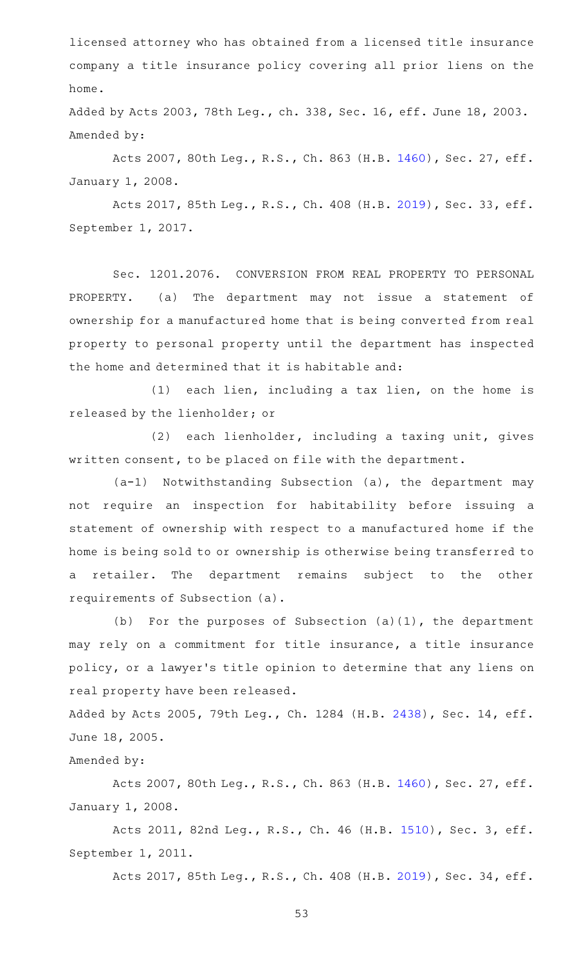licensed attorney who has obtained from a licensed title insurance company a title insurance policy covering all prior liens on the home.

Added by Acts 2003, 78th Leg., ch. 338, Sec. 16, eff. June 18, 2003. Amended by:

Acts 2007, 80th Leg., R.S., Ch. 863 (H.B. [1460\)](http://www.legis.state.tx.us/tlodocs/80R/billtext/html/HB01460F.HTM), Sec. 27, eff. January 1, 2008.

Acts 2017, 85th Leg., R.S., Ch. 408 (H.B. [2019\)](http://www.legis.state.tx.us/tlodocs/85R/billtext/html/HB02019F.HTM), Sec. 33, eff. September 1, 2017.

Sec. 1201.2076. CONVERSION FROM REAL PROPERTY TO PERSONAL PROPERTY. (a) The department may not issue a statement of ownership for a manufactured home that is being converted from real property to personal property until the department has inspected the home and determined that it is habitable and:

 $(1)$  each lien, including a tax lien, on the home is released by the lienholder; or

(2) each lienholder, including a taxing unit, gives written consent, to be placed on file with the department.

 $(a-1)$  Notwithstanding Subsection (a), the department may not require an inspection for habitability before issuing a statement of ownership with respect to a manufactured home if the home is being sold to or ownership is otherwise being transferred to a retailer. The department remains subject to the other requirements of Subsection (a).

(b) For the purposes of Subsection  $(a)(1)$ , the department may rely on a commitment for title insurance, a title insurance policy, or a lawyer 's title opinion to determine that any liens on real property have been released.

Added by Acts 2005, 79th Leg., Ch. 1284 (H.B. [2438](http://www.legis.state.tx.us/tlodocs/79R/billtext/html/HB02438F.HTM)), Sec. 14, eff. June 18, 2005.

Amended by:

Acts 2007, 80th Leg., R.S., Ch. 863 (H.B. [1460\)](http://www.legis.state.tx.us/tlodocs/80R/billtext/html/HB01460F.HTM), Sec. 27, eff. January 1, 2008.

Acts 2011, 82nd Leg., R.S., Ch. 46 (H.B. [1510](http://www.legis.state.tx.us/tlodocs/82R/billtext/html/HB01510F.HTM)), Sec. 3, eff. September 1, 2011.

Acts 2017, 85th Leg., R.S., Ch. 408 (H.B. [2019\)](http://www.legis.state.tx.us/tlodocs/85R/billtext/html/HB02019F.HTM), Sec. 34, eff.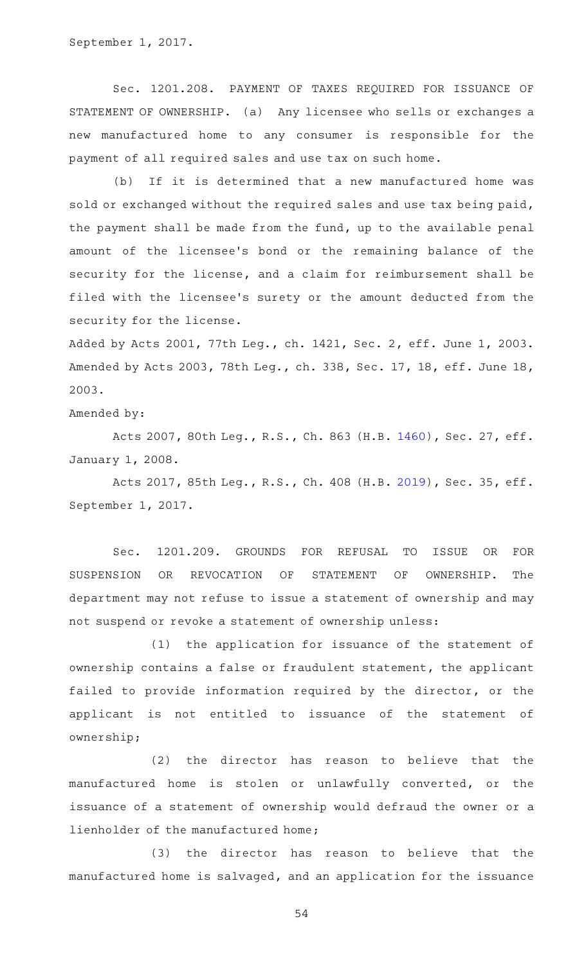September 1, 2017.

Sec. 1201.208. PAYMENT OF TAXES REQUIRED FOR ISSUANCE OF STATEMENT OF OWNERSHIP. (a) Any licensee who sells or exchanges a new manufactured home to any consumer is responsible for the payment of all required sales and use tax on such home.

(b) If it is determined that a new manufactured home was sold or exchanged without the required sales and use tax being paid, the payment shall be made from the fund, up to the available penal amount of the licensee 's bond or the remaining balance of the security for the license, and a claim for reimbursement shall be filed with the licensee 's surety or the amount deducted from the security for the license.

Added by Acts 2001, 77th Leg., ch. 1421, Sec. 2, eff. June 1, 2003. Amended by Acts 2003, 78th Leg., ch. 338, Sec. 17, 18, eff. June 18, 2003.

Amended by:

Acts 2007, 80th Leg., R.S., Ch. 863 (H.B. [1460\)](http://www.legis.state.tx.us/tlodocs/80R/billtext/html/HB01460F.HTM), Sec. 27, eff. January 1, 2008.

Acts 2017, 85th Leg., R.S., Ch. 408 (H.B. [2019\)](http://www.legis.state.tx.us/tlodocs/85R/billtext/html/HB02019F.HTM), Sec. 35, eff. September 1, 2017.

Sec. 1201.209. GROUNDS FOR REFUSAL TO ISSUE OR FOR SUSPENSION OR REVOCATION OF STATEMENT OF OWNERSHIP. The department may not refuse to issue a statement of ownership and may not suspend or revoke a statement of ownership unless:

(1) the application for issuance of the statement of ownership contains a false or fraudulent statement, the applicant failed to provide information required by the director, or the applicant is not entitled to issuance of the statement of ownership;

(2) the director has reason to believe that the manufactured home is stolen or unlawfully converted, or the issuance of a statement of ownership would defraud the owner or a lienholder of the manufactured home;

(3) the director has reason to believe that the manufactured home is salvaged, and an application for the issuance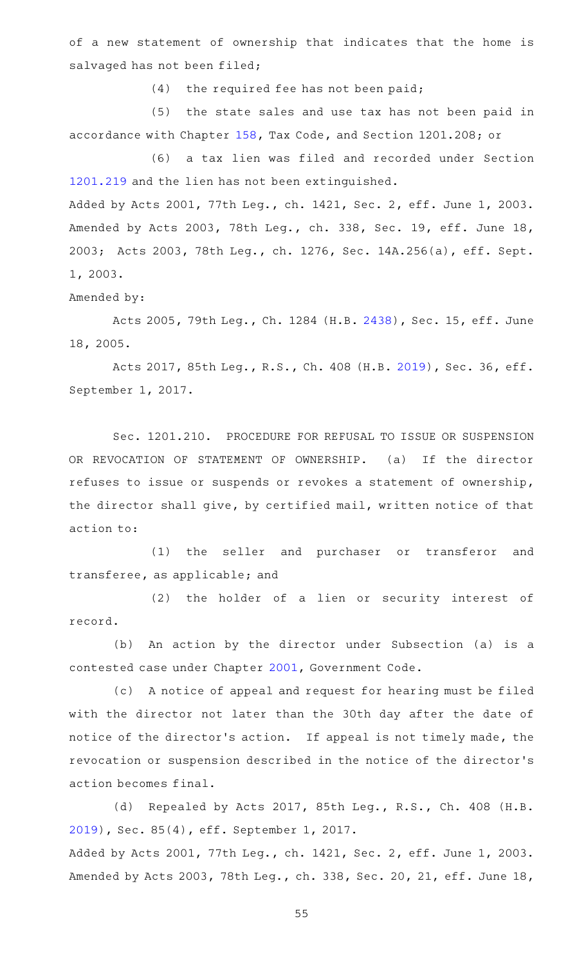of a new statement of ownership that indicates that the home is salvaged has not been filed;

 $(4)$  the required fee has not been paid;

(5) the state sales and use tax has not been paid in accordance with Chapter [158](http://www.statutes.legis.state.tx.us/GetStatute.aspx?Code=TX&Value=158), Tax Code, and Section 1201.208; or

(6) a tax lien was filed and recorded under Section [1201.219](http://www.statutes.legis.state.tx.us/GetStatute.aspx?Code=OC&Value=1201.219) and the lien has not been extinguished.

Added by Acts 2001, 77th Leg., ch. 1421, Sec. 2, eff. June 1, 2003. Amended by Acts 2003, 78th Leg., ch. 338, Sec. 19, eff. June 18, 2003; Acts 2003, 78th Leg., ch. 1276, Sec. 14A.256(a), eff. Sept. 1, 2003.

Amended by:

Acts 2005, 79th Leg., Ch. 1284 (H.B. [2438\)](http://www.legis.state.tx.us/tlodocs/79R/billtext/html/HB02438F.HTM), Sec. 15, eff. June 18, 2005.

Acts 2017, 85th Leg., R.S., Ch. 408 (H.B. [2019\)](http://www.legis.state.tx.us/tlodocs/85R/billtext/html/HB02019F.HTM), Sec. 36, eff. September 1, 2017.

Sec. 1201.210. PROCEDURE FOR REFUSAL TO ISSUE OR SUSPENSION OR REVOCATION OF STATEMENT OF OWNERSHIP. (a) If the director refuses to issue or suspends or revokes a statement of ownership, the director shall give, by certified mail, written notice of that action to:

(1) the seller and purchaser or transferor and transferee, as applicable; and

(2) the holder of a lien or security interest of record.

(b) An action by the director under Subsection (a) is a contested case under Chapter [2001](http://www.statutes.legis.state.tx.us/GetStatute.aspx?Code=GV&Value=2001), Government Code.

(c) A notice of appeal and request for hearing must be filed with the director not later than the 30th day after the date of notice of the director's action. If appeal is not timely made, the revocation or suspension described in the notice of the director 's action becomes final.

(d) Repealed by Acts 2017, 85th Leg., R.S., Ch. 408 (H.B. [2019](http://www.legis.state.tx.us/tlodocs/85R/billtext/html/HB02019F.HTM)), Sec. 85(4), eff. September 1, 2017. Added by Acts 2001, 77th Leg., ch. 1421, Sec. 2, eff. June 1, 2003.

Amended by Acts 2003, 78th Leg., ch. 338, Sec. 20, 21, eff. June 18,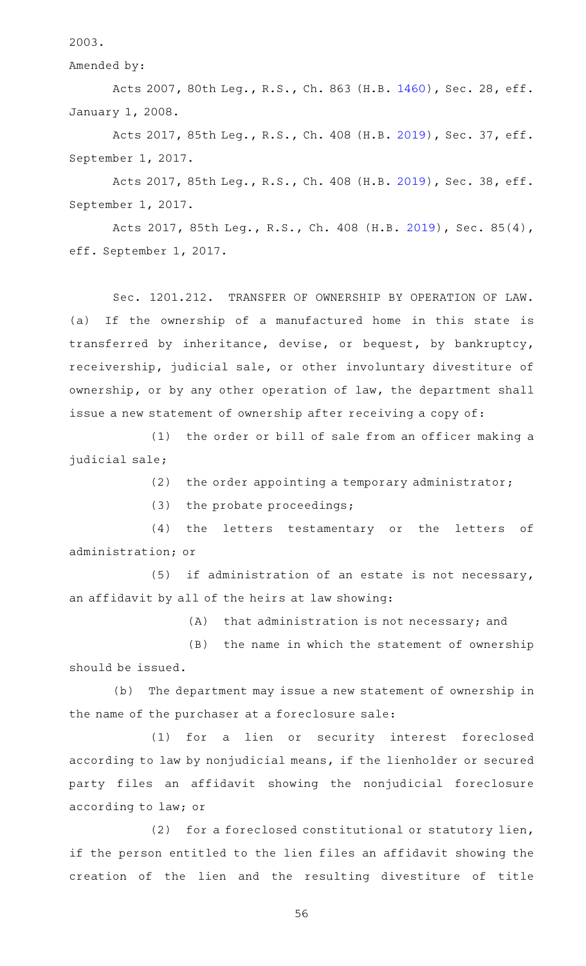2003.

Amended by:

Acts 2007, 80th Leg., R.S., Ch. 863 (H.B. [1460\)](http://www.legis.state.tx.us/tlodocs/80R/billtext/html/HB01460F.HTM), Sec. 28, eff. January 1, 2008.

Acts 2017, 85th Leg., R.S., Ch. 408 (H.B. [2019\)](http://www.legis.state.tx.us/tlodocs/85R/billtext/html/HB02019F.HTM), Sec. 37, eff. September 1, 2017.

Acts 2017, 85th Leg., R.S., Ch. 408 (H.B. [2019\)](http://www.legis.state.tx.us/tlodocs/85R/billtext/html/HB02019F.HTM), Sec. 38, eff. September 1, 2017.

Acts 2017, 85th Leg., R.S., Ch. 408 (H.B. [2019\)](http://www.legis.state.tx.us/tlodocs/85R/billtext/html/HB02019F.HTM), Sec. 85(4), eff. September 1, 2017.

Sec. 1201.212. TRANSFER OF OWNERSHIP BY OPERATION OF LAW. (a) If the ownership of a manufactured home in this state is transferred by inheritance, devise, or bequest, by bankruptcy, receivership, judicial sale, or other involuntary divestiture of ownership, or by any other operation of law, the department shall issue a new statement of ownership after receiving a copy of:

 $(1)$  the order or bill of sale from an officer making a judicial sale;

(2) the order appointing a temporary administrator;

(3) the probate proceedings;

(4) the letters testamentary or the letters of administration; or

 $(5)$  if administration of an estate is not necessary, an affidavit by all of the heirs at law showing:

 $(A)$  that administration is not necessary; and

 $(B)$  the name in which the statement of ownership should be issued.

(b) The department may issue a new statement of ownership in the name of the purchaser at a foreclosure sale:

(1) for a lien or security interest foreclosed according to law by nonjudicial means, if the lienholder or secured party files an affidavit showing the nonjudicial foreclosure according to law; or

(2) for a foreclosed constitutional or statutory lien, if the person entitled to the lien files an affidavit showing the creation of the lien and the resulting divestiture of title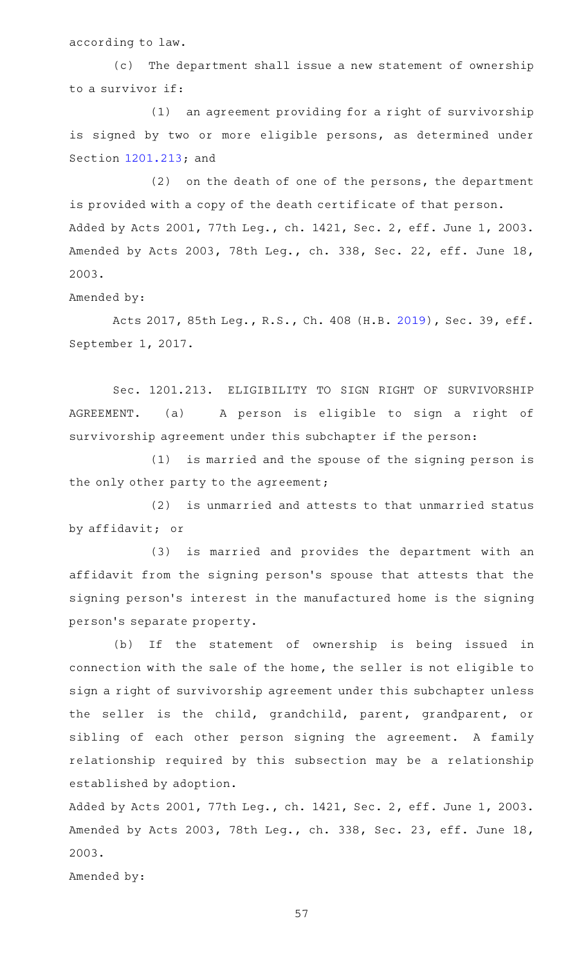according to law.

(c) The department shall issue a new statement of ownership to a survivor if:

(1) an agreement providing for a right of survivorship is signed by two or more eligible persons, as determined under Section [1201.213](http://www.statutes.legis.state.tx.us/GetStatute.aspx?Code=OC&Value=1201.213); and

 $(2)$  on the death of one of the persons, the department is provided with a copy of the death certificate of that person. Added by Acts 2001, 77th Leg., ch. 1421, Sec. 2, eff. June 1, 2003. Amended by Acts 2003, 78th Leg., ch. 338, Sec. 22, eff. June 18, 2003.

Amended by:

Acts 2017, 85th Leg., R.S., Ch. 408 (H.B. [2019\)](http://www.legis.state.tx.us/tlodocs/85R/billtext/html/HB02019F.HTM), Sec. 39, eff. September 1, 2017.

Sec. 1201.213. ELIGIBILITY TO SIGN RIGHT OF SURVIVORSHIP AGREEMENT. (a) A person is eligible to sign a right of survivorship agreement under this subchapter if the person:

 $(1)$  is married and the spouse of the signing person is the only other party to the agreement;

(2) is unmarried and attests to that unmarried status by affidavit; or

(3) is married and provides the department with an affidavit from the signing person 's spouse that attests that the signing person 's interest in the manufactured home is the signing person 's separate property.

(b) If the statement of ownership is being issued in connection with the sale of the home, the seller is not eligible to sign a right of survivorship agreement under this subchapter unless the seller is the child, grandchild, parent, grandparent, or sibling of each other person signing the agreement. A family relationship required by this subsection may be a relationship established by adoption.

Added by Acts 2001, 77th Leg., ch. 1421, Sec. 2, eff. June 1, 2003. Amended by Acts 2003, 78th Leg., ch. 338, Sec. 23, eff. June 18, 2003.

Amended by: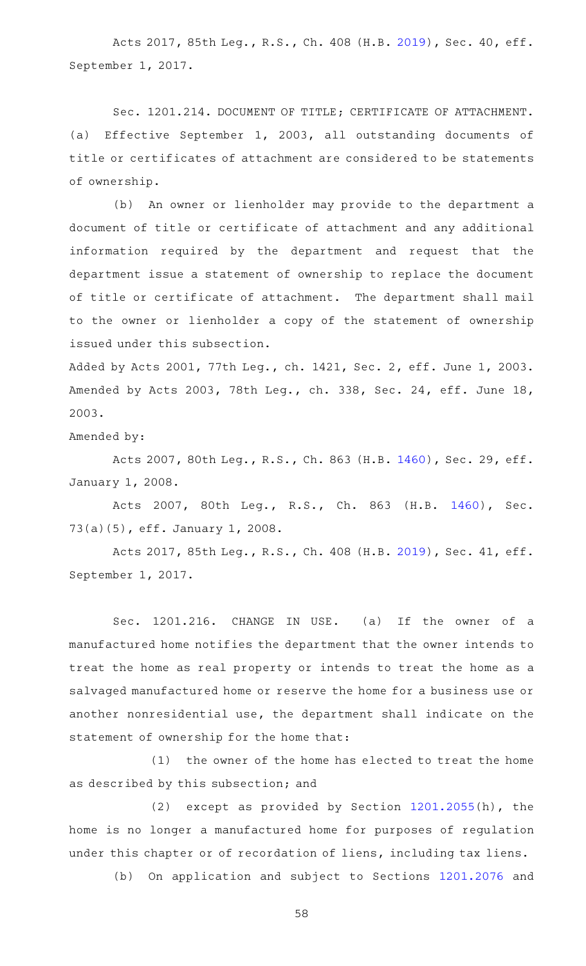Acts 2017, 85th Leg., R.S., Ch. 408 (H.B. [2019\)](http://www.legis.state.tx.us/tlodocs/85R/billtext/html/HB02019F.HTM), Sec. 40, eff. September 1, 2017.

Sec. 1201.214. DOCUMENT OF TITLE; CERTIFICATE OF ATTACHMENT. (a) Effective September 1, 2003, all outstanding documents of title or certificates of attachment are considered to be statements of ownership.

(b) An owner or lienholder may provide to the department a document of title or certificate of attachment and any additional information required by the department and request that the department issue a statement of ownership to replace the document of title or certificate of attachment. The department shall mail to the owner or lienholder a copy of the statement of ownership issued under this subsection.

Added by Acts 2001, 77th Leg., ch. 1421, Sec. 2, eff. June 1, 2003. Amended by Acts 2003, 78th Leg., ch. 338, Sec. 24, eff. June 18, 2003.

Amended by:

Acts 2007, 80th Leg., R.S., Ch. 863 (H.B. [1460\)](http://www.legis.state.tx.us/tlodocs/80R/billtext/html/HB01460F.HTM), Sec. 29, eff. January 1, 2008.

Acts 2007, 80th Leg., R.S., Ch. 863 (H.B. [1460\)](http://www.legis.state.tx.us/tlodocs/80R/billtext/html/HB01460F.HTM), Sec. 73(a)(5), eff. January 1, 2008.

Acts 2017, 85th Leg., R.S., Ch. 408 (H.B. [2019\)](http://www.legis.state.tx.us/tlodocs/85R/billtext/html/HB02019F.HTM), Sec. 41, eff. September 1, 2017.

Sec. 1201.216. CHANGE IN USE. (a) If the owner of a manufactured home notifies the department that the owner intends to treat the home as real property or intends to treat the home as a salvaged manufactured home or reserve the home for a business use or another nonresidential use, the department shall indicate on the statement of ownership for the home that:

(1) the owner of the home has elected to treat the home as described by this subsection; and

(2) except as provided by Section  $1201.2055(h)$  $1201.2055(h)$ , the home is no longer a manufactured home for purposes of regulation under this chapter or of recordation of liens, including tax liens.

(b) On application and subject to Sections [1201.2076](http://www.statutes.legis.state.tx.us/GetStatute.aspx?Code=OC&Value=1201.2076) and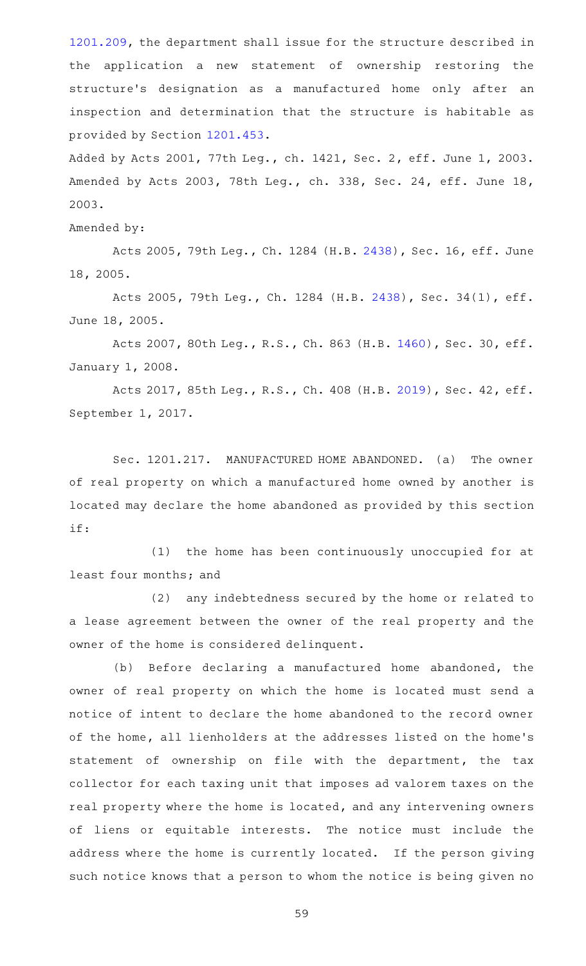[1201.209](http://www.statutes.legis.state.tx.us/GetStatute.aspx?Code=OC&Value=1201.209), the department shall issue for the structure described in the application a new statement of ownership restoring the structure 's designation as a manufactured home only after an inspection and determination that the structure is habitable as provided by Section [1201.453.](http://www.statutes.legis.state.tx.us/GetStatute.aspx?Code=OC&Value=1201.453)

Added by Acts 2001, 77th Leg., ch. 1421, Sec. 2, eff. June 1, 2003. Amended by Acts 2003, 78th Leg., ch. 338, Sec. 24, eff. June 18, 2003.

Amended by:

Acts 2005, 79th Leg., Ch. 1284 (H.B. [2438\)](http://www.legis.state.tx.us/tlodocs/79R/billtext/html/HB02438F.HTM), Sec. 16, eff. June 18, 2005.

Acts 2005, 79th Leg., Ch. 1284 (H.B. [2438](http://www.legis.state.tx.us/tlodocs/79R/billtext/html/HB02438F.HTM)), Sec. 34(1), eff. June 18, 2005.

Acts 2007, 80th Leg., R.S., Ch. 863 (H.B. [1460\)](http://www.legis.state.tx.us/tlodocs/80R/billtext/html/HB01460F.HTM), Sec. 30, eff. January 1, 2008.

Acts 2017, 85th Leg., R.S., Ch. 408 (H.B. [2019\)](http://www.legis.state.tx.us/tlodocs/85R/billtext/html/HB02019F.HTM), Sec. 42, eff. September 1, 2017.

Sec. 1201.217. MANUFACTURED HOME ABANDONED. (a) The owner of real property on which a manufactured home owned by another is located may declare the home abandoned as provided by this section if:

(1) the home has been continuously unoccupied for at least four months; and

(2) any indebtedness secured by the home or related to a lease agreement between the owner of the real property and the owner of the home is considered delinquent.

(b) Before declaring a manufactured home abandoned, the owner of real property on which the home is located must send a notice of intent to declare the home abandoned to the record owner of the home, all lienholders at the addresses listed on the home 's statement of ownership on file with the department, the tax collector for each taxing unit that imposes ad valorem taxes on the real property where the home is located, and any intervening owners of liens or equitable interests. The notice must include the address where the home is currently located. If the person giving such notice knows that a person to whom the notice is being given no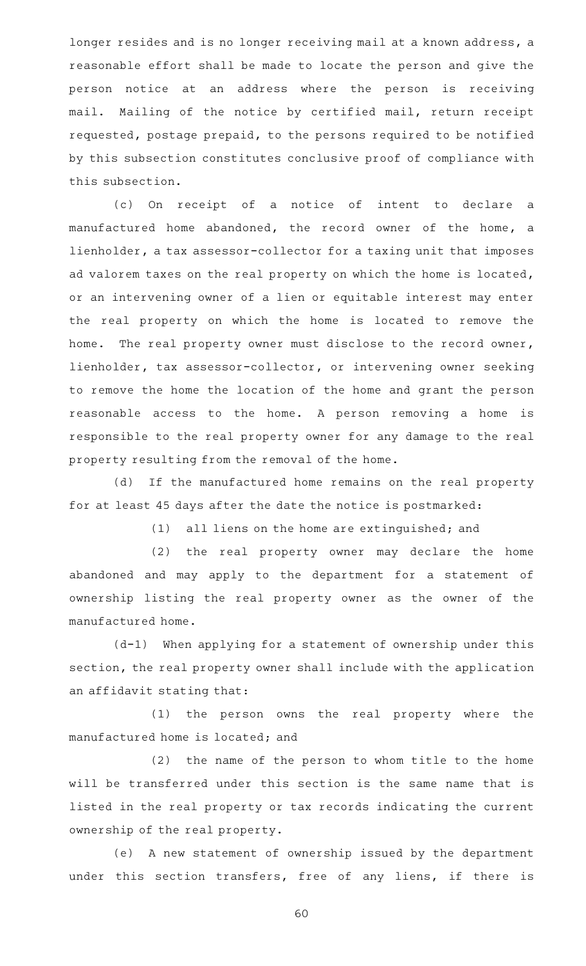longer resides and is no longer receiving mail at a known address, a reasonable effort shall be made to locate the person and give the person notice at an address where the person is receiving mail. Mailing of the notice by certified mail, return receipt requested, postage prepaid, to the persons required to be notified by this subsection constitutes conclusive proof of compliance with this subsection.

(c) On receipt of a notice of intent to declare a manufactured home abandoned, the record owner of the home, a lienholder, a tax assessor-collector for a taxing unit that imposes ad valorem taxes on the real property on which the home is located, or an intervening owner of a lien or equitable interest may enter the real property on which the home is located to remove the home. The real property owner must disclose to the record owner, lienholder, tax assessor-collector, or intervening owner seeking to remove the home the location of the home and grant the person reasonable access to the home. A person removing a home is responsible to the real property owner for any damage to the real property resulting from the removal of the home.

(d) If the manufactured home remains on the real property for at least 45 days after the date the notice is postmarked:

(1) all liens on the home are extinguished; and

(2) the real property owner may declare the home abandoned and may apply to the department for a statement of ownership listing the real property owner as the owner of the manufactured home.

 $(d-1)$  When applying for a statement of ownership under this section, the real property owner shall include with the application an affidavit stating that:

(1) the person owns the real property where the manufactured home is located; and

(2) the name of the person to whom title to the home will be transferred under this section is the same name that is listed in the real property or tax records indicating the current ownership of the real property.

(e) A new statement of ownership issued by the department under this section transfers, free of any liens, if there is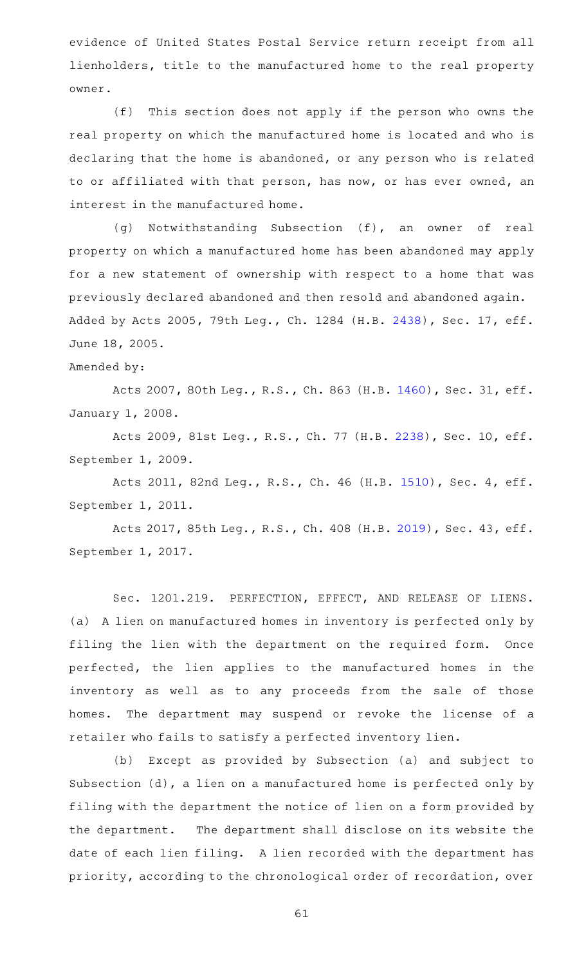evidence of United States Postal Service return receipt from all lienholders, title to the manufactured home to the real property owner.

 $(f)$  This section does not apply if the person who owns the real property on which the manufactured home is located and who is declaring that the home is abandoned, or any person who is related to or affiliated with that person, has now, or has ever owned, an interest in the manufactured home.

(g) Notwithstanding Subsection (f), an owner of real property on which a manufactured home has been abandoned may apply for a new statement of ownership with respect to a home that was previously declared abandoned and then resold and abandoned again. Added by Acts 2005, 79th Leg., Ch. 1284 (H.B. [2438](http://www.legis.state.tx.us/tlodocs/79R/billtext/html/HB02438F.HTM)), Sec. 17, eff. June 18, 2005.

Amended by:

Acts 2007, 80th Leg., R.S., Ch. 863 (H.B. [1460\)](http://www.legis.state.tx.us/tlodocs/80R/billtext/html/HB01460F.HTM), Sec. 31, eff. January 1, 2008.

Acts 2009, 81st Leg., R.S., Ch. 77 (H.B. [2238\)](http://www.legis.state.tx.us/tlodocs/81R/billtext/html/HB02238F.HTM), Sec. 10, eff. September 1, 2009.

Acts 2011, 82nd Leg., R.S., Ch. 46 (H.B. [1510](http://www.legis.state.tx.us/tlodocs/82R/billtext/html/HB01510F.HTM)), Sec. 4, eff. September 1, 2011.

Acts 2017, 85th Leg., R.S., Ch. 408 (H.B. [2019\)](http://www.legis.state.tx.us/tlodocs/85R/billtext/html/HB02019F.HTM), Sec. 43, eff. September 1, 2017.

Sec. 1201.219. PERFECTION, EFFECT, AND RELEASE OF LIENS. (a) A lien on manufactured homes in inventory is perfected only by filing the lien with the department on the required form. Once perfected, the lien applies to the manufactured homes in the inventory as well as to any proceeds from the sale of those homes. The department may suspend or revoke the license of a retailer who fails to satisfy a perfected inventory lien.

(b) Except as provided by Subsection (a) and subject to Subsection (d), a lien on a manufactured home is perfected only by filing with the department the notice of lien on a form provided by the department. The department shall disclose on its website the date of each lien filing. A lien recorded with the department has priority, according to the chronological order of recordation, over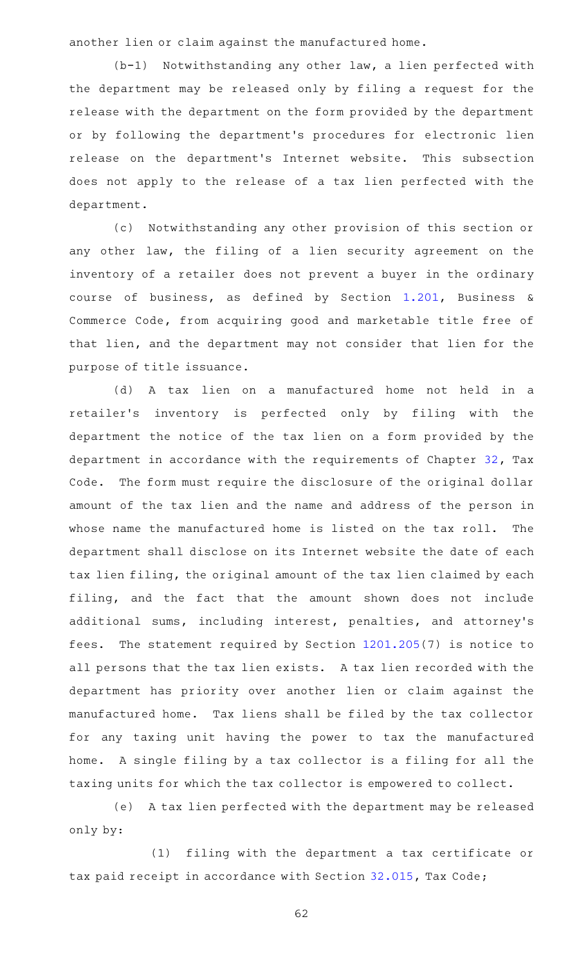another lien or claim against the manufactured home.

 $(b-1)$  Notwithstanding any other law, a lien perfected with the department may be released only by filing a request for the release with the department on the form provided by the department or by following the department 's procedures for electronic lien release on the department's Internet website. This subsection does not apply to the release of a tax lien perfected with the department.

(c) Notwithstanding any other provision of this section or any other law, the filing of a lien security agreement on the inventory of a retailer does not prevent a buyer in the ordinary course of business, as defined by Section [1.201](http://www.statutes.legis.state.tx.us/GetStatute.aspx?Code=BC&Value=1.201), Business & Commerce Code, from acquiring good and marketable title free of that lien, and the department may not consider that lien for the purpose of title issuance.

(d)AAA tax lien on a manufactured home not held in a retailer 's inventory is perfected only by filing with the department the notice of the tax lien on a form provided by the department in accordance with the requirements of Chapter [32,](http://www.statutes.legis.state.tx.us/GetStatute.aspx?Code=TX&Value=32) Tax Code. The form must require the disclosure of the original dollar amount of the tax lien and the name and address of the person in whose name the manufactured home is listed on the tax roll. The department shall disclose on its Internet website the date of each tax lien filing, the original amount of the tax lien claimed by each filing, and the fact that the amount shown does not include additional sums, including interest, penalties, and attorney's fees. The statement required by Section [1201.205\(](http://www.statutes.legis.state.tx.us/GetStatute.aspx?Code=OC&Value=1201.205)7) is notice to all persons that the tax lien exists. A tax lien recorded with the department has priority over another lien or claim against the manufactured home. Tax liens shall be filed by the tax collector for any taxing unit having the power to tax the manufactured home. A single filing by a tax collector is a filing for all the taxing units for which the tax collector is empowered to collect.

(e) A tax lien perfected with the department may be released only by:

(1) filing with the department a tax certificate or tax paid receipt in accordance with Section [32.015,](http://www.statutes.legis.state.tx.us/GetStatute.aspx?Code=TX&Value=32.015) Tax Code;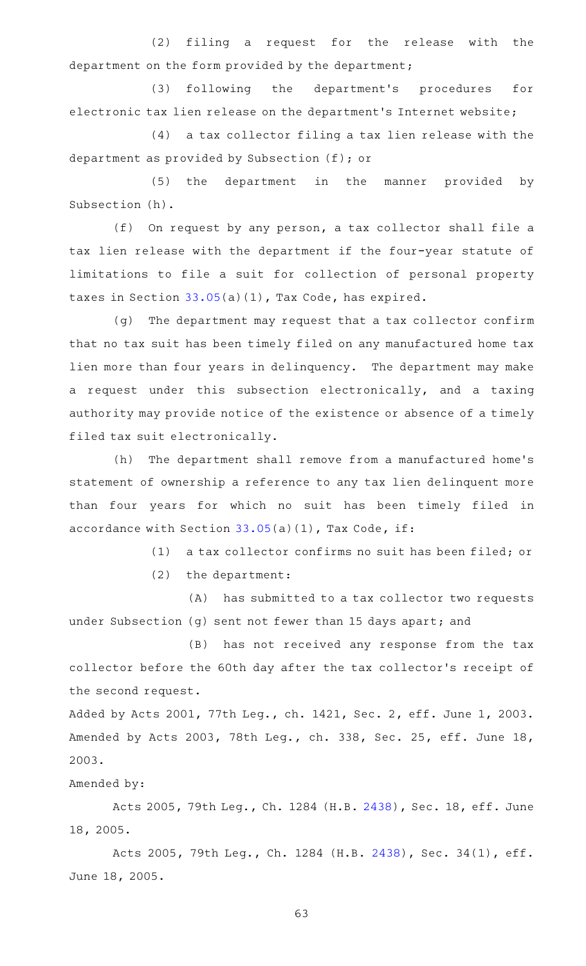(2) filing a request for the release with the department on the form provided by the department;

(3) following the department's procedures for electronic tax lien release on the department's Internet website;

 $(4)$  a tax collector filing a tax lien release with the department as provided by Subsection (f); or

(5) the department in the manner provided by Subsection (h).

 $(f)$  On request by any person, a tax collector shall file a tax lien release with the department if the four-year statute of limitations to file a suit for collection of personal property taxes in Section [33.05\(](http://www.statutes.legis.state.tx.us/GetStatute.aspx?Code=TX&Value=33.05)a)(1), Tax Code, has expired.

(g) The department may request that a tax collector confirm that no tax suit has been timely filed on any manufactured home tax lien more than four years in delinquency. The department may make a request under this subsection electronically, and a taxing authority may provide notice of the existence or absence of a timely filed tax suit electronically.

(h) The department shall remove from a manufactured home's statement of ownership a reference to any tax lien delinquent more than four years for which no suit has been timely filed in accordance with Section  $33.05(a)(1)$  $33.05(a)(1)$ , Tax Code, if:

(1) a tax collector confirms no suit has been filed; or

 $(2)$  the department:

(A) has submitted to a tax collector two requests under Subsection (g) sent not fewer than 15 days apart; and

(B) has not received any response from the tax collector before the 60th day after the tax collector 's receipt of the second request.

Added by Acts 2001, 77th Leg., ch. 1421, Sec. 2, eff. June 1, 2003. Amended by Acts 2003, 78th Leg., ch. 338, Sec. 25, eff. June 18, 2003.

## Amended by:

Acts 2005, 79th Leg., Ch. 1284 (H.B. [2438\)](http://www.legis.state.tx.us/tlodocs/79R/billtext/html/HB02438F.HTM), Sec. 18, eff. June 18, 2005.

Acts 2005, 79th Leg., Ch. 1284 (H.B. [2438](http://www.legis.state.tx.us/tlodocs/79R/billtext/html/HB02438F.HTM)), Sec. 34(1), eff. June 18, 2005.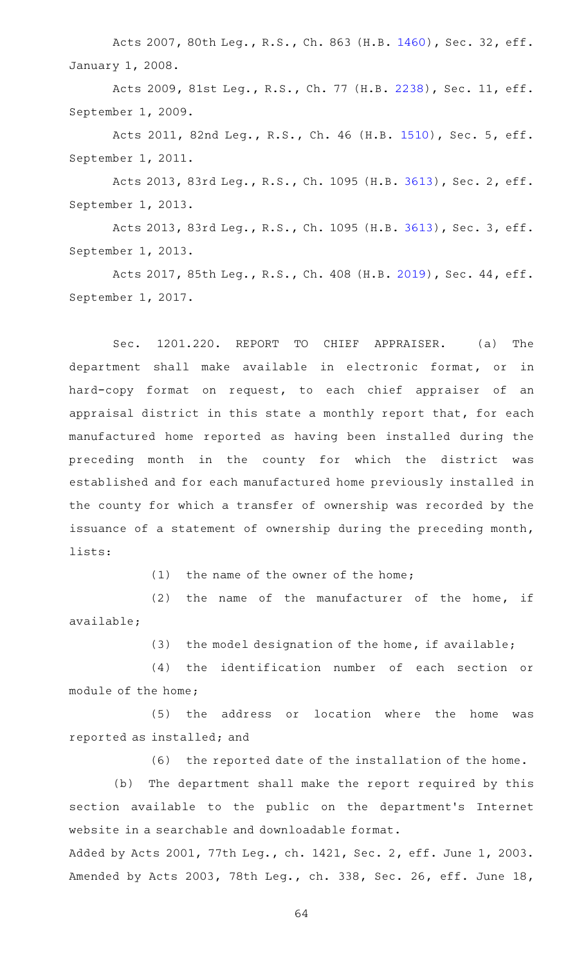Acts 2007, 80th Leg., R.S., Ch. 863 (H.B. [1460\)](http://www.legis.state.tx.us/tlodocs/80R/billtext/html/HB01460F.HTM), Sec. 32, eff. January 1, 2008.

Acts 2009, 81st Leg., R.S., Ch. 77 (H.B. [2238\)](http://www.legis.state.tx.us/tlodocs/81R/billtext/html/HB02238F.HTM), Sec. 11, eff. September 1, 2009.

Acts 2011, 82nd Leg., R.S., Ch. 46 (H.B. [1510](http://www.legis.state.tx.us/tlodocs/82R/billtext/html/HB01510F.HTM)), Sec. 5, eff. September 1, 2011.

Acts 2013, 83rd Leg., R.S., Ch. 1095 (H.B. [3613](http://www.legis.state.tx.us/tlodocs/83R/billtext/html/HB03613F.HTM)), Sec. 2, eff. September 1, 2013.

Acts 2013, 83rd Leg., R.S., Ch. 1095 (H.B. [3613](http://www.legis.state.tx.us/tlodocs/83R/billtext/html/HB03613F.HTM)), Sec. 3, eff. September 1, 2013.

Acts 2017, 85th Leg., R.S., Ch. 408 (H.B. [2019\)](http://www.legis.state.tx.us/tlodocs/85R/billtext/html/HB02019F.HTM), Sec. 44, eff. September 1, 2017.

Sec. 1201.220. REPORT TO CHIEF APPRAISER. (a) The department shall make available in electronic format, or in hard-copy format on request, to each chief appraiser of an appraisal district in this state a monthly report that, for each manufactured home reported as having been installed during the preceding month in the county for which the district was established and for each manufactured home previously installed in the county for which a transfer of ownership was recorded by the issuance of a statement of ownership during the preceding month, lists:

(1) the name of the owner of the home;

 $(2)$  the name of the manufacturer of the home, if available;

(3) the model designation of the home, if available;

(4) the identification number of each section or module of the home;

(5) the address or location where the home was reported as installed; and

(6) the reported date of the installation of the home.

(b) The department shall make the report required by this section available to the public on the department's Internet website in a searchable and downloadable format.

Added by Acts 2001, 77th Leg., ch. 1421, Sec. 2, eff. June 1, 2003. Amended by Acts 2003, 78th Leg., ch. 338, Sec. 26, eff. June 18,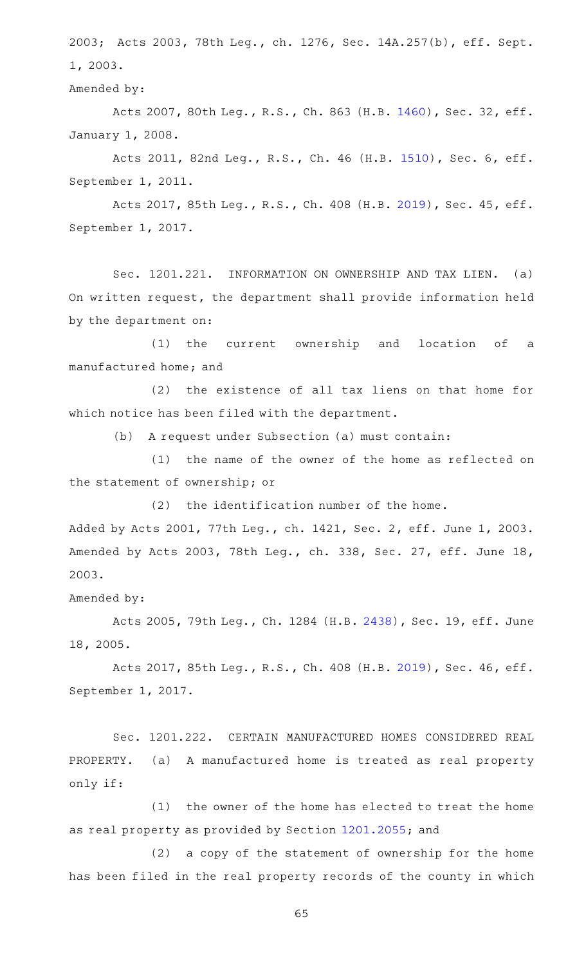2003; Acts 2003, 78th Leg., ch. 1276, Sec. 14A.257(b), eff. Sept. 1, 2003.

Amended by:

Acts 2007, 80th Leg., R.S., Ch. 863 (H.B. [1460\)](http://www.legis.state.tx.us/tlodocs/80R/billtext/html/HB01460F.HTM), Sec. 32, eff. January 1, 2008.

Acts 2011, 82nd Leg., R.S., Ch. 46 (H.B. [1510](http://www.legis.state.tx.us/tlodocs/82R/billtext/html/HB01510F.HTM)), Sec. 6, eff. September 1, 2011.

Acts 2017, 85th Leg., R.S., Ch. 408 (H.B. [2019\)](http://www.legis.state.tx.us/tlodocs/85R/billtext/html/HB02019F.HTM), Sec. 45, eff. September 1, 2017.

Sec. 1201.221. INFORMATION ON OWNERSHIP AND TAX LIEN. (a) On written request, the department shall provide information held by the department on:

(1) the current ownership and location of a manufactured home; and

 $(2)$  the existence of all tax liens on that home for which notice has been filed with the department.

(b) A request under Subsection (a) must contain:

(1) the name of the owner of the home as reflected on the statement of ownership; or

 $(2)$  the identification number of the home. Added by Acts 2001, 77th Leg., ch. 1421, Sec. 2, eff. June 1, 2003.

Amended by Acts 2003, 78th Leg., ch. 338, Sec. 27, eff. June 18, 2003.

Amended by:

Acts 2005, 79th Leg., Ch. 1284 (H.B. [2438\)](http://www.legis.state.tx.us/tlodocs/79R/billtext/html/HB02438F.HTM), Sec. 19, eff. June 18, 2005.

Acts 2017, 85th Leg., R.S., Ch. 408 (H.B. [2019\)](http://www.legis.state.tx.us/tlodocs/85R/billtext/html/HB02019F.HTM), Sec. 46, eff. September 1, 2017.

Sec. 1201.222. CERTAIN MANUFACTURED HOMES CONSIDERED REAL PROPERTY. (a) A manufactured home is treated as real property only if:

 $(1)$  the owner of the home has elected to treat the home as real property as provided by Section [1201.2055](http://www.statutes.legis.state.tx.us/GetStatute.aspx?Code=OC&Value=1201.2055); and

(2) a copy of the statement of ownership for the home has been filed in the real property records of the county in which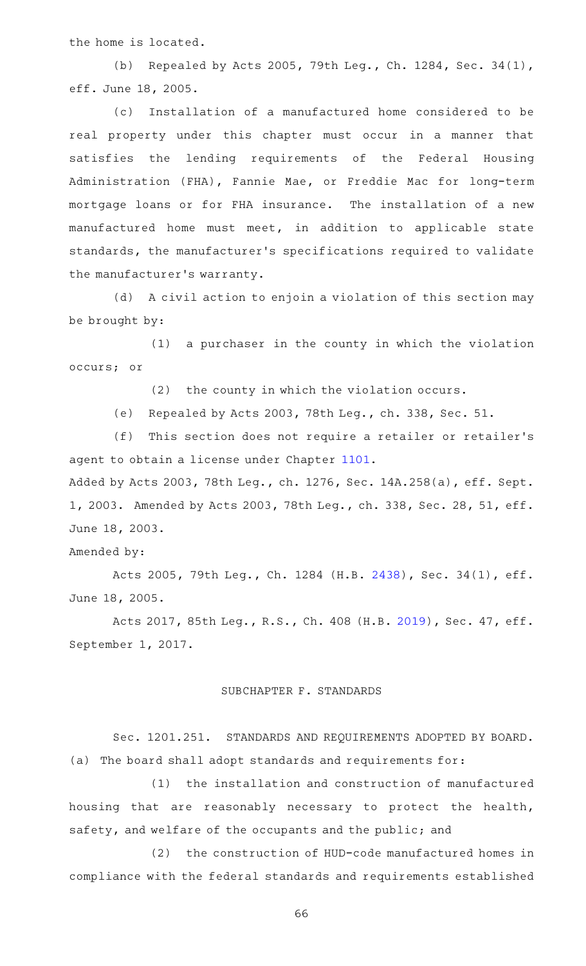the home is located.

(b) Repealed by Acts 2005, 79th Leg., Ch. 1284, Sec. 34(1), eff. June 18, 2005.

(c) Installation of a manufactured home considered to be real property under this chapter must occur in a manner that satisfies the lending requirements of the Federal Housing Administration (FHA), Fannie Mae, or Freddie Mac for long-term mortgage loans or for FHA insurance. The installation of a new manufactured home must meet, in addition to applicable state standards, the manufacturer 's specifications required to validate the manufacturer 's warranty.

(d) A civil action to enjoin a violation of this section may be brought by:

 $(1)$  a purchaser in the county in which the violation occurs; or

 $(2)$  the county in which the violation occurs.

(e) Repealed by Acts 2003, 78th Leg., ch. 338, Sec. 51.

(f) This section does not require a retailer or retailer's agent to obtain a license under Chapter [1101.](http://www.statutes.legis.state.tx.us/GetStatute.aspx?Code=OC&Value=1101)

Added by Acts 2003, 78th Leg., ch. 1276, Sec. 14A.258(a), eff. Sept. 1, 2003. Amended by Acts 2003, 78th Leg., ch. 338, Sec. 28, 51, eff. June 18, 2003.

Amended by:

Acts 2005, 79th Leg., Ch. 1284 (H.B. [2438](http://www.legis.state.tx.us/tlodocs/79R/billtext/html/HB02438F.HTM)), Sec. 34(1), eff. June 18, 2005.

Acts 2017, 85th Leg., R.S., Ch. 408 (H.B. [2019\)](http://www.legis.state.tx.us/tlodocs/85R/billtext/html/HB02019F.HTM), Sec. 47, eff. September 1, 2017.

## SUBCHAPTER F. STANDARDS

Sec. 1201.251. STANDARDS AND REQUIREMENTS ADOPTED BY BOARD. (a) The board shall adopt standards and requirements for:

(1) the installation and construction of manufactured housing that are reasonably necessary to protect the health, safety, and welfare of the occupants and the public; and

(2) the construction of HUD-code manufactured homes in compliance with the federal standards and requirements established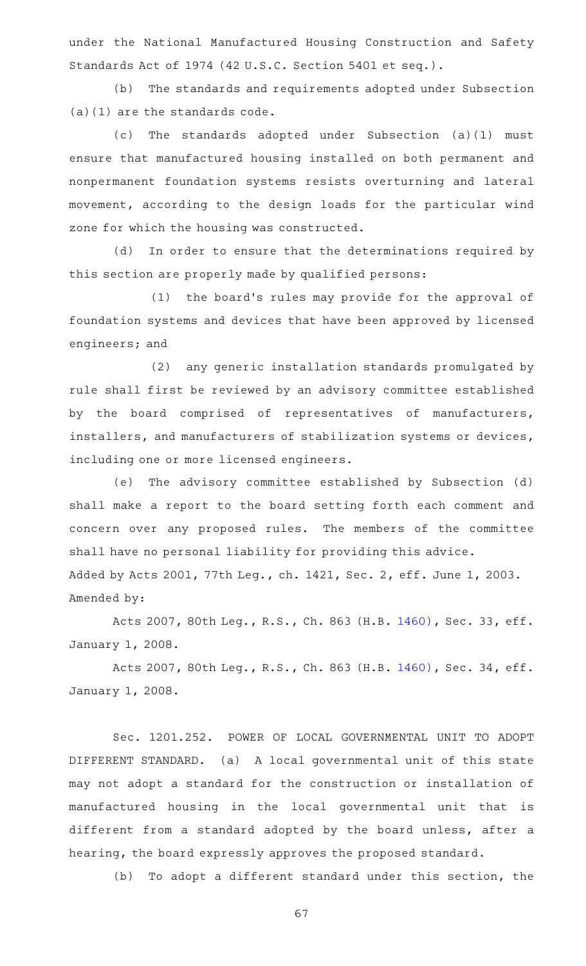under the National Manufactured Housing Construction and Safety Standards Act of 1974 (42 U.S.C. Section 5401 et seq.).

(b) The standards and requirements adopted under Subsection (a)(1) are the standards code.

(c) The standards adopted under Subsection (a)(1) must ensure that manufactured housing installed on both permanent and nonpermanent foundation systems resists overturning and lateral movement, according to the design loads for the particular wind zone for which the housing was constructed.

(d) In order to ensure that the determinations required by this section are properly made by qualified persons:

(1) the board's rules may provide for the approval of foundation systems and devices that have been approved by licensed engineers; and

(2) any generic installation standards promulgated by rule shall first be reviewed by an advisory committee established by the board comprised of representatives of manufacturers, installers, and manufacturers of stabilization systems or devices, including one or more licensed engineers.

(e) The advisory committee established by Subsection (d) shall make a report to the board setting forth each comment and concern over any proposed rules. The members of the committee shall have no personal liability for providing this advice. Added by Acts 2001, 77th Leg., ch. 1421, Sec. 2, eff. June 1, 2003. Amended by:

Acts 2007, 80th Leg., R.S., Ch. 863 (H.B. [1460\)](http://www.legis.state.tx.us/tlodocs/80R/billtext/html/HB01460F.HTM), Sec. 33, eff. January 1, 2008.

Acts 2007, 80th Leg., R.S., Ch. 863 (H.B. [1460\)](http://www.legis.state.tx.us/tlodocs/80R/billtext/html/HB01460F.HTM), Sec. 34, eff. January 1, 2008.

Sec. 1201.252. POWER OF LOCAL GOVERNMENTAL UNIT TO ADOPT DIFFERENT STANDARD. (a) A local governmental unit of this state may not adopt a standard for the construction or installation of manufactured housing in the local governmental unit that is different from a standard adopted by the board unless, after a hearing, the board expressly approves the proposed standard.

(b) To adopt a different standard under this section, the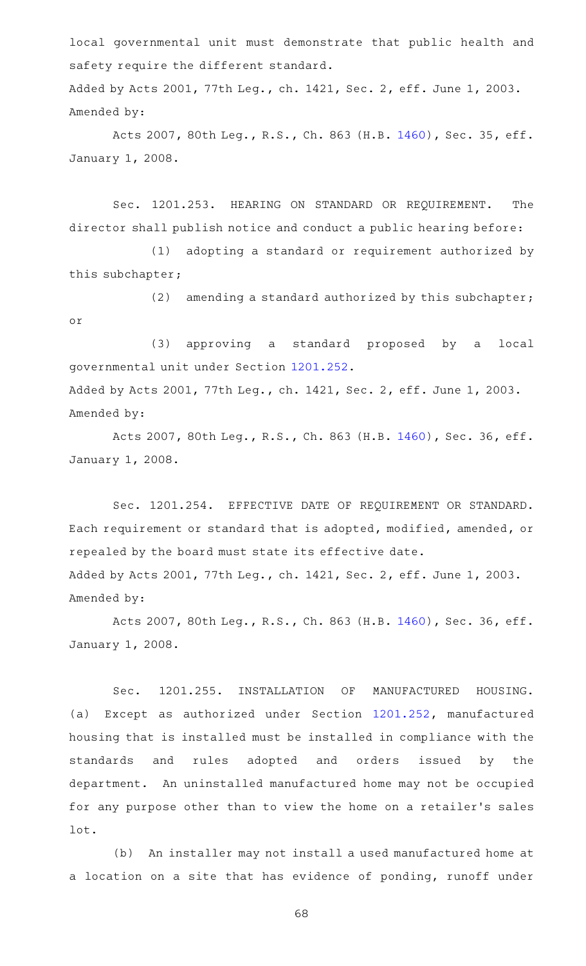local governmental unit must demonstrate that public health and safety require the different standard.

Added by Acts 2001, 77th Leg., ch. 1421, Sec. 2, eff. June 1, 2003. Amended by:

Acts 2007, 80th Leg., R.S., Ch. 863 (H.B. [1460\)](http://www.legis.state.tx.us/tlodocs/80R/billtext/html/HB01460F.HTM), Sec. 35, eff. January 1, 2008.

Sec. 1201.253. HEARING ON STANDARD OR REQUIREMENT. The director shall publish notice and conduct a public hearing before:

(1) adopting a standard or requirement authorized by this subchapter;

(2) amending a standard authorized by this subchapter; or

(3) approving a standard proposed by a local governmental unit under Section [1201.252.](http://www.statutes.legis.state.tx.us/GetStatute.aspx?Code=OC&Value=1201.252) Added by Acts 2001, 77th Leg., ch. 1421, Sec. 2, eff. June 1, 2003. Amended by:

Acts 2007, 80th Leg., R.S., Ch. 863 (H.B. [1460\)](http://www.legis.state.tx.us/tlodocs/80R/billtext/html/HB01460F.HTM), Sec. 36, eff. January 1, 2008.

Sec. 1201.254. EFFECTIVE DATE OF REQUIREMENT OR STANDARD. Each requirement or standard that is adopted, modified, amended, or repealed by the board must state its effective date. Added by Acts 2001, 77th Leg., ch. 1421, Sec. 2, eff. June 1, 2003. Amended by:

Acts 2007, 80th Leg., R.S., Ch. 863 (H.B. [1460\)](http://www.legis.state.tx.us/tlodocs/80R/billtext/html/HB01460F.HTM), Sec. 36, eff. January 1, 2008.

Sec. 1201.255. INSTALLATION OF MANUFACTURED HOUSING. (a) Except as authorized under Section [1201.252](http://www.statutes.legis.state.tx.us/GetStatute.aspx?Code=OC&Value=1201.252), manufactured housing that is installed must be installed in compliance with the standards and rules adopted and orders issued by the department. An uninstalled manufactured home may not be occupied for any purpose other than to view the home on a retailer 's sales lot.

(b) An installer may not install a used manufactured home at a location on a site that has evidence of ponding, runoff under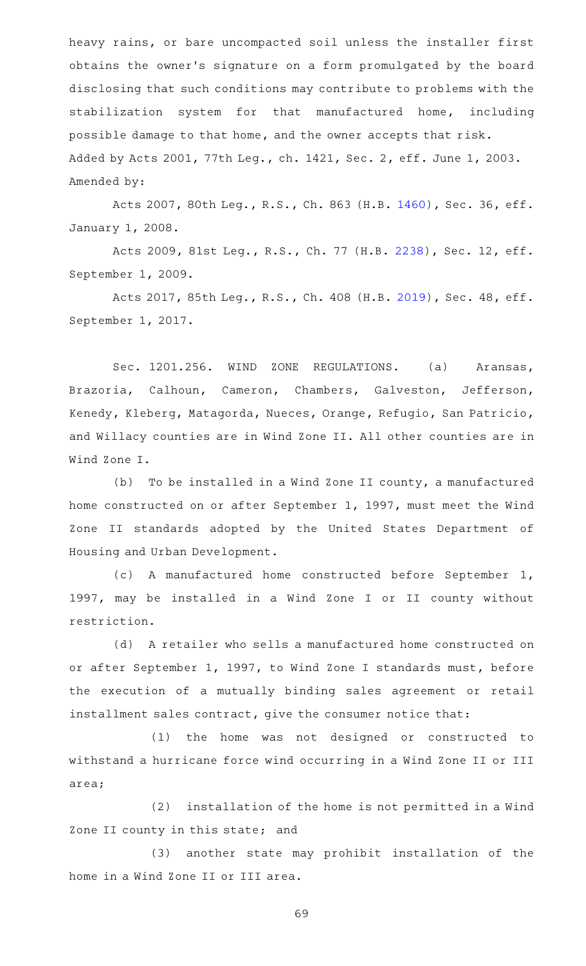heavy rains, or bare uncompacted soil unless the installer first obtains the owner 's signature on a form promulgated by the board disclosing that such conditions may contribute to problems with the stabilization system for that manufactured home, including possible damage to that home, and the owner accepts that risk. Added by Acts 2001, 77th Leg., ch. 1421, Sec. 2, eff. June 1, 2003. Amended by:

Acts 2007, 80th Leg., R.S., Ch. 863 (H.B. [1460\)](http://www.legis.state.tx.us/tlodocs/80R/billtext/html/HB01460F.HTM), Sec. 36, eff. January 1, 2008.

Acts 2009, 81st Leg., R.S., Ch. 77 (H.B. [2238\)](http://www.legis.state.tx.us/tlodocs/81R/billtext/html/HB02238F.HTM), Sec. 12, eff. September 1, 2009.

Acts 2017, 85th Leg., R.S., Ch. 408 (H.B. [2019\)](http://www.legis.state.tx.us/tlodocs/85R/billtext/html/HB02019F.HTM), Sec. 48, eff. September 1, 2017.

Sec. 1201.256. WIND ZONE REGULATIONS. (a) Aransas, Brazoria, Calhoun, Cameron, Chambers, Galveston, Jefferson, Kenedy, Kleberg, Matagorda, Nueces, Orange, Refugio, San Patricio, and Willacy counties are in Wind Zone II. All other counties are in Wind Zone I.

(b) To be installed in a Wind Zone II county, a manufactured home constructed on or after September 1, 1997, must meet the Wind Zone II standards adopted by the United States Department of Housing and Urban Development.

(c)AAA manufactured home constructed before September 1, 1997, may be installed in a Wind Zone I or II county without restriction.

(d) A retailer who sells a manufactured home constructed on or after September 1, 1997, to Wind Zone I standards must, before the execution of a mutually binding sales agreement or retail installment sales contract, give the consumer notice that:

(1) the home was not designed or constructed to withstand a hurricane force wind occurring in a Wind Zone II or III area;

(2) installation of the home is not permitted in a Wind Zone II county in this state; and

(3) another state may prohibit installation of the home in a Wind Zone II or III area.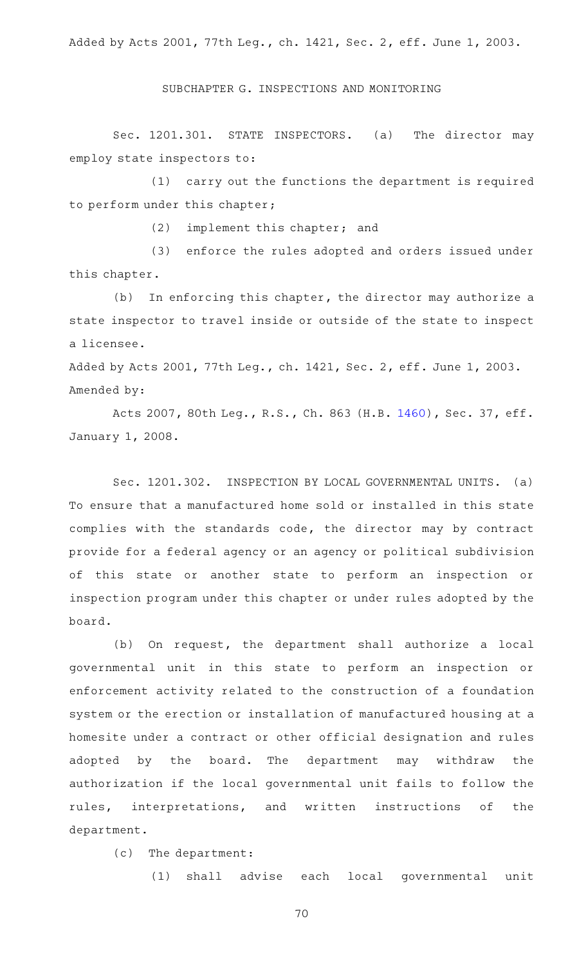Added by Acts 2001, 77th Leg., ch. 1421, Sec. 2, eff. June 1, 2003.

SUBCHAPTER G. INSPECTIONS AND MONITORING

Sec. 1201.301. STATE INSPECTORS. (a) The director may employ state inspectors to:

 $(1)$  carry out the functions the department is required to perform under this chapter;

 $(2)$  implement this chapter; and

(3) enforce the rules adopted and orders issued under this chapter.

 $(b)$  In enforcing this chapter, the director may authorize a state inspector to travel inside or outside of the state to inspect a licensee.

Added by Acts 2001, 77th Leg., ch. 1421, Sec. 2, eff. June 1, 2003. Amended by:

Acts 2007, 80th Leg., R.S., Ch. 863 (H.B. [1460\)](http://www.legis.state.tx.us/tlodocs/80R/billtext/html/HB01460F.HTM), Sec. 37, eff. January 1, 2008.

Sec. 1201.302. INSPECTION BY LOCAL GOVERNMENTAL UNITS. (a) To ensure that a manufactured home sold or installed in this state complies with the standards code, the director may by contract provide for a federal agency or an agency or political subdivision of this state or another state to perform an inspection or inspection program under this chapter or under rules adopted by the board.

(b) On request, the department shall authorize a local governmental unit in this state to perform an inspection or enforcement activity related to the construction of a foundation system or the erection or installation of manufactured housing at a homesite under a contract or other official designation and rules adopted by the board. The department may withdraw the authorization if the local governmental unit fails to follow the rules, interpretations, and written instructions of the department.

(c) The department:

(1) shall advise each local governmental unit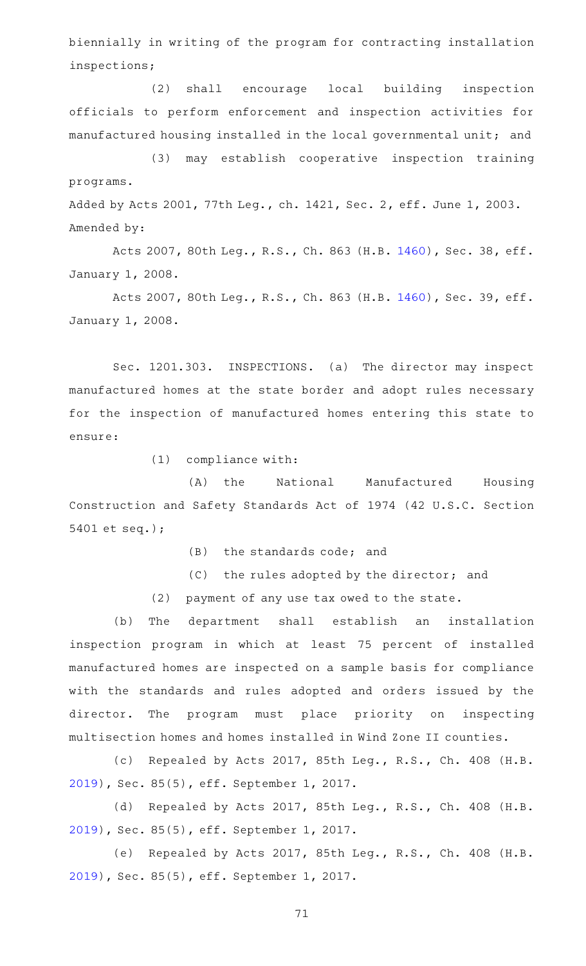biennially in writing of the program for contracting installation inspections;

(2) shall encourage local building inspection officials to perform enforcement and inspection activities for manufactured housing installed in the local governmental unit; and

(3) may establish cooperative inspection training programs.

Added by Acts 2001, 77th Leg., ch. 1421, Sec. 2, eff. June 1, 2003. Amended by:

Acts 2007, 80th Leg., R.S., Ch. 863 (H.B. [1460\)](http://www.legis.state.tx.us/tlodocs/80R/billtext/html/HB01460F.HTM), Sec. 38, eff. January 1, 2008.

Acts 2007, 80th Leg., R.S., Ch. 863 (H.B. [1460\)](http://www.legis.state.tx.us/tlodocs/80R/billtext/html/HB01460F.HTM), Sec. 39, eff. January 1, 2008.

Sec. 1201.303. INSPECTIONS. (a) The director may inspect manufactured homes at the state border and adopt rules necessary for the inspection of manufactured homes entering this state to ensure:

 $(1)$  compliance with:

(A) the National Manufactured Housing Construction and Safety Standards Act of 1974 (42 U.S.C. Section 5401 et seq.);

 $(B)$  the standards code; and

(C) the rules adopted by the director; and

(2) payment of any use tax owed to the state.

(b) The department shall establish an installation inspection program in which at least 75 percent of installed manufactured homes are inspected on a sample basis for compliance with the standards and rules adopted and orders issued by the director. The program must place priority on inspecting multisection homes and homes installed in Wind Zone II counties.

(c) Repealed by Acts 2017, 85th Leg., R.S., Ch. 408 (H.B. [2019](http://www.legis.state.tx.us/tlodocs/85R/billtext/html/HB02019F.HTM)), Sec. 85(5), eff. September 1, 2017.

(d) Repealed by Acts 2017, 85th Leg., R.S., Ch. 408 (H.B. [2019](http://www.legis.state.tx.us/tlodocs/85R/billtext/html/HB02019F.HTM)), Sec. 85(5), eff. September 1, 2017.

(e) Repealed by Acts 2017, 85th Leg., R.S., Ch. 408 (H.B. [2019](http://www.legis.state.tx.us/tlodocs/85R/billtext/html/HB02019F.HTM)), Sec. 85(5), eff. September 1, 2017.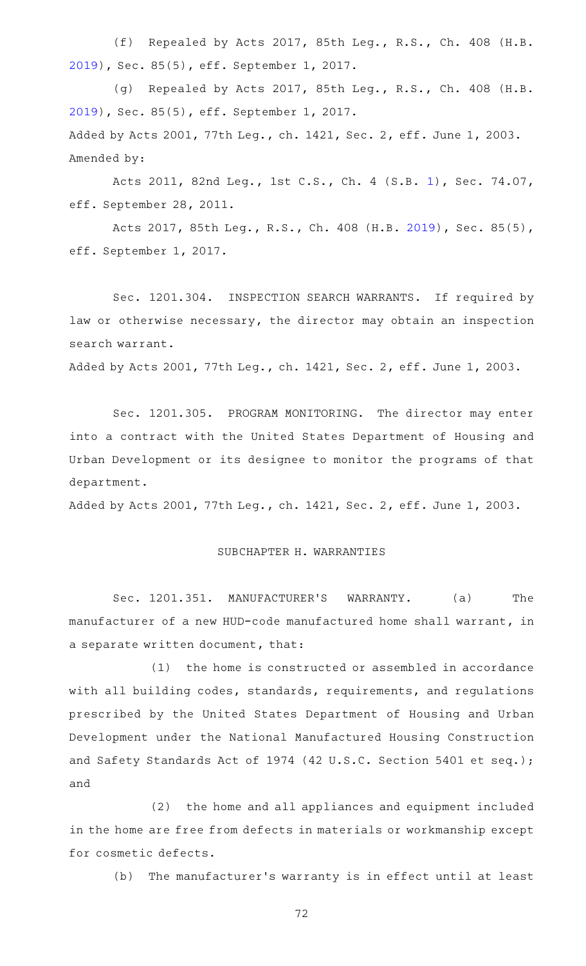(f) Repealed by Acts 2017, 85th Leg., R.S., Ch. 408 (H.B. [2019](http://www.legis.state.tx.us/tlodocs/85R/billtext/html/HB02019F.HTM)), Sec. 85(5), eff. September 1, 2017.

(g) Repealed by Acts 2017, 85th Leg., R.S., Ch. 408 (H.B. [2019](http://www.legis.state.tx.us/tlodocs/85R/billtext/html/HB02019F.HTM)), Sec. 85(5), eff. September 1, 2017. Added by Acts 2001, 77th Leg., ch. 1421, Sec. 2, eff. June 1, 2003. Amended by:

Acts 2011, 82nd Leg., 1st C.S., Ch. 4 (S.B. [1](http://www.legis.state.tx.us/tlodocs/821/billtext/html/SB00001F.HTM)), Sec. 74.07, eff. September 28, 2011.

Acts 2017, 85th Leg., R.S., Ch. 408 (H.B. [2019\)](http://www.legis.state.tx.us/tlodocs/85R/billtext/html/HB02019F.HTM), Sec. 85(5), eff. September 1, 2017.

Sec. 1201.304. INSPECTION SEARCH WARRANTS. If required by law or otherwise necessary, the director may obtain an inspection search warrant.

Added by Acts 2001, 77th Leg., ch. 1421, Sec. 2, eff. June 1, 2003.

Sec. 1201.305. PROGRAM MONITORING. The director may enter into a contract with the United States Department of Housing and Urban Development or its designee to monitor the programs of that department.

Added by Acts 2001, 77th Leg., ch. 1421, Sec. 2, eff. June 1, 2003.

## SUBCHAPTER H. WARRANTIES

Sec. 1201.351. MANUFACTURER'S WARRANTY. (a) The manufacturer of a new HUD-code manufactured home shall warrant, in a separate written document, that:

(1) the home is constructed or assembled in accordance with all building codes, standards, requirements, and regulations prescribed by the United States Department of Housing and Urban Development under the National Manufactured Housing Construction and Safety Standards Act of 1974 (42 U.S.C. Section 5401 et seq.); and

(2) the home and all appliances and equipment included in the home are free from defects in materials or workmanship except for cosmetic defects.

(b) The manufacturer's warranty is in effect until at least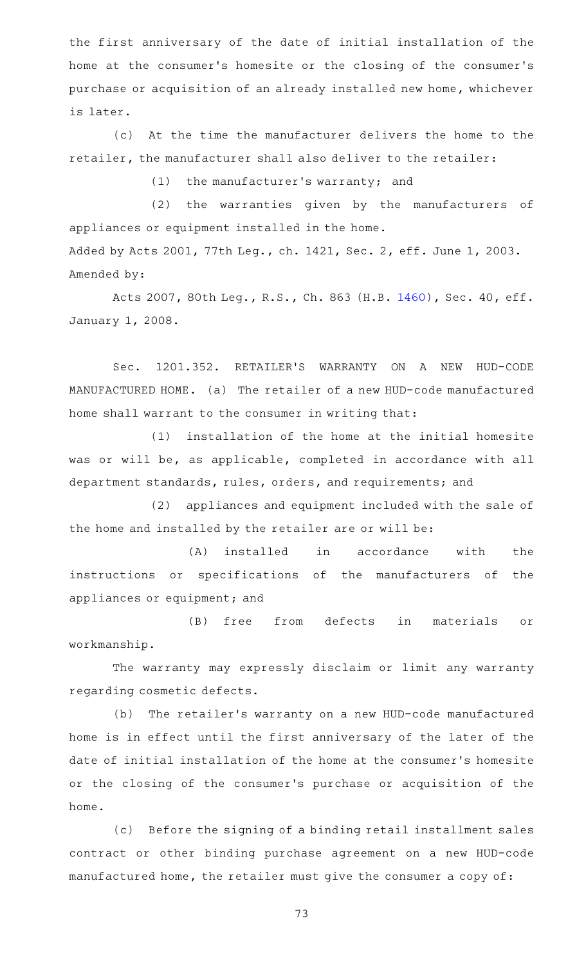the first anniversary of the date of initial installation of the home at the consumer 's homesite or the closing of the consumer 's purchase or acquisition of an already installed new home, whichever is later.

(c) At the time the manufacturer delivers the home to the retailer, the manufacturer shall also deliver to the retailer:

 $(1)$  the manufacturer's warranty; and

(2) the warranties given by the manufacturers of appliances or equipment installed in the home. Added by Acts 2001, 77th Leg., ch. 1421, Sec. 2, eff. June 1, 2003. Amended by:

Acts 2007, 80th Leg., R.S., Ch. 863 (H.B. [1460\)](http://www.legis.state.tx.us/tlodocs/80R/billtext/html/HB01460F.HTM), Sec. 40, eff. January 1, 2008.

Sec. 1201.352. RETAILER'S WARRANTY ON A NEW HUD-CODE MANUFACTURED HOME. (a) The retailer of a new HUD-code manufactured home shall warrant to the consumer in writing that:

(1) installation of the home at the initial homesite was or will be, as applicable, completed in accordance with all department standards, rules, orders, and requirements; and

(2) appliances and equipment included with the sale of the home and installed by the retailer are or will be:

(A) installed in accordance with the instructions or specifications of the manufacturers of the appliances or equipment; and

(B) free from defects in materials or workmanship.

The warranty may expressly disclaim or limit any warranty regarding cosmetic defects.

(b) The retailer's warranty on a new HUD-code manufactured home is in effect until the first anniversary of the later of the date of initial installation of the home at the consumer 's homesite or the closing of the consumer 's purchase or acquisition of the home.

(c) Before the signing of a binding retail installment sales contract or other binding purchase agreement on a new HUD-code manufactured home, the retailer must give the consumer a copy of: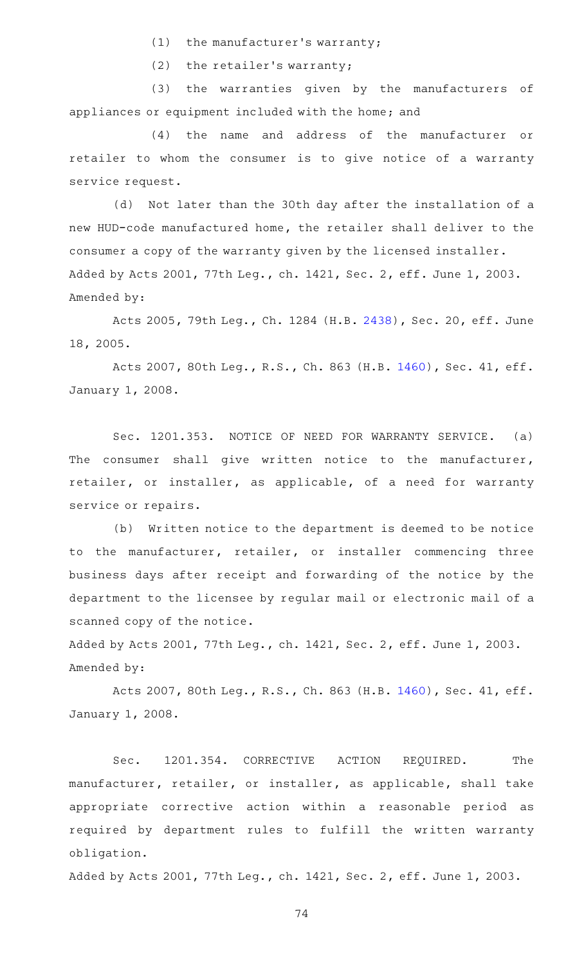- $(1)$  the manufacturer's warranty;
- $(2)$  the retailer's warranty;

(3) the warranties given by the manufacturers of appliances or equipment included with the home; and

(4) the name and address of the manufacturer or retailer to whom the consumer is to give notice of a warranty service request.

(d) Not later than the 30th day after the installation of a new HUD-code manufactured home, the retailer shall deliver to the consumer a copy of the warranty given by the licensed installer. Added by Acts 2001, 77th Leg., ch. 1421, Sec. 2, eff. June 1, 2003. Amended by:

Acts 2005, 79th Leg., Ch. 1284 (H.B. [2438\)](http://www.legis.state.tx.us/tlodocs/79R/billtext/html/HB02438F.HTM), Sec. 20, eff. June 18, 2005.

Acts 2007, 80th Leg., R.S., Ch. 863 (H.B. [1460\)](http://www.legis.state.tx.us/tlodocs/80R/billtext/html/HB01460F.HTM), Sec. 41, eff. January 1, 2008.

Sec. 1201.353. NOTICE OF NEED FOR WARRANTY SERVICE. (a) The consumer shall give written notice to the manufacturer, retailer, or installer, as applicable, of a need for warranty service or repairs.

(b) Written notice to the department is deemed to be notice to the manufacturer, retailer, or installer commencing three business days after receipt and forwarding of the notice by the department to the licensee by regular mail or electronic mail of a scanned copy of the notice.

Added by Acts 2001, 77th Leg., ch. 1421, Sec. 2, eff. June 1, 2003. Amended by:

Acts 2007, 80th Leg., R.S., Ch. 863 (H.B. [1460\)](http://www.legis.state.tx.us/tlodocs/80R/billtext/html/HB01460F.HTM), Sec. 41, eff. January 1, 2008.

Sec. 1201.354. CORRECTIVE ACTION REQUIRED. The manufacturer, retailer, or installer, as applicable, shall take appropriate corrective action within a reasonable period as required by department rules to fulfill the written warranty obligation.

Added by Acts 2001, 77th Leg., ch. 1421, Sec. 2, eff. June 1, 2003.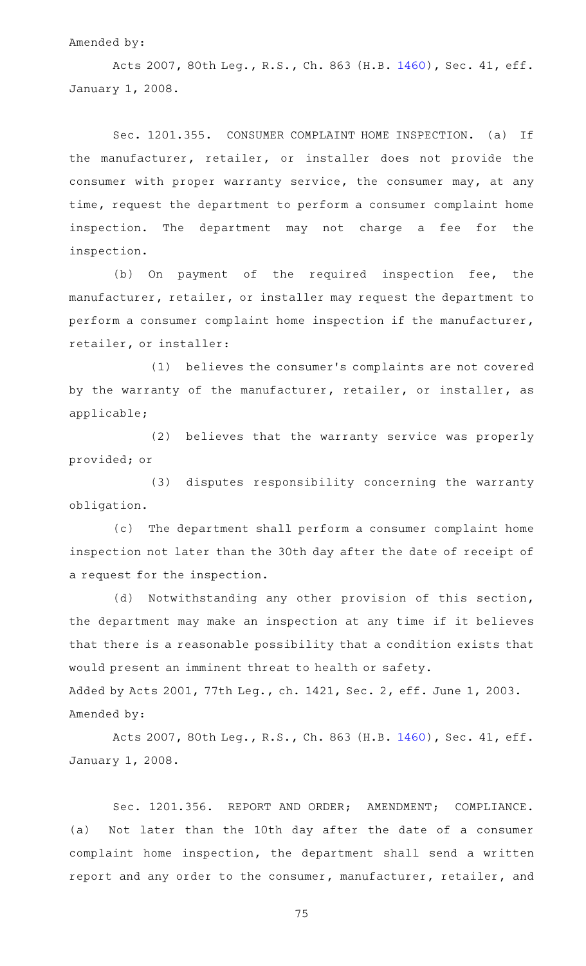#### Amended by:

Acts 2007, 80th Leg., R.S., Ch. 863 (H.B. [1460\)](http://www.legis.state.tx.us/tlodocs/80R/billtext/html/HB01460F.HTM), Sec. 41, eff. January 1, 2008.

Sec. 1201.355. CONSUMER COMPLAINT HOME INSPECTION. (a) If the manufacturer, retailer, or installer does not provide the consumer with proper warranty service, the consumer may, at any time, request the department to perform a consumer complaint home inspection. The department may not charge a fee for the inspection.

(b) On payment of the required inspection fee, the manufacturer, retailer, or installer may request the department to perform a consumer complaint home inspection if the manufacturer, retailer, or installer:

(1) believes the consumer's complaints are not covered by the warranty of the manufacturer, retailer, or installer, as applicable;

(2) believes that the warranty service was properly provided; or

(3) disputes responsibility concerning the warranty obligation.

(c) The department shall perform a consumer complaint home inspection not later than the 30th day after the date of receipt of a request for the inspection.

(d) Notwithstanding any other provision of this section, the department may make an inspection at any time if it believes that there is a reasonable possibility that a condition exists that would present an imminent threat to health or safety.

Added by Acts 2001, 77th Leg., ch. 1421, Sec. 2, eff. June 1, 2003. Amended by:

Acts 2007, 80th Leg., R.S., Ch. 863 (H.B. [1460\)](http://www.legis.state.tx.us/tlodocs/80R/billtext/html/HB01460F.HTM), Sec. 41, eff. January 1, 2008.

Sec. 1201.356. REPORT AND ORDER; AMENDMENT; COMPLIANCE. (a) Not later than the 10th day after the date of a consumer complaint home inspection, the department shall send a written report and any order to the consumer, manufacturer, retailer, and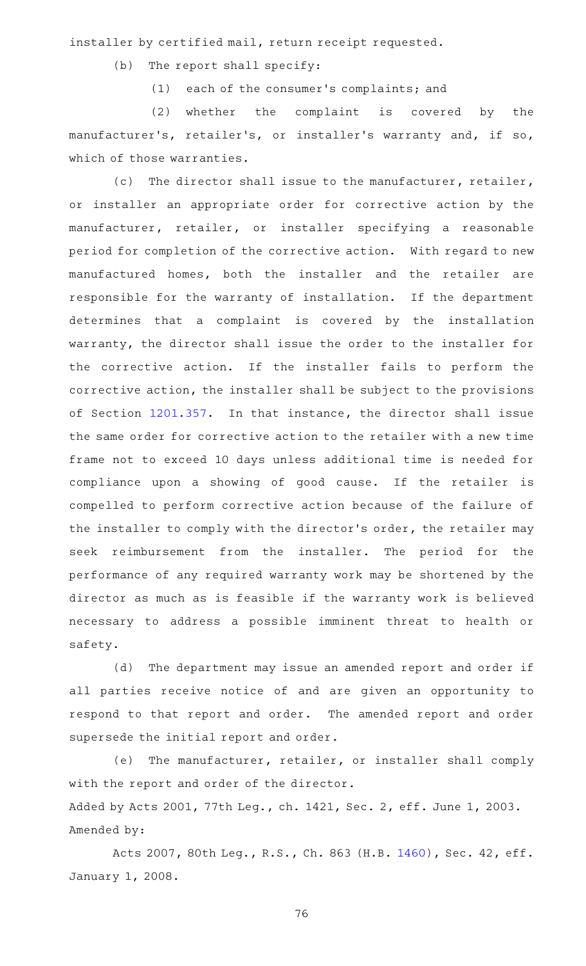installer by certified mail, return receipt requested.

- $(b)$  The report shall specify:
	- (1) each of the consumer's complaints; and

(2) whether the complaint is covered by the manufacturer's, retailer's, or installer's warranty and, if so, which of those warranties.

(c) The director shall issue to the manufacturer, retailer, or installer an appropriate order for corrective action by the manufacturer, retailer, or installer specifying a reasonable period for completion of the corrective action. With regard to new manufactured homes, both the installer and the retailer are responsible for the warranty of installation. If the department determines that a complaint is covered by the installation warranty, the director shall issue the order to the installer for the corrective action. If the installer fails to perform the corrective action, the installer shall be subject to the provisions of Section [1201.357](http://www.statutes.legis.state.tx.us/GetStatute.aspx?Code=OC&Value=1201.357). In that instance, the director shall issue the same order for corrective action to the retailer with a new time frame not to exceed 10 days unless additional time is needed for compliance upon a showing of good cause. If the retailer is compelled to perform corrective action because of the failure of the installer to comply with the director 's order, the retailer may seek reimbursement from the installer. The period for the performance of any required warranty work may be shortened by the director as much as is feasible if the warranty work is believed necessary to address a possible imminent threat to health or safety.

(d) The department may issue an amended report and order if all parties receive notice of and are given an opportunity to respond to that report and order. The amended report and order supersede the initial report and order.

(e) The manufacturer, retailer, or installer shall comply with the report and order of the director. Added by Acts 2001, 77th Leg., ch. 1421, Sec. 2, eff. June 1, 2003. Amended by:

Acts 2007, 80th Leg., R.S., Ch. 863 (H.B. [1460\)](http://www.legis.state.tx.us/tlodocs/80R/billtext/html/HB01460F.HTM), Sec. 42, eff. January 1, 2008.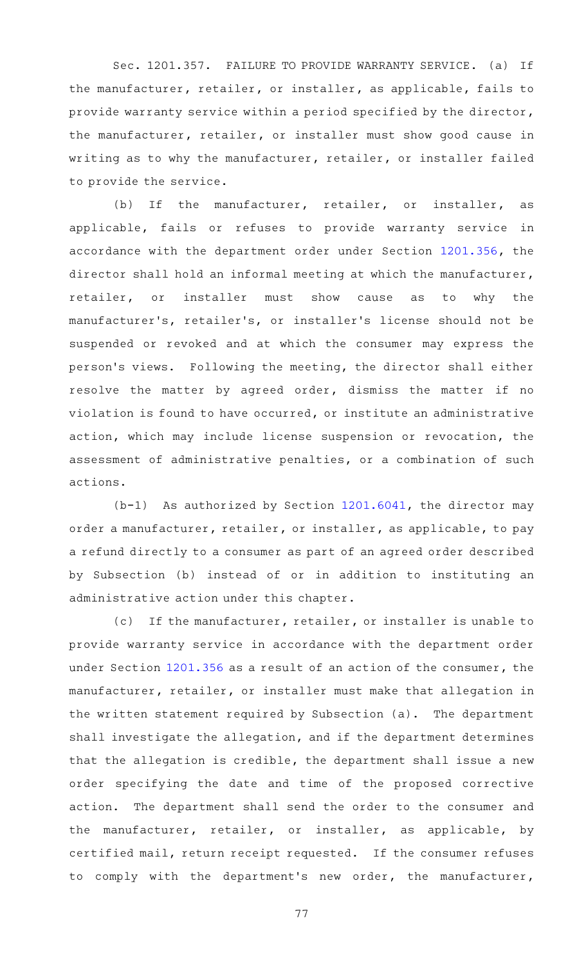Sec. 1201.357. FAILURE TO PROVIDE WARRANTY SERVICE. (a) If the manufacturer, retailer, or installer, as applicable, fails to provide warranty service within a period specified by the director, the manufacturer, retailer, or installer must show good cause in writing as to why the manufacturer, retailer, or installer failed to provide the service.

(b) If the manufacturer, retailer, or installer, as applicable, fails or refuses to provide warranty service in accordance with the department order under Section [1201.356,](http://www.statutes.legis.state.tx.us/GetStatute.aspx?Code=OC&Value=1201.356) the director shall hold an informal meeting at which the manufacturer, retailer, or installer must show cause as to why the manufacturer 's, retailer 's, or installer 's license should not be suspended or revoked and at which the consumer may express the person's views. Following the meeting, the director shall either resolve the matter by agreed order, dismiss the matter if no violation is found to have occurred, or institute an administrative action, which may include license suspension or revocation, the assessment of administrative penalties, or a combination of such actions.

 $(b-1)$  As authorized by Section [1201.6041](http://www.statutes.legis.state.tx.us/GetStatute.aspx?Code=OC&Value=1201.6041), the director may order a manufacturer, retailer, or installer, as applicable, to pay a refund directly to a consumer as part of an agreed order described by Subsection (b) instead of or in addition to instituting an administrative action under this chapter.

(c) If the manufacturer, retailer, or installer is unable to provide warranty service in accordance with the department order under Section [1201.356](http://www.statutes.legis.state.tx.us/GetStatute.aspx?Code=OC&Value=1201.356) as a result of an action of the consumer, the manufacturer, retailer, or installer must make that allegation in the written statement required by Subsection (a). The department shall investigate the allegation, and if the department determines that the allegation is credible, the department shall issue a new order specifying the date and time of the proposed corrective action. The department shall send the order to the consumer and the manufacturer, retailer, or installer, as applicable, by certified mail, return receipt requested. If the consumer refuses to comply with the department's new order, the manufacturer,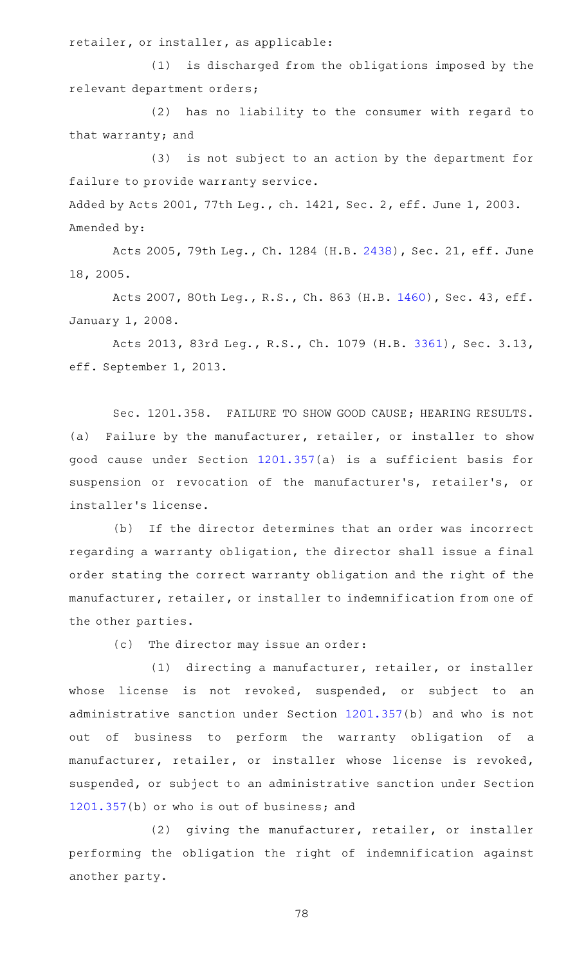retailer, or installer, as applicable:

(1) is discharged from the obligations imposed by the relevant department orders;

(2) has no liability to the consumer with regard to that warranty; and

(3) is not subject to an action by the department for failure to provide warranty service.

Added by Acts 2001, 77th Leg., ch. 1421, Sec. 2, eff. June 1, 2003. Amended by:

Acts 2005, 79th Leg., Ch. 1284 (H.B. [2438\)](http://www.legis.state.tx.us/tlodocs/79R/billtext/html/HB02438F.HTM), Sec. 21, eff. June 18, 2005.

Acts 2007, 80th Leg., R.S., Ch. 863 (H.B. [1460\)](http://www.legis.state.tx.us/tlodocs/80R/billtext/html/HB01460F.HTM), Sec. 43, eff. January 1, 2008.

Acts 2013, 83rd Leg., R.S., Ch. 1079 (H.B. [3361](http://www.legis.state.tx.us/tlodocs/83R/billtext/html/HB03361F.HTM)), Sec. 3.13, eff. September 1, 2013.

Sec. 1201.358. FAILURE TO SHOW GOOD CAUSE; HEARING RESULTS. (a) Failure by the manufacturer, retailer, or installer to show good cause under Section [1201.357](http://www.statutes.legis.state.tx.us/GetStatute.aspx?Code=OC&Value=1201.357)(a) is a sufficient basis for suspension or revocation of the manufacturer 's, retailer 's, or installer 's license.

(b) If the director determines that an order was incorrect regarding a warranty obligation, the director shall issue a final order stating the correct warranty obligation and the right of the manufacturer, retailer, or installer to indemnification from one of the other parties.

 $(c)$  The director may issue an order:

(1) directing a manufacturer, retailer, or installer whose license is not revoked, suspended, or subject to an administrative sanction under Section [1201.357\(](http://www.statutes.legis.state.tx.us/GetStatute.aspx?Code=OC&Value=1201.357)b) and who is not out of business to perform the warranty obligation of a manufacturer, retailer, or installer whose license is revoked, suspended, or subject to an administrative sanction under Section [1201.357](http://www.statutes.legis.state.tx.us/GetStatute.aspx?Code=OC&Value=1201.357)(b) or who is out of business; and

(2) giving the manufacturer, retailer, or installer performing the obligation the right of indemnification against another party.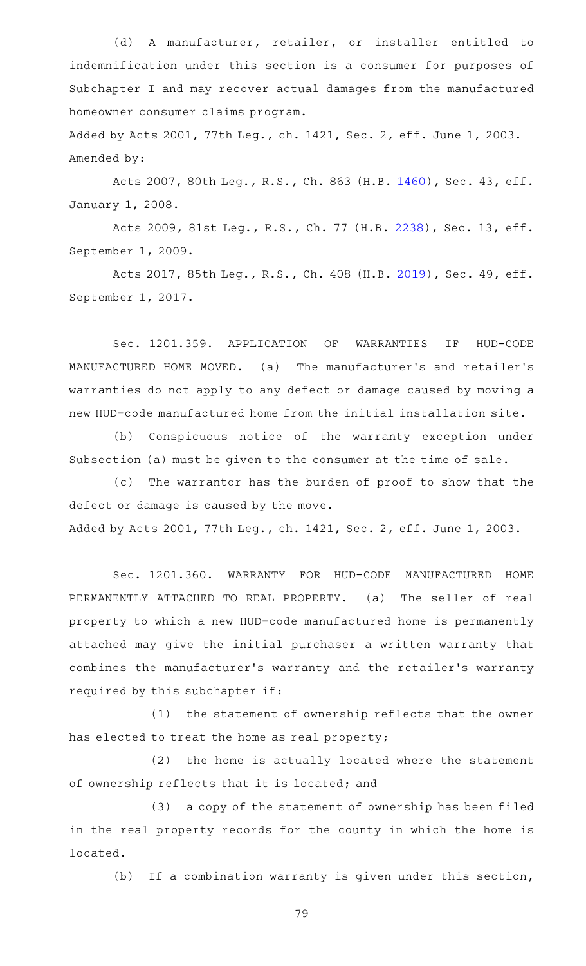(d) A manufacturer, retailer, or installer entitled to indemnification under this section is a consumer for purposes of Subchapter I and may recover actual damages from the manufactured homeowner consumer claims program.

Added by Acts 2001, 77th Leg., ch. 1421, Sec. 2, eff. June 1, 2003. Amended by:

Acts 2007, 80th Leg., R.S., Ch. 863 (H.B. [1460\)](http://www.legis.state.tx.us/tlodocs/80R/billtext/html/HB01460F.HTM), Sec. 43, eff. January 1, 2008.

Acts 2009, 81st Leg., R.S., Ch. 77 (H.B. [2238\)](http://www.legis.state.tx.us/tlodocs/81R/billtext/html/HB02238F.HTM), Sec. 13, eff. September 1, 2009.

Acts 2017, 85th Leg., R.S., Ch. 408 (H.B. [2019\)](http://www.legis.state.tx.us/tlodocs/85R/billtext/html/HB02019F.HTM), Sec. 49, eff. September 1, 2017.

Sec. 1201.359. APPLICATION OF WARRANTIES IF HUD-CODE MANUFACTURED HOME MOVED. (a) The manufacturer 's and retailer 's warranties do not apply to any defect or damage caused by moving a new HUD-code manufactured home from the initial installation site.

(b) Conspicuous notice of the warranty exception under Subsection (a) must be given to the consumer at the time of sale.

(c) The warrantor has the burden of proof to show that the defect or damage is caused by the move. Added by Acts 2001, 77th Leg., ch. 1421, Sec. 2, eff. June 1, 2003.

Sec. 1201.360. WARRANTY FOR HUD-CODE MANUFACTURED HOME PERMANENTLY ATTACHED TO REAL PROPERTY. (a) The seller of real property to which a new HUD-code manufactured home is permanently attached may give the initial purchaser a written warranty that combines the manufacturer 's warranty and the retailer 's warranty required by this subchapter if:

(1) the statement of ownership reflects that the owner has elected to treat the home as real property;

(2) the home is actually located where the statement of ownership reflects that it is located; and

(3) a copy of the statement of ownership has been filed in the real property records for the county in which the home is located.

(b) If a combination warranty is given under this section,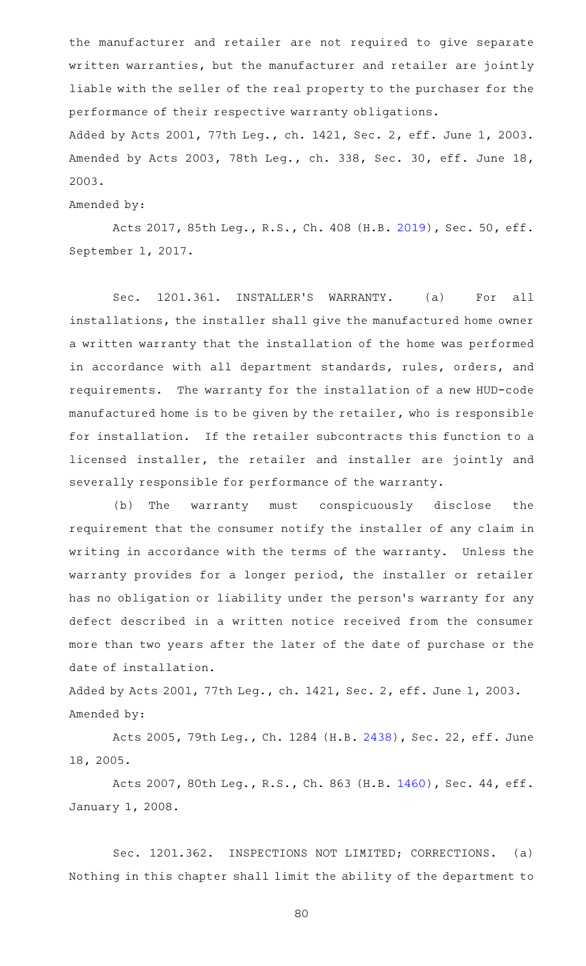the manufacturer and retailer are not required to give separate written warranties, but the manufacturer and retailer are jointly liable with the seller of the real property to the purchaser for the performance of their respective warranty obligations. Added by Acts 2001, 77th Leg., ch. 1421, Sec. 2, eff. June 1, 2003. Amended by Acts 2003, 78th Leg., ch. 338, Sec. 30, eff. June 18,

2003.

Amended by:

Acts 2017, 85th Leg., R.S., Ch. 408 (H.B. [2019\)](http://www.legis.state.tx.us/tlodocs/85R/billtext/html/HB02019F.HTM), Sec. 50, eff. September 1, 2017.

Sec. 1201.361. INSTALLER'S WARRANTY. (a) For all installations, the installer shall give the manufactured home owner a written warranty that the installation of the home was performed in accordance with all department standards, rules, orders, and requirements. The warranty for the installation of a new HUD-code manufactured home is to be given by the retailer, who is responsible for installation. If the retailer subcontracts this function to a licensed installer, the retailer and installer are jointly and severally responsible for performance of the warranty.

(b) The warranty must conspicuously disclose the requirement that the consumer notify the installer of any claim in writing in accordance with the terms of the warranty. Unless the warranty provides for a longer period, the installer or retailer has no obligation or liability under the person 's warranty for any defect described in a written notice received from the consumer more than two years after the later of the date of purchase or the date of installation.

Added by Acts 2001, 77th Leg., ch. 1421, Sec. 2, eff. June 1, 2003. Amended by:

Acts 2005, 79th Leg., Ch. 1284 (H.B. [2438\)](http://www.legis.state.tx.us/tlodocs/79R/billtext/html/HB02438F.HTM), Sec. 22, eff. June 18, 2005.

Acts 2007, 80th Leg., R.S., Ch. 863 (H.B. [1460\)](http://www.legis.state.tx.us/tlodocs/80R/billtext/html/HB01460F.HTM), Sec. 44, eff. January 1, 2008.

Sec. 1201.362. INSPECTIONS NOT LIMITED; CORRECTIONS. (a) Nothing in this chapter shall limit the ability of the department to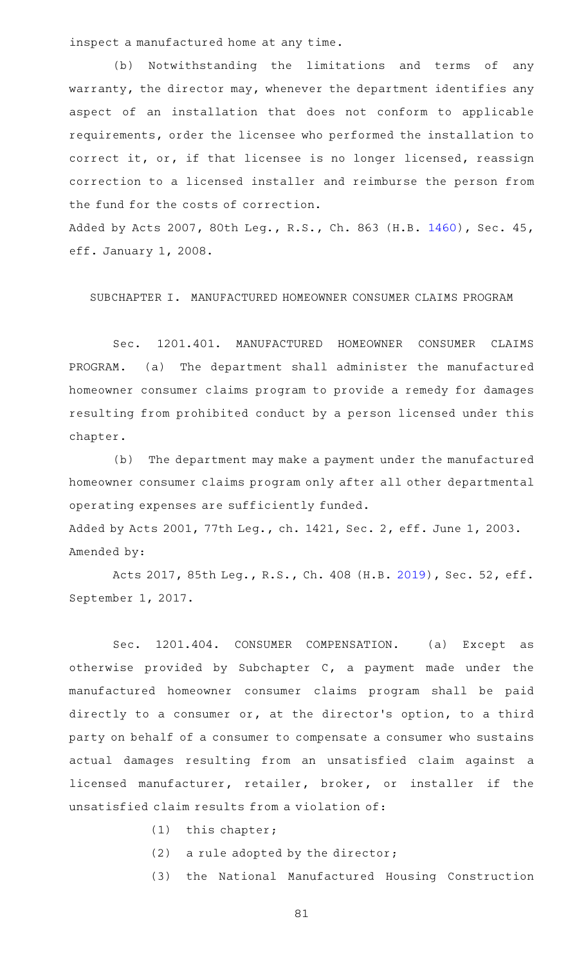inspect a manufactured home at any time.

(b) Notwithstanding the limitations and terms of any warranty, the director may, whenever the department identifies any aspect of an installation that does not conform to applicable requirements, order the licensee who performed the installation to correct it, or, if that licensee is no longer licensed, reassign correction to a licensed installer and reimburse the person from the fund for the costs of correction.

Added by Acts 2007, 80th Leg., R.S., Ch. 863 (H.B. [1460\)](http://www.legis.state.tx.us/tlodocs/80R/billtext/html/HB01460F.HTM), Sec. 45, eff. January 1, 2008.

SUBCHAPTER I. MANUFACTURED HOMEOWNER CONSUMER CLAIMS PROGRAM

Sec. 1201.401. MANUFACTURED HOMEOWNER CONSUMER CLAIMS PROGRAM. (a) The department shall administer the manufactured homeowner consumer claims program to provide a remedy for damages resulting from prohibited conduct by a person licensed under this chapter.

(b) The department may make a payment under the manufactured homeowner consumer claims program only after all other departmental operating expenses are sufficiently funded.

Added by Acts 2001, 77th Leg., ch. 1421, Sec. 2, eff. June 1, 2003. Amended by:

Acts 2017, 85th Leg., R.S., Ch. 408 (H.B. [2019\)](http://www.legis.state.tx.us/tlodocs/85R/billtext/html/HB02019F.HTM), Sec. 52, eff. September 1, 2017.

Sec. 1201.404. CONSUMER COMPENSATION. (a) Except as otherwise provided by Subchapter C, a payment made under the manufactured homeowner consumer claims program shall be paid directly to a consumer or, at the director 's option, to a third party on behalf of a consumer to compensate a consumer who sustains actual damages resulting from an unsatisfied claim against a licensed manufacturer, retailer, broker, or installer if the unsatisfied claim results from a violation of:

- $(1)$  this chapter;
- (2) a rule adopted by the director;
- (3) the National Manufactured Housing Construction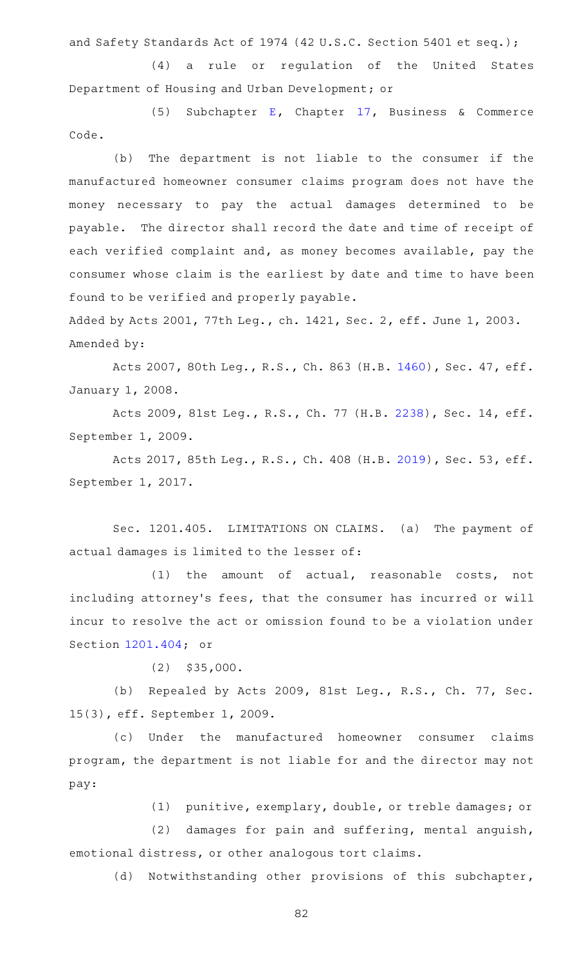and Safety Standards Act of 1974 (42 U.S.C. Section 5401 et seq.);

(4) a rule or regulation of the United States Department of Housing and Urban Development; or

(5) Subchapter [E,](http://www.statutes.legis.state.tx.us/GetStatute.aspx?Code=BC&Value=17.41) Chapter [17](http://www.statutes.legis.state.tx.us/GetStatute.aspx?Code=BC&Value=17), Business & Commerce Code.

(b) The department is not liable to the consumer if the manufactured homeowner consumer claims program does not have the money necessary to pay the actual damages determined to be payable. The director shall record the date and time of receipt of each verified complaint and, as money becomes available, pay the consumer whose claim is the earliest by date and time to have been found to be verified and properly payable.

Added by Acts 2001, 77th Leg., ch. 1421, Sec. 2, eff. June 1, 2003. Amended by:

Acts 2007, 80th Leg., R.S., Ch. 863 (H.B. [1460\)](http://www.legis.state.tx.us/tlodocs/80R/billtext/html/HB01460F.HTM), Sec. 47, eff. January 1, 2008.

Acts 2009, 81st Leg., R.S., Ch. 77 (H.B. [2238\)](http://www.legis.state.tx.us/tlodocs/81R/billtext/html/HB02238F.HTM), Sec. 14, eff. September 1, 2009.

Acts 2017, 85th Leg., R.S., Ch. 408 (H.B. [2019\)](http://www.legis.state.tx.us/tlodocs/85R/billtext/html/HB02019F.HTM), Sec. 53, eff. September 1, 2017.

Sec. 1201.405. LIMITATIONS ON CLAIMS. (a) The payment of actual damages is limited to the lesser of:

(1) the amount of actual, reasonable costs, not including attorney 's fees, that the consumer has incurred or will incur to resolve the act or omission found to be a violation under Section [1201.404](http://www.statutes.legis.state.tx.us/GetStatute.aspx?Code=OC&Value=1201.404); or

 $(2)$  \$35,000.

(b) Repealed by Acts 2009, 81st Leg., R.S., Ch. 77, Sec. 15(3), eff. September 1, 2009.

(c) Under the manufactured homeowner consumer claims program, the department is not liable for and the director may not pay:

(1) punitive, exemplary, double, or treble damages; or

 $(2)$  damages for pain and suffering, mental anguish, emotional distress, or other analogous tort claims.

(d) Notwithstanding other provisions of this subchapter,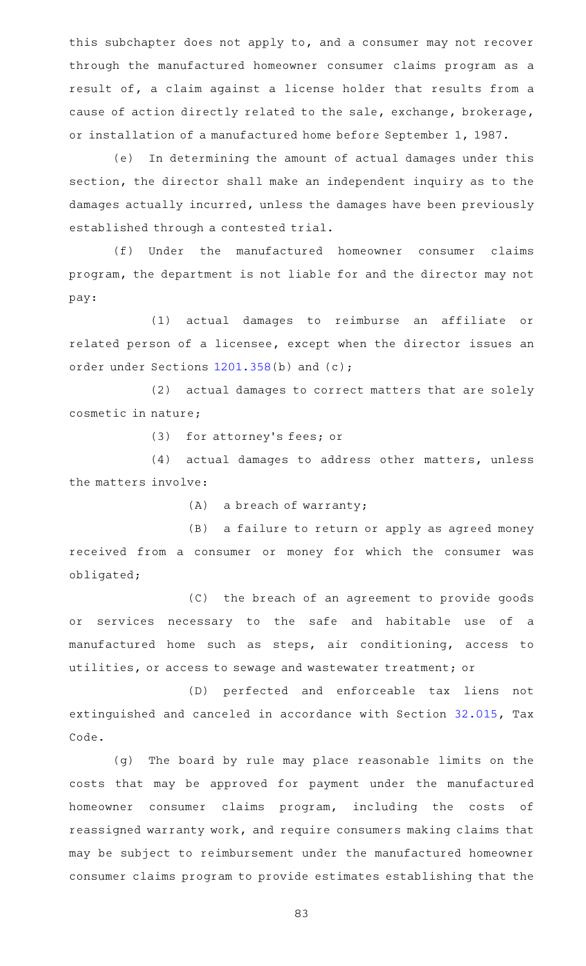this subchapter does not apply to, and a consumer may not recover through the manufactured homeowner consumer claims program as a result of, a claim against a license holder that results from a cause of action directly related to the sale, exchange, brokerage, or installation of a manufactured home before September 1, 1987.

(e) In determining the amount of actual damages under this section, the director shall make an independent inquiry as to the damages actually incurred, unless the damages have been previously established through a contested trial.

(f) Under the manufactured homeowner consumer claims program, the department is not liable for and the director may not pay:

(1) actual damages to reimburse an affiliate or related person of a licensee, except when the director issues an order under Sections [1201.358](http://www.statutes.legis.state.tx.us/GetStatute.aspx?Code=OC&Value=1201.358)(b) and (c);

(2) actual damages to correct matters that are solely cosmetic in nature;

(3) for attorney's fees; or

(4) actual damages to address other matters, unless the matters involve:

 $(A)$  a breach of warranty;

(B) a failure to return or apply as agreed money received from a consumer or money for which the consumer was obligated;

(C) the breach of an agreement to provide goods or services necessary to the safe and habitable use of a manufactured home such as steps, air conditioning, access to utilities, or access to sewage and wastewater treatment; or

(D) perfected and enforceable tax liens not extinguished and canceled in accordance with Section [32.015,](http://www.statutes.legis.state.tx.us/GetStatute.aspx?Code=TX&Value=32.015) Tax Code.

(g) The board by rule may place reasonable limits on the costs that may be approved for payment under the manufactured homeowner consumer claims program, including the costs of reassigned warranty work, and require consumers making claims that may be subject to reimbursement under the manufactured homeowner consumer claims program to provide estimates establishing that the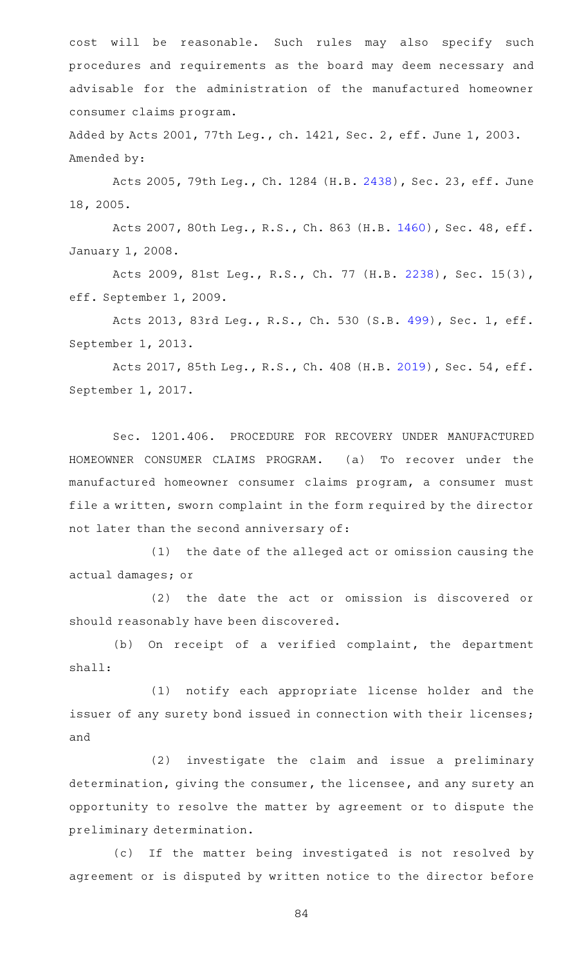cost will be reasonable. Such rules may also specify such procedures and requirements as the board may deem necessary and advisable for the administration of the manufactured homeowner consumer claims program.

Added by Acts 2001, 77th Leg., ch. 1421, Sec. 2, eff. June 1, 2003. Amended by:

Acts 2005, 79th Leg., Ch. 1284 (H.B. [2438\)](http://www.legis.state.tx.us/tlodocs/79R/billtext/html/HB02438F.HTM), Sec. 23, eff. June 18, 2005.

Acts 2007, 80th Leg., R.S., Ch. 863 (H.B. [1460\)](http://www.legis.state.tx.us/tlodocs/80R/billtext/html/HB01460F.HTM), Sec. 48, eff. January 1, 2008.

Acts 2009, 81st Leg., R.S., Ch. 77 (H.B. [2238](http://www.legis.state.tx.us/tlodocs/81R/billtext/html/HB02238F.HTM)), Sec. 15(3), eff. September 1, 2009.

Acts 2013, 83rd Leg., R.S., Ch. 530 (S.B. [499](http://www.legis.state.tx.us/tlodocs/83R/billtext/html/SB00499F.HTM)), Sec. 1, eff. September 1, 2013.

Acts 2017, 85th Leg., R.S., Ch. 408 (H.B. [2019\)](http://www.legis.state.tx.us/tlodocs/85R/billtext/html/HB02019F.HTM), Sec. 54, eff. September 1, 2017.

Sec. 1201.406. PROCEDURE FOR RECOVERY UNDER MANUFACTURED HOMEOWNER CONSUMER CLAIMS PROGRAM. (a) To recover under the manufactured homeowner consumer claims program, a consumer must file a written, sworn complaint in the form required by the director not later than the second anniversary of:

(1) the date of the alleged act or omission causing the actual damages; or

(2) the date the act or omission is discovered or should reasonably have been discovered.

(b) On receipt of a verified complaint, the department shall:

(1) notify each appropriate license holder and the issuer of any surety bond issued in connection with their licenses; and

(2) investigate the claim and issue a preliminary determination, giving the consumer, the licensee, and any surety an opportunity to resolve the matter by agreement or to dispute the preliminary determination.

(c) If the matter being investigated is not resolved by agreement or is disputed by written notice to the director before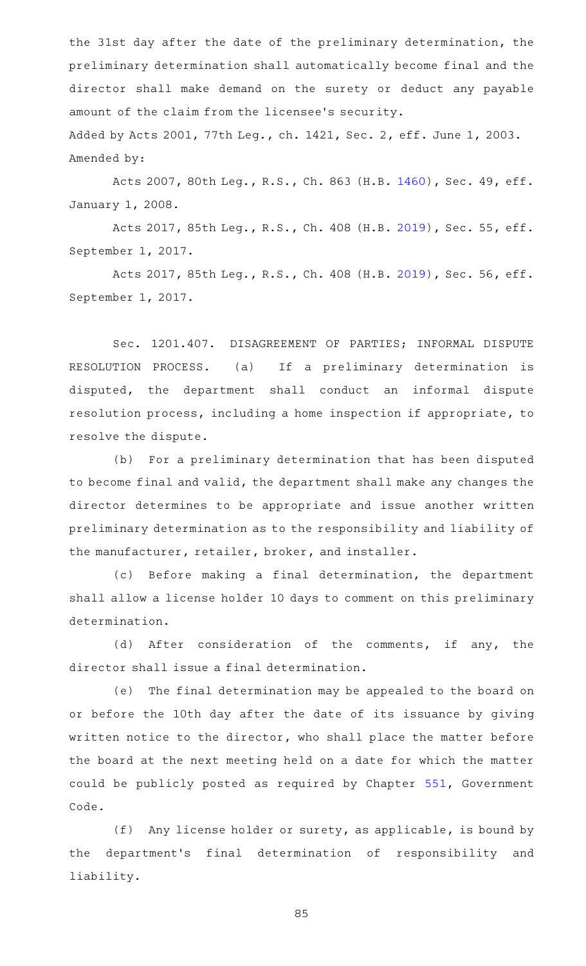the 31st day after the date of the preliminary determination, the preliminary determination shall automatically become final and the director shall make demand on the surety or deduct any payable amount of the claim from the licensee 's security. Added by Acts 2001, 77th Leg., ch. 1421, Sec. 2, eff. June 1, 2003. Amended by:

Acts 2007, 80th Leg., R.S., Ch. 863 (H.B. [1460\)](http://www.legis.state.tx.us/tlodocs/80R/billtext/html/HB01460F.HTM), Sec. 49, eff. January 1, 2008.

Acts 2017, 85th Leg., R.S., Ch. 408 (H.B. [2019\)](http://www.legis.state.tx.us/tlodocs/85R/billtext/html/HB02019F.HTM), Sec. 55, eff. September 1, 2017.

Acts 2017, 85th Leg., R.S., Ch. 408 (H.B. [2019\)](http://www.legis.state.tx.us/tlodocs/85R/billtext/html/HB02019F.HTM), Sec. 56, eff. September 1, 2017.

Sec. 1201.407. DISAGREEMENT OF PARTIES; INFORMAL DISPUTE RESOLUTION PROCESS. (a) If a preliminary determination is disputed, the department shall conduct an informal dispute resolution process, including a home inspection if appropriate, to resolve the dispute.

(b) For a preliminary determination that has been disputed to become final and valid, the department shall make any changes the director determines to be appropriate and issue another written preliminary determination as to the responsibility and liability of the manufacturer, retailer, broker, and installer.

(c) Before making a final determination, the department shall allow a license holder 10 days to comment on this preliminary determination.

(d) After consideration of the comments, if any, the director shall issue a final determination.

(e) The final determination may be appealed to the board on or before the 10th day after the date of its issuance by giving written notice to the director, who shall place the matter before the board at the next meeting held on a date for which the matter could be publicly posted as required by Chapter [551](http://www.statutes.legis.state.tx.us/GetStatute.aspx?Code=GV&Value=551), Government Code.

(f) Any license holder or surety, as applicable, is bound by the department 's final determination of responsibility and liability.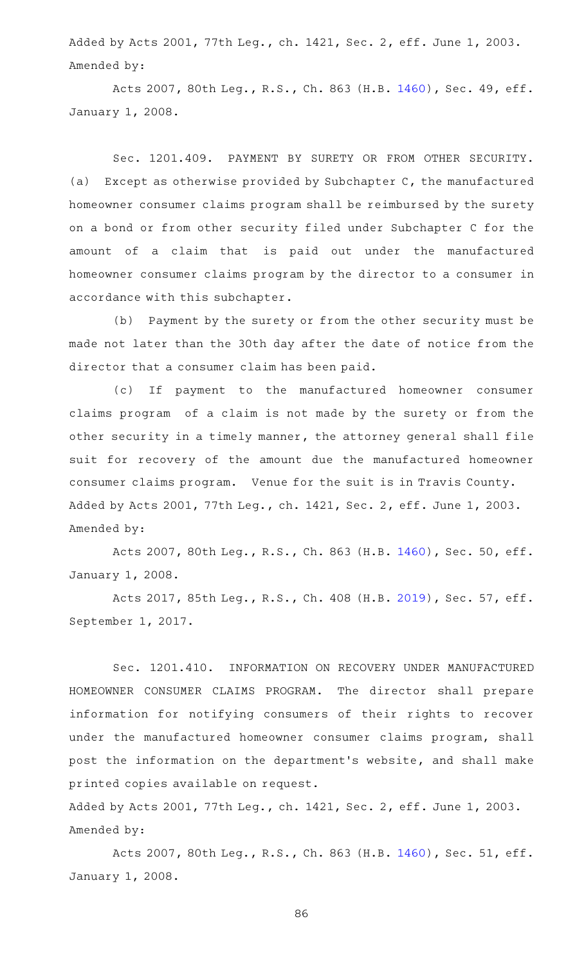Added by Acts 2001, 77th Leg., ch. 1421, Sec. 2, eff. June 1, 2003. Amended by:

Acts 2007, 80th Leg., R.S., Ch. 863 (H.B. [1460\)](http://www.legis.state.tx.us/tlodocs/80R/billtext/html/HB01460F.HTM), Sec. 49, eff. January 1, 2008.

Sec. 1201.409. PAYMENT BY SURETY OR FROM OTHER SECURITY. (a) Except as otherwise provided by Subchapter  $C$ , the manufactured homeowner consumer claims program shall be reimbursed by the surety on a bond or from other security filed under Subchapter C for the amount of a claim that is paid out under the manufactured homeowner consumer claims program by the director to a consumer in accordance with this subchapter.

(b) Payment by the surety or from the other security must be made not later than the 30th day after the date of notice from the director that a consumer claim has been paid.

(c) If payment to the manufactured homeowner consumer claims program of a claim is not made by the surety or from the other security in a timely manner, the attorney general shall file suit for recovery of the amount due the manufactured homeowner consumer claims program. Venue for the suit is in Travis County. Added by Acts 2001, 77th Leg., ch. 1421, Sec. 2, eff. June 1, 2003. Amended by:

Acts 2007, 80th Leg., R.S., Ch. 863 (H.B. [1460\)](http://www.legis.state.tx.us/tlodocs/80R/billtext/html/HB01460F.HTM), Sec. 50, eff. January 1, 2008.

Acts 2017, 85th Leg., R.S., Ch. 408 (H.B. [2019\)](http://www.legis.state.tx.us/tlodocs/85R/billtext/html/HB02019F.HTM), Sec. 57, eff. September 1, 2017.

Sec. 1201.410. INFORMATION ON RECOVERY UNDER MANUFACTURED HOMEOWNER CONSUMER CLAIMS PROGRAM. The director shall prepare information for notifying consumers of their rights to recover under the manufactured homeowner consumer claims program, shall post the information on the department 's website, and shall make printed copies available on request.

Added by Acts 2001, 77th Leg., ch. 1421, Sec. 2, eff. June 1, 2003. Amended by:

Acts 2007, 80th Leg., R.S., Ch. 863 (H.B. [1460\)](http://www.legis.state.tx.us/tlodocs/80R/billtext/html/HB01460F.HTM), Sec. 51, eff. January 1, 2008.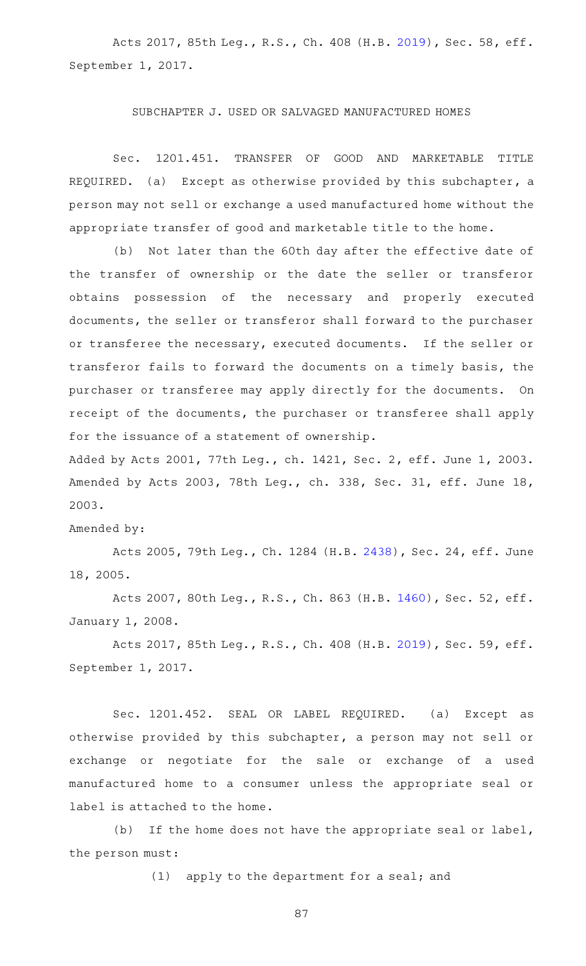Acts 2017, 85th Leg., R.S., Ch. 408 (H.B. [2019\)](http://www.legis.state.tx.us/tlodocs/85R/billtext/html/HB02019F.HTM), Sec. 58, eff. September 1, 2017.

## SUBCHAPTER J. USED OR SALVAGED MANUFACTURED HOMES

Sec. 1201.451. TRANSFER OF GOOD AND MARKETABLE TITLE REQUIRED. (a) Except as otherwise provided by this subchapter, a person may not sell or exchange a used manufactured home without the appropriate transfer of good and marketable title to the home.

(b) Not later than the 60th day after the effective date of the transfer of ownership or the date the seller or transferor obtains possession of the necessary and properly executed documents, the seller or transferor shall forward to the purchaser or transferee the necessary, executed documents. If the seller or transferor fails to forward the documents on a timely basis, the purchaser or transferee may apply directly for the documents. On receipt of the documents, the purchaser or transferee shall apply for the issuance of a statement of ownership.

Added by Acts 2001, 77th Leg., ch. 1421, Sec. 2, eff. June 1, 2003. Amended by Acts 2003, 78th Leg., ch. 338, Sec. 31, eff. June 18, 2003.

Amended by:

Acts 2005, 79th Leg., Ch. 1284 (H.B. [2438\)](http://www.legis.state.tx.us/tlodocs/79R/billtext/html/HB02438F.HTM), Sec. 24, eff. June 18, 2005.

Acts 2007, 80th Leg., R.S., Ch. 863 (H.B. [1460\)](http://www.legis.state.tx.us/tlodocs/80R/billtext/html/HB01460F.HTM), Sec. 52, eff. January 1, 2008.

Acts 2017, 85th Leg., R.S., Ch. 408 (H.B. [2019\)](http://www.legis.state.tx.us/tlodocs/85R/billtext/html/HB02019F.HTM), Sec. 59, eff. September 1, 2017.

Sec. 1201.452. SEAL OR LABEL REQUIRED. (a) Except as otherwise provided by this subchapter, a person may not sell or exchange or negotiate for the sale or exchange of a used manufactured home to a consumer unless the appropriate seal or label is attached to the home.

(b) If the home does not have the appropriate seal or label, the person must:

(1) apply to the department for a seal; and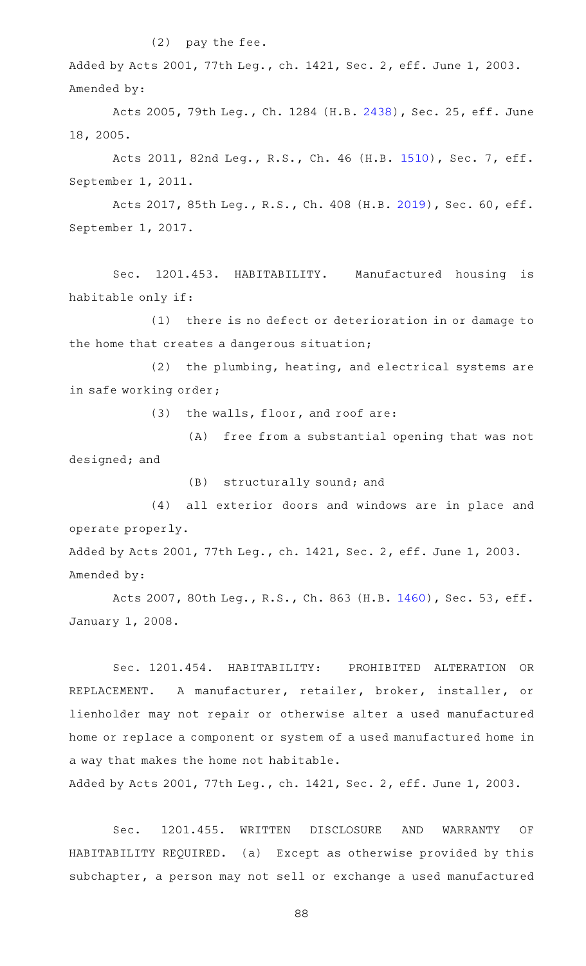## $(2)$  pay the fee.

Added by Acts 2001, 77th Leg., ch. 1421, Sec. 2, eff. June 1, 2003. Amended by:

Acts 2005, 79th Leg., Ch. 1284 (H.B. [2438\)](http://www.legis.state.tx.us/tlodocs/79R/billtext/html/HB02438F.HTM), Sec. 25, eff. June 18, 2005.

Acts 2011, 82nd Leg., R.S., Ch. 46 (H.B. [1510](http://www.legis.state.tx.us/tlodocs/82R/billtext/html/HB01510F.HTM)), Sec. 7, eff. September 1, 2011.

Acts 2017, 85th Leg., R.S., Ch. 408 (H.B. [2019\)](http://www.legis.state.tx.us/tlodocs/85R/billtext/html/HB02019F.HTM), Sec. 60, eff. September 1, 2017.

Sec. 1201.453. HABITABILITY. Manufactured housing is habitable only if:

(1) there is no defect or deterioration in or damage to the home that creates a dangerous situation;

 $(2)$  the plumbing, heating, and electrical systems are in safe working order;

(3) the walls, floor, and roof are:

(A) free from a substantial opening that was not designed; and

 $(B)$  structurally sound; and

(4) all exterior doors and windows are in place and operate properly.

Added by Acts 2001, 77th Leg., ch. 1421, Sec. 2, eff. June 1, 2003. Amended by:

Acts 2007, 80th Leg., R.S., Ch. 863 (H.B. [1460\)](http://www.legis.state.tx.us/tlodocs/80R/billtext/html/HB01460F.HTM), Sec. 53, eff. January 1, 2008.

Sec. 1201.454. HABITABILITY: PROHIBITED ALTERATION OR REPLACEMENT. A manufacturer, retailer, broker, installer, or lienholder may not repair or otherwise alter a used manufactured home or replace a component or system of a used manufactured home in a way that makes the home not habitable.

Added by Acts 2001, 77th Leg., ch. 1421, Sec. 2, eff. June 1, 2003.

Sec. 1201.455. WRITTEN DISCLOSURE AND WARRANTY OF HABITABILITY REQUIRED. (a) Except as otherwise provided by this subchapter, a person may not sell or exchange a used manufactured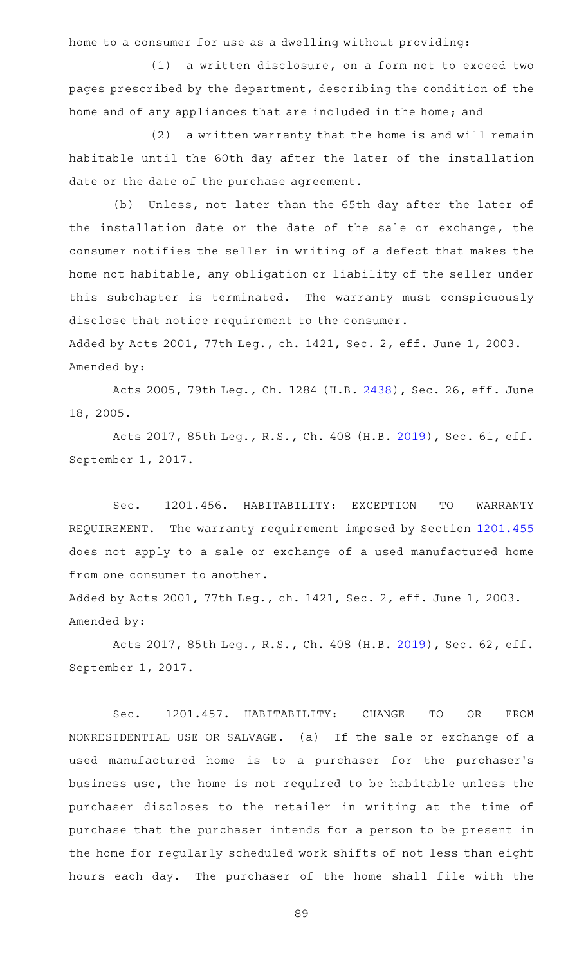home to a consumer for use as a dwelling without providing:

 $(1)$  a written disclosure, on a form not to exceed two pages prescribed by the department, describing the condition of the home and of any appliances that are included in the home; and

 $(2)$  a written warranty that the home is and will remain habitable until the 60th day after the later of the installation date or the date of the purchase agreement.

(b) Unless, not later than the 65th day after the later of the installation date or the date of the sale or exchange, the consumer notifies the seller in writing of a defect that makes the home not habitable, any obligation or liability of the seller under this subchapter is terminated. The warranty must conspicuously disclose that notice requirement to the consumer.

Added by Acts 2001, 77th Leg., ch. 1421, Sec. 2, eff. June 1, 2003. Amended by:

Acts 2005, 79th Leg., Ch. 1284 (H.B. [2438\)](http://www.legis.state.tx.us/tlodocs/79R/billtext/html/HB02438F.HTM), Sec. 26, eff. June 18, 2005.

Acts 2017, 85th Leg., R.S., Ch. 408 (H.B. [2019\)](http://www.legis.state.tx.us/tlodocs/85R/billtext/html/HB02019F.HTM), Sec. 61, eff. September 1, 2017.

Sec. 1201.456. HABITABILITY: EXCEPTION TO WARRANTY REQUIREMENT. The warranty requirement imposed by Section [1201.455](http://www.statutes.legis.state.tx.us/GetStatute.aspx?Code=OC&Value=1201.455) does not apply to a sale or exchange of a used manufactured home from one consumer to another.

Added by Acts 2001, 77th Leg., ch. 1421, Sec. 2, eff. June 1, 2003. Amended by:

Acts 2017, 85th Leg., R.S., Ch. 408 (H.B. [2019\)](http://www.legis.state.tx.us/tlodocs/85R/billtext/html/HB02019F.HTM), Sec. 62, eff. September 1, 2017.

Sec. 1201.457. HABITABILITY: CHANGE TO OR FROM NONRESIDENTIAL USE OR SALVAGE. (a) If the sale or exchange of a used manufactured home is to a purchaser for the purchaser 's business use, the home is not required to be habitable unless the purchaser discloses to the retailer in writing at the time of purchase that the purchaser intends for a person to be present in the home for regularly scheduled work shifts of not less than eight hours each day. The purchaser of the home shall file with the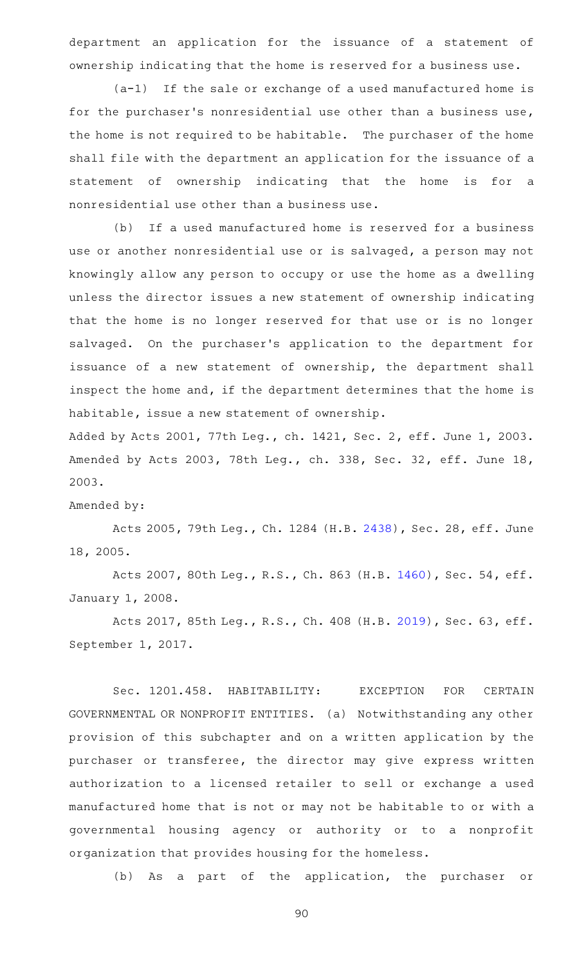department an application for the issuance of a statement of ownership indicating that the home is reserved for a business use.

 $(a-1)$  If the sale or exchange of a used manufactured home is for the purchaser 's nonresidential use other than a business use, the home is not required to be habitable. The purchaser of the home shall file with the department an application for the issuance of a statement of ownership indicating that the home is for a nonresidential use other than a business use.

(b) If a used manufactured home is reserved for a business use or another nonresidential use or is salvaged, a person may not knowingly allow any person to occupy or use the home as a dwelling unless the director issues a new statement of ownership indicating that the home is no longer reserved for that use or is no longer salvaged. On the purchaser's application to the department for issuance of a new statement of ownership, the department shall inspect the home and, if the department determines that the home is habitable, issue a new statement of ownership.

Added by Acts 2001, 77th Leg., ch. 1421, Sec. 2, eff. June 1, 2003. Amended by Acts 2003, 78th Leg., ch. 338, Sec. 32, eff. June 18, 2003.

#### Amended by:

Acts 2005, 79th Leg., Ch. 1284 (H.B. [2438\)](http://www.legis.state.tx.us/tlodocs/79R/billtext/html/HB02438F.HTM), Sec. 28, eff. June 18, 2005.

Acts 2007, 80th Leg., R.S., Ch. 863 (H.B. [1460\)](http://www.legis.state.tx.us/tlodocs/80R/billtext/html/HB01460F.HTM), Sec. 54, eff. January 1, 2008.

Acts 2017, 85th Leg., R.S., Ch. 408 (H.B. [2019\)](http://www.legis.state.tx.us/tlodocs/85R/billtext/html/HB02019F.HTM), Sec. 63, eff. September 1, 2017.

Sec. 1201.458. HABITABILITY: EXCEPTION FOR CERTAIN GOVERNMENTAL OR NONPROFIT ENTITIES. (a) Notwithstanding any other provision of this subchapter and on a written application by the purchaser or transferee, the director may give express written authorization to a licensed retailer to sell or exchange a used manufactured home that is not or may not be habitable to or with a governmental housing agency or authority or to a nonprofit organization that provides housing for the homeless.

(b) As a part of the application, the purchaser or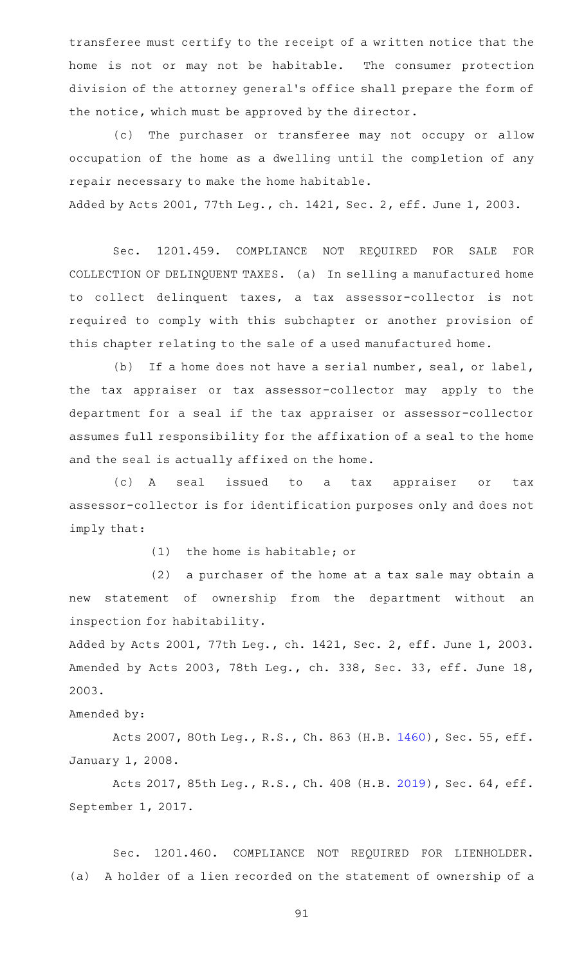transferee must certify to the receipt of a written notice that the home is not or may not be habitable. The consumer protection division of the attorney general 's office shall prepare the form of the notice, which must be approved by the director.

(c) The purchaser or transferee may not occupy or allow occupation of the home as a dwelling until the completion of any repair necessary to make the home habitable.

Added by Acts 2001, 77th Leg., ch. 1421, Sec. 2, eff. June 1, 2003.

Sec. 1201.459. COMPLIANCE NOT REQUIRED FOR SALE FOR COLLECTION OF DELINQUENT TAXES. (a) In selling a manufactured home to collect delinquent taxes, a tax assessor-collector is not required to comply with this subchapter or another provision of this chapter relating to the sale of a used manufactured home.

(b) If a home does not have a serial number, seal, or label, the tax appraiser or tax assessor-collector may apply to the department for a seal if the tax appraiser or assessor-collector assumes full responsibility for the affixation of a seal to the home and the seal is actually affixed on the home.

(c)AAA seal issued to a tax appraiser or tax assessor-collector is for identification purposes only and does not imply that:

 $(1)$  the home is habitable; or

 $(2)$  a purchaser of the home at a tax sale may obtain a new statement of ownership from the department without an inspection for habitability.

Added by Acts 2001, 77th Leg., ch. 1421, Sec. 2, eff. June 1, 2003. Amended by Acts 2003, 78th Leg., ch. 338, Sec. 33, eff. June 18, 2003.

# Amended by:

Acts 2007, 80th Leg., R.S., Ch. 863 (H.B. [1460\)](http://www.legis.state.tx.us/tlodocs/80R/billtext/html/HB01460F.HTM), Sec. 55, eff. January 1, 2008.

Acts 2017, 85th Leg., R.S., Ch. 408 (H.B. [2019\)](http://www.legis.state.tx.us/tlodocs/85R/billtext/html/HB02019F.HTM), Sec. 64, eff. September 1, 2017.

Sec. 1201.460. COMPLIANCE NOT REQUIRED FOR LIENHOLDER. (a) A holder of a lien recorded on the statement of ownership of a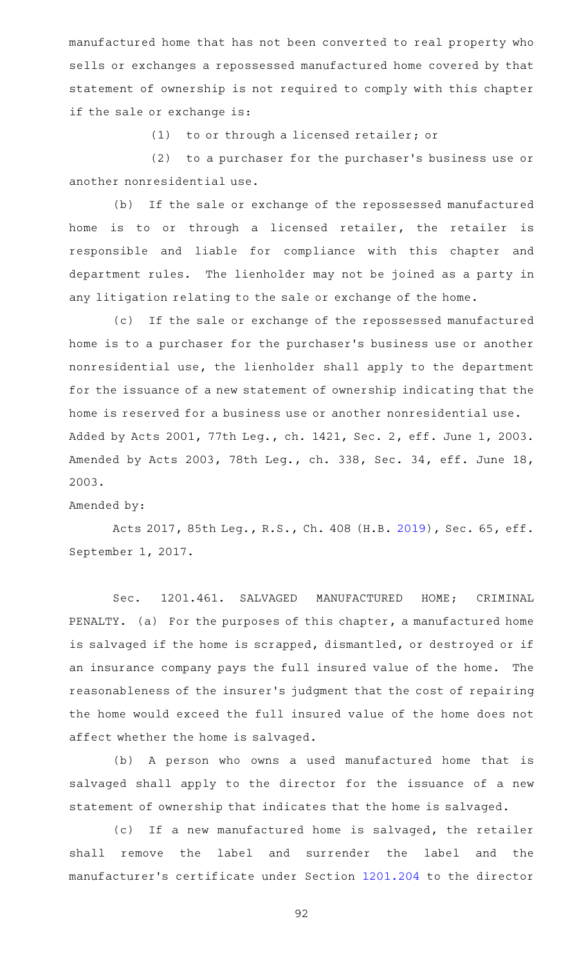manufactured home that has not been converted to real property who sells or exchanges a repossessed manufactured home covered by that statement of ownership is not required to comply with this chapter if the sale or exchange is:

(1) to or through a licensed retailer; or

(2) to a purchaser for the purchaser's business use or another nonresidential use.

(b) If the sale or exchange of the repossessed manufactured home is to or through a licensed retailer, the retailer is responsible and liable for compliance with this chapter and department rules. The lienholder may not be joined as a party in any litigation relating to the sale or exchange of the home.

(c) If the sale or exchange of the repossessed manufactured home is to a purchaser for the purchaser 's business use or another nonresidential use, the lienholder shall apply to the department for the issuance of a new statement of ownership indicating that the home is reserved for a business use or another nonresidential use. Added by Acts 2001, 77th Leg., ch. 1421, Sec. 2, eff. June 1, 2003. Amended by Acts 2003, 78th Leg., ch. 338, Sec. 34, eff. June 18, 2003.

#### Amended by:

Acts 2017, 85th Leg., R.S., Ch. 408 (H.B. [2019\)](http://www.legis.state.tx.us/tlodocs/85R/billtext/html/HB02019F.HTM), Sec. 65, eff. September 1, 2017.

Sec. 1201.461. SALVAGED MANUFACTURED HOME; CRIMINAL PENALTY. (a) For the purposes of this chapter, a manufactured home is salvaged if the home is scrapped, dismantled, or destroyed or if an insurance company pays the full insured value of the home. The reasonableness of the insurer 's judgment that the cost of repairing the home would exceed the full insured value of the home does not affect whether the home is salvaged.

(b) A person who owns a used manufactured home that is salvaged shall apply to the director for the issuance of a new statement of ownership that indicates that the home is salvaged.

(c) If a new manufactured home is salvaged, the retailer shall remove the label and surrender the label and the manufacturer 's certificate under Section [1201.204](http://www.statutes.legis.state.tx.us/GetStatute.aspx?Code=OC&Value=1201.204) to the director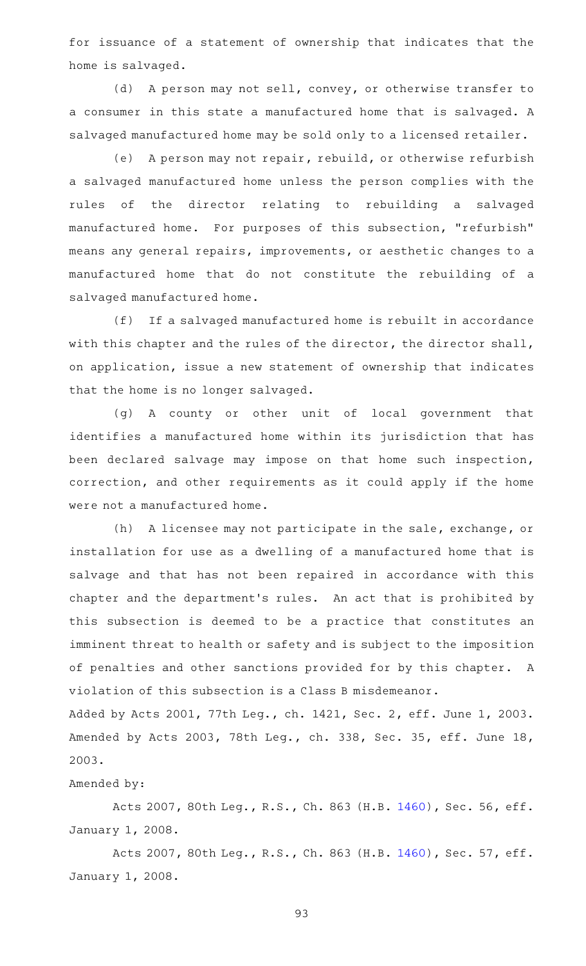for issuance of a statement of ownership that indicates that the home is salvaged.

(d) A person may not sell, convey, or otherwise transfer to a consumer in this state a manufactured home that is salvaged. A salvaged manufactured home may be sold only to a licensed retailer.

(e) A person may not repair, rebuild, or otherwise refurbish a salvaged manufactured home unless the person complies with the rules of the director relating to rebuilding a salvaged manufactured home. For purposes of this subsection, "refurbish" means any general repairs, improvements, or aesthetic changes to a manufactured home that do not constitute the rebuilding of a salvaged manufactured home.

(f) If a salvaged manufactured home is rebuilt in accordance with this chapter and the rules of the director, the director shall, on application, issue a new statement of ownership that indicates that the home is no longer salvaged.

(g)AAA county or other unit of local government that identifies a manufactured home within its jurisdiction that has been declared salvage may impose on that home such inspection, correction, and other requirements as it could apply if the home were not a manufactured home.

(h) A licensee may not participate in the sale, exchange, or installation for use as a dwelling of a manufactured home that is salvage and that has not been repaired in accordance with this chapter and the department's rules. An act that is prohibited by this subsection is deemed to be a practice that constitutes an imminent threat to health or safety and is subject to the imposition of penalties and other sanctions provided for by this chapter. A violation of this subsection is a Class B misdemeanor.

Added by Acts 2001, 77th Leg., ch. 1421, Sec. 2, eff. June 1, 2003. Amended by Acts 2003, 78th Leg., ch. 338, Sec. 35, eff. June 18, 2003.

## Amended by:

Acts 2007, 80th Leg., R.S., Ch. 863 (H.B. [1460\)](http://www.legis.state.tx.us/tlodocs/80R/billtext/html/HB01460F.HTM), Sec. 56, eff. January 1, 2008.

Acts 2007, 80th Leg., R.S., Ch. 863 (H.B. [1460\)](http://www.legis.state.tx.us/tlodocs/80R/billtext/html/HB01460F.HTM), Sec. 57, eff. January 1, 2008.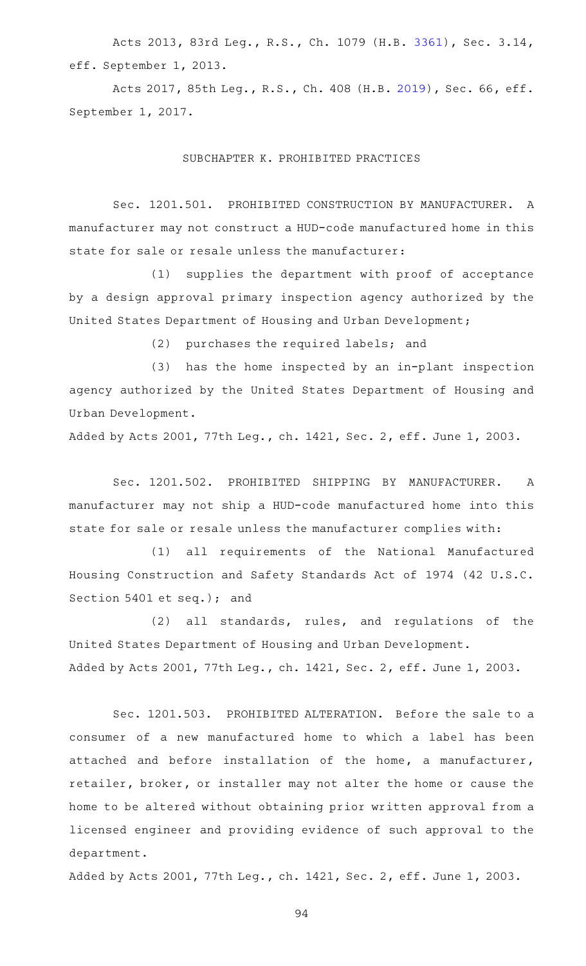Acts 2013, 83rd Leg., R.S., Ch. 1079 (H.B. [3361](http://www.legis.state.tx.us/tlodocs/83R/billtext/html/HB03361F.HTM)), Sec. 3.14, eff. September 1, 2013.

Acts 2017, 85th Leg., R.S., Ch. 408 (H.B. [2019\)](http://www.legis.state.tx.us/tlodocs/85R/billtext/html/HB02019F.HTM), Sec. 66, eff. September 1, 2017.

## SUBCHAPTER K. PROHIBITED PRACTICES

Sec. 1201.501. PROHIBITED CONSTRUCTION BY MANUFACTURER. A manufacturer may not construct a HUD-code manufactured home in this state for sale or resale unless the manufacturer:

(1) supplies the department with proof of acceptance by a design approval primary inspection agency authorized by the United States Department of Housing and Urban Development;

(2) purchases the required labels; and

 $(3)$  has the home inspected by an in-plant inspection agency authorized by the United States Department of Housing and Urban Development.

Added by Acts 2001, 77th Leg., ch. 1421, Sec. 2, eff. June 1, 2003.

Sec. 1201.502. PROHIBITED SHIPPING BY MANUFACTURER. A manufacturer may not ship a HUD-code manufactured home into this state for sale or resale unless the manufacturer complies with:

(1) all requirements of the National Manufactured Housing Construction and Safety Standards Act of 1974 (42 U.S.C. Section 5401 et seq.); and

 $(2)$  all standards, rules, and regulations of the United States Department of Housing and Urban Development. Added by Acts 2001, 77th Leg., ch. 1421, Sec. 2, eff. June 1, 2003.

Sec. 1201.503. PROHIBITED ALTERATION. Before the sale to a consumer of a new manufactured home to which a label has been attached and before installation of the home, a manufacturer, retailer, broker, or installer may not alter the home or cause the home to be altered without obtaining prior written approval from a licensed engineer and providing evidence of such approval to the department.

Added by Acts 2001, 77th Leg., ch. 1421, Sec. 2, eff. June 1, 2003.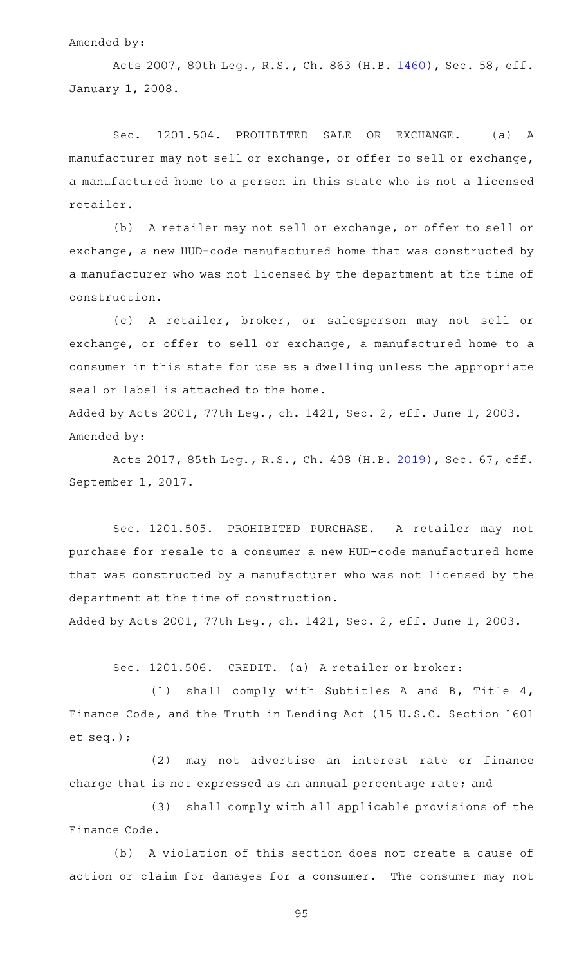#### Amended by:

Acts 2007, 80th Leg., R.S., Ch. 863 (H.B. [1460\)](http://www.legis.state.tx.us/tlodocs/80R/billtext/html/HB01460F.HTM), Sec. 58, eff. January 1, 2008.

Sec. 1201.504. PROHIBITED SALE OR EXCHANGE. (a) A manufacturer may not sell or exchange, or offer to sell or exchange, a manufactured home to a person in this state who is not a licensed retailer.

(b) A retailer may not sell or exchange, or offer to sell or exchange, a new HUD-code manufactured home that was constructed by a manufacturer who was not licensed by the department at the time of construction.

(c)AAA retailer, broker, or salesperson may not sell or exchange, or offer to sell or exchange, a manufactured home to a consumer in this state for use as a dwelling unless the appropriate seal or label is attached to the home.

Added by Acts 2001, 77th Leg., ch. 1421, Sec. 2, eff. June 1, 2003. Amended by:

Acts 2017, 85th Leg., R.S., Ch. 408 (H.B. [2019\)](http://www.legis.state.tx.us/tlodocs/85R/billtext/html/HB02019F.HTM), Sec. 67, eff. September 1, 2017.

Sec. 1201.505. PROHIBITED PURCHASE. A retailer may not purchase for resale to a consumer a new HUD-code manufactured home that was constructed by a manufacturer who was not licensed by the department at the time of construction.

Added by Acts 2001, 77th Leg., ch. 1421, Sec. 2, eff. June 1, 2003.

Sec. 1201.506. CREDIT. (a) A retailer or broker:

(1) shall comply with Subtitles A and B, Title  $4$ , Finance Code, and the Truth in Lending Act (15 U.S.C. Section 1601 et seq.);

(2) may not advertise an interest rate or finance charge that is not expressed as an annual percentage rate; and

(3) shall comply with all applicable provisions of the Finance Code.

(b) A violation of this section does not create a cause of action or claim for damages for a consumer. The consumer may not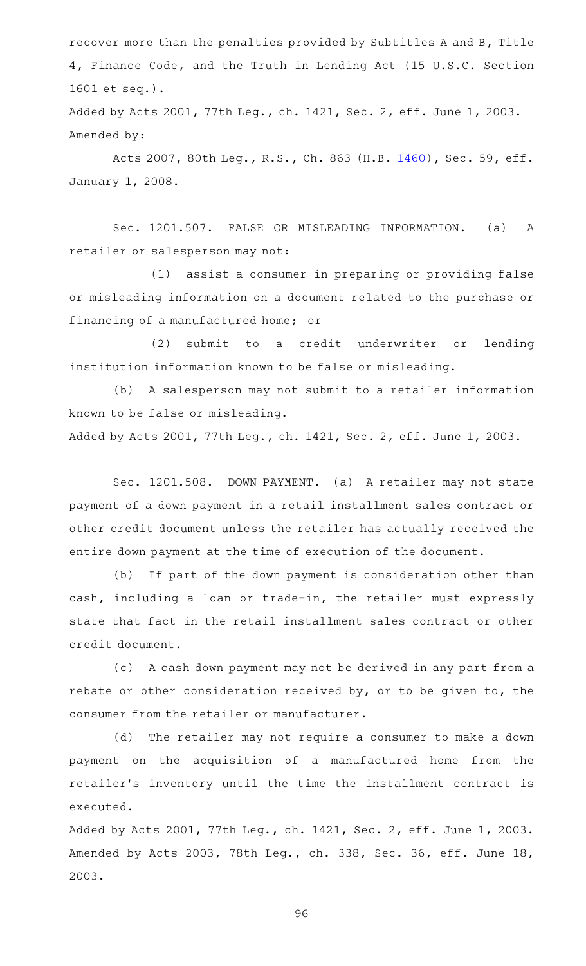recover more than the penalties provided by Subtitles A and B, Title 4, Finance Code, and the Truth in Lending Act (15 U.S.C. Section 1601 et seq.).

Added by Acts 2001, 77th Leg., ch. 1421, Sec. 2, eff. June 1, 2003. Amended by:

Acts 2007, 80th Leg., R.S., Ch. 863 (H.B. [1460\)](http://www.legis.state.tx.us/tlodocs/80R/billtext/html/HB01460F.HTM), Sec. 59, eff. January 1, 2008.

Sec. 1201.507. FALSE OR MISLEADING INFORMATION. (a) A retailer or salesperson may not:

(1) assist a consumer in preparing or providing false or misleading information on a document related to the purchase or financing of a manufactured home; or

(2) submit to a credit underwriter or lending institution information known to be false or misleading.

(b) A salesperson may not submit to a retailer information known to be false or misleading.

Added by Acts 2001, 77th Leg., ch. 1421, Sec. 2, eff. June 1, 2003.

Sec. 1201.508. DOWN PAYMENT. (a) A retailer may not state payment of a down payment in a retail installment sales contract or other credit document unless the retailer has actually received the entire down payment at the time of execution of the document.

(b) If part of the down payment is consideration other than cash, including a loan or trade-in, the retailer must expressly state that fact in the retail installment sales contract or other credit document.

(c) A cash down payment may not be derived in any part from a rebate or other consideration received by, or to be given to, the consumer from the retailer or manufacturer.

(d) The retailer may not require a consumer to make a down payment on the acquisition of a manufactured home from the retailer 's inventory until the time the installment contract is executed.

Added by Acts 2001, 77th Leg., ch. 1421, Sec. 2, eff. June 1, 2003. Amended by Acts 2003, 78th Leg., ch. 338, Sec. 36, eff. June 18, 2003.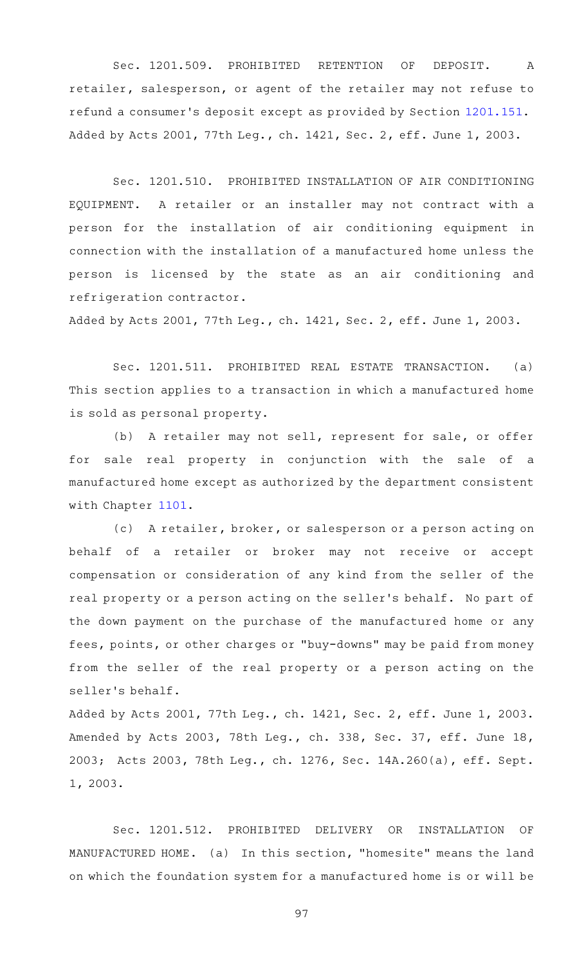Sec. 1201.509. PROHIBITED RETENTION OF DEPOSIT. A retailer, salesperson, or agent of the retailer may not refuse to refund a consumer 's deposit except as provided by Section [1201.151.](http://www.statutes.legis.state.tx.us/GetStatute.aspx?Code=OC&Value=1201.151) Added by Acts 2001, 77th Leg., ch. 1421, Sec. 2, eff. June 1, 2003.

Sec. 1201.510. PROHIBITED INSTALLATION OF AIR CONDITIONING EQUIPMENT. A retailer or an installer may not contract with a person for the installation of air conditioning equipment in connection with the installation of a manufactured home unless the person is licensed by the state as an air conditioning and refrigeration contractor.

Added by Acts 2001, 77th Leg., ch. 1421, Sec. 2, eff. June 1, 2003.

Sec. 1201.511. PROHIBITED REAL ESTATE TRANSACTION. (a) This section applies to a transaction in which a manufactured home is sold as personal property.

(b) A retailer may not sell, represent for sale, or offer for sale real property in conjunction with the sale of a manufactured home except as authorized by the department consistent with Chapter [1101](http://www.statutes.legis.state.tx.us/GetStatute.aspx?Code=OC&Value=1101).

(c) A retailer, broker, or salesperson or a person acting on behalf of a retailer or broker may not receive or accept compensation or consideration of any kind from the seller of the real property or a person acting on the seller 's behalf. No part of the down payment on the purchase of the manufactured home or any fees, points, or other charges or "buy-downs" may be paid from money from the seller of the real property or a person acting on the seller 's behalf.

Added by Acts 2001, 77th Leg., ch. 1421, Sec. 2, eff. June 1, 2003. Amended by Acts 2003, 78th Leg., ch. 338, Sec. 37, eff. June 18, 2003; Acts 2003, 78th Leg., ch. 1276, Sec. 14A.260(a), eff. Sept. 1, 2003.

Sec. 1201.512. PROHIBITED DELIVERY OR INSTALLATION OF MANUFACTURED HOME. (a) In this section, "homesite" means the land on which the foundation system for a manufactured home is or will be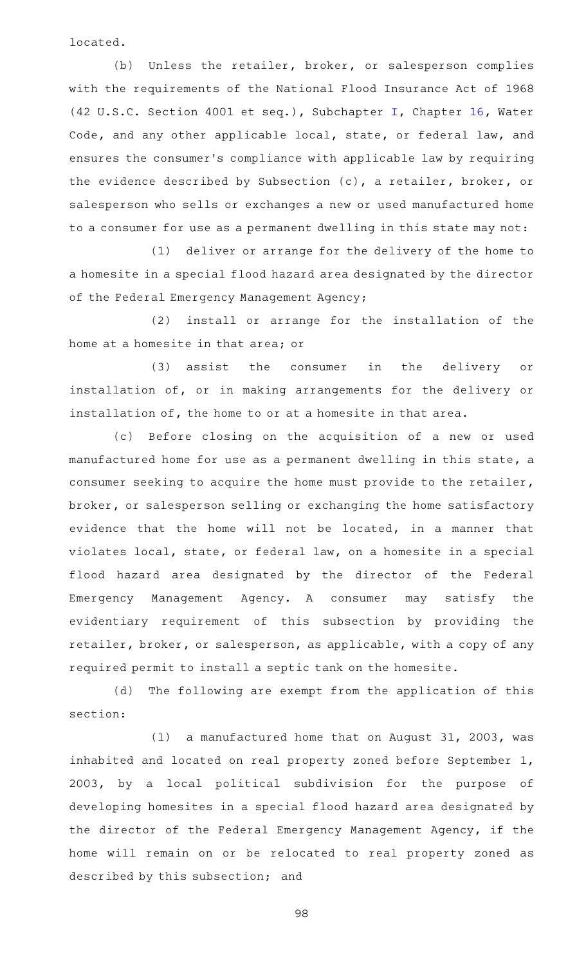located.

(b) Unless the retailer, broker, or salesperson complies with the requirements of the National Flood Insurance Act of 1968 (42 U.S.C. Section 4001 et seq.), Subchapter [I,](http://www.statutes.legis.state.tx.us/GetStatute.aspx?Code=WA&Value=16.311) Chapter [16,](http://www.statutes.legis.state.tx.us/GetStatute.aspx?Code=WA&Value=16) Water Code, and any other applicable local, state, or federal law, and ensures the consumer 's compliance with applicable law by requiring the evidence described by Subsection (c), a retailer, broker, or salesperson who sells or exchanges a new or used manufactured home to a consumer for use as a permanent dwelling in this state may not:

(1) deliver or arrange for the delivery of the home to a homesite in a special flood hazard area designated by the director of the Federal Emergency Management Agency;

(2) install or arrange for the installation of the home at a homesite in that area; or

(3) assist the consumer in the delivery or installation of, or in making arrangements for the delivery or installation of, the home to or at a homesite in that area.

(c) Before closing on the acquisition of a new or used manufactured home for use as a permanent dwelling in this state, a consumer seeking to acquire the home must provide to the retailer, broker, or salesperson selling or exchanging the home satisfactory evidence that the home will not be located, in a manner that violates local, state, or federal law, on a homesite in a special flood hazard area designated by the director of the Federal Emergency Management Agency. A consumer may satisfy the evidentiary requirement of this subsection by providing the retailer, broker, or salesperson, as applicable, with a copy of any required permit to install a septic tank on the homesite.

(d) The following are exempt from the application of this section:

(1) a manufactured home that on August 31, 2003, was inhabited and located on real property zoned before September 1, 2003, by a local political subdivision for the purpose of developing homesites in a special flood hazard area designated by the director of the Federal Emergency Management Agency, if the home will remain on or be relocated to real property zoned as described by this subsection; and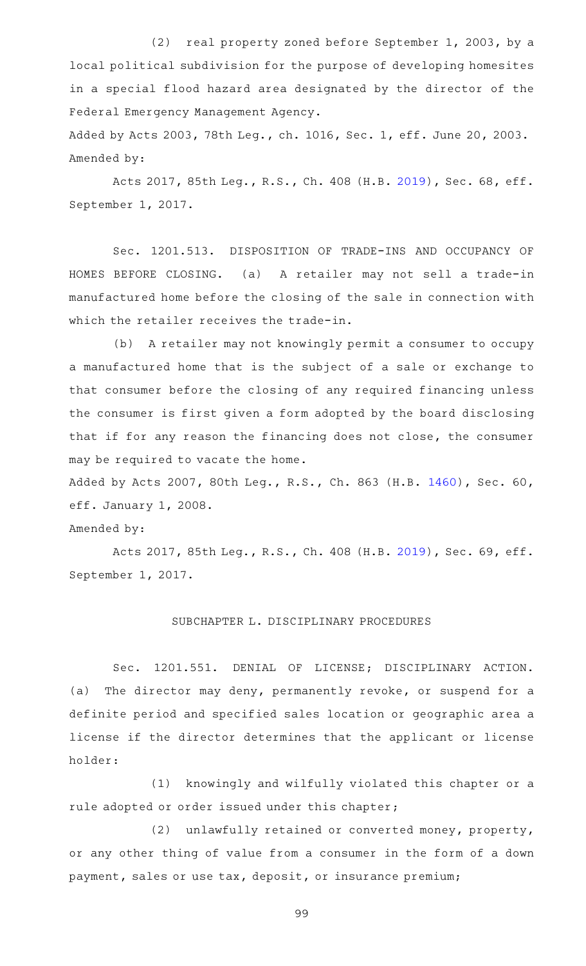(2) real property zoned before September 1, 2003, by a local political subdivision for the purpose of developing homesites in a special flood hazard area designated by the director of the Federal Emergency Management Agency.

Added by Acts 2003, 78th Leg., ch. 1016, Sec. 1, eff. June 20, 2003. Amended by:

Acts 2017, 85th Leg., R.S., Ch. 408 (H.B. [2019\)](http://www.legis.state.tx.us/tlodocs/85R/billtext/html/HB02019F.HTM), Sec. 68, eff. September 1, 2017.

Sec. 1201.513. DISPOSITION OF TRADE-INS AND OCCUPANCY OF HOMES BEFORE CLOSING. (a) A retailer may not sell a trade-in manufactured home before the closing of the sale in connection with which the retailer receives the trade-in.

(b) A retailer may not knowingly permit a consumer to occupy a manufactured home that is the subject of a sale or exchange to that consumer before the closing of any required financing unless the consumer is first given a form adopted by the board disclosing that if for any reason the financing does not close, the consumer may be required to vacate the home.

Added by Acts 2007, 80th Leg., R.S., Ch. 863 (H.B. [1460\)](http://www.legis.state.tx.us/tlodocs/80R/billtext/html/HB01460F.HTM), Sec. 60, eff. January 1, 2008.

Amended by:

Acts 2017, 85th Leg., R.S., Ch. 408 (H.B. [2019\)](http://www.legis.state.tx.us/tlodocs/85R/billtext/html/HB02019F.HTM), Sec. 69, eff. September 1, 2017.

### SUBCHAPTER L. DISCIPLINARY PROCEDURES

Sec. 1201.551. DENIAL OF LICENSE; DISCIPLINARY ACTION. (a) The director may deny, permanently revoke, or suspend for a definite period and specified sales location or geographic area a license if the director determines that the applicant or license holder:

(1) knowingly and wilfully violated this chapter or a rule adopted or order issued under this chapter;

(2) unlawfully retained or converted money, property, or any other thing of value from a consumer in the form of a down payment, sales or use tax, deposit, or insurance premium;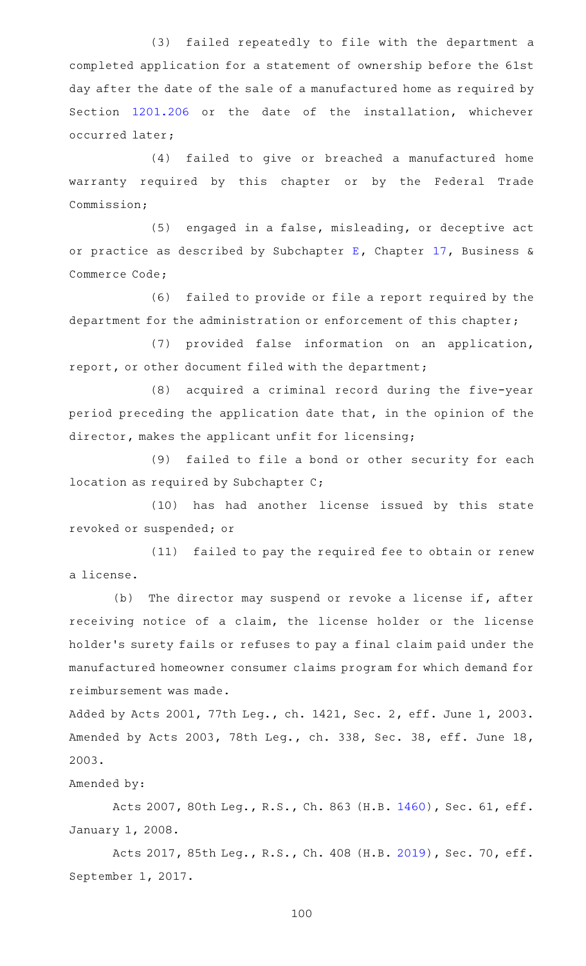(3) failed repeatedly to file with the department a completed application for a statement of ownership before the 61st day after the date of the sale of a manufactured home as required by Section [1201.206](http://www.statutes.legis.state.tx.us/GetStatute.aspx?Code=OC&Value=1201.206) or the date of the installation, whichever occurred later;

(4) failed to give or breached a manufactured home warranty required by this chapter or by the Federal Trade Commission;

 $(5)$  engaged in a false, misleading, or deceptive act or practice as described by Subchapter [E,](http://www.statutes.legis.state.tx.us/GetStatute.aspx?Code=BC&Value=17.41) Chapter [17,](http://www.statutes.legis.state.tx.us/GetStatute.aspx?Code=BC&Value=17) Business & Commerce Code;

(6) failed to provide or file a report required by the department for the administration or enforcement of this chapter;

(7) provided false information on an application, report, or other document filed with the department;

(8) acquired a criminal record during the five-year period preceding the application date that, in the opinion of the director, makes the applicant unfit for licensing;

(9) failed to file a bond or other security for each location as required by Subchapter C;

(10) has had another license issued by this state revoked or suspended; or

(11) failed to pay the required fee to obtain or renew a license.

(b) The director may suspend or revoke a license if, after receiving notice of a claim, the license holder or the license holder 's surety fails or refuses to pay a final claim paid under the manufactured homeowner consumer claims program for which demand for reimbursement was made.

Added by Acts 2001, 77th Leg., ch. 1421, Sec. 2, eff. June 1, 2003. Amended by Acts 2003, 78th Leg., ch. 338, Sec. 38, eff. June 18, 2003.

## Amended by:

Acts 2007, 80th Leg., R.S., Ch. 863 (H.B. [1460\)](http://www.legis.state.tx.us/tlodocs/80R/billtext/html/HB01460F.HTM), Sec. 61, eff. January 1, 2008.

Acts 2017, 85th Leg., R.S., Ch. 408 (H.B. [2019\)](http://www.legis.state.tx.us/tlodocs/85R/billtext/html/HB02019F.HTM), Sec. 70, eff. September 1, 2017.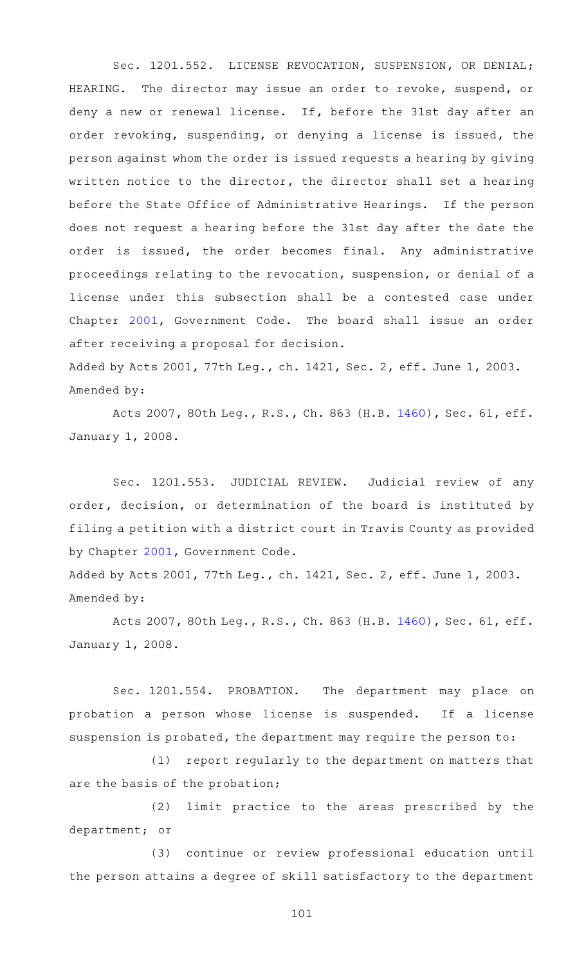Sec. 1201.552. LICENSE REVOCATION, SUSPENSION, OR DENIAL; HEARING. The director may issue an order to revoke, suspend, or deny a new or renewal license. If, before the 31st day after an order revoking, suspending, or denying a license is issued, the person against whom the order is issued requests a hearing by giving written notice to the director, the director shall set a hearing before the State Office of Administrative Hearings. If the person does not request a hearing before the 31st day after the date the order is issued, the order becomes final. Any administrative proceedings relating to the revocation, suspension, or denial of a license under this subsection shall be a contested case under Chapter [2001,](http://www.statutes.legis.state.tx.us/GetStatute.aspx?Code=GV&Value=2001) Government Code. The board shall issue an order after receiving a proposal for decision.

Added by Acts 2001, 77th Leg., ch. 1421, Sec. 2, eff. June 1, 2003. Amended by:

Acts 2007, 80th Leg., R.S., Ch. 863 (H.B. [1460\)](http://www.legis.state.tx.us/tlodocs/80R/billtext/html/HB01460F.HTM), Sec. 61, eff. January 1, 2008.

Sec. 1201.553. JUDICIAL REVIEW. Judicial review of any order, decision, or determination of the board is instituted by filing a petition with a district court in Travis County as provided by Chapter [2001](http://www.statutes.legis.state.tx.us/GetStatute.aspx?Code=GV&Value=2001), Government Code.

Added by Acts 2001, 77th Leg., ch. 1421, Sec. 2, eff. June 1, 2003. Amended by:

Acts 2007, 80th Leg., R.S., Ch. 863 (H.B. [1460\)](http://www.legis.state.tx.us/tlodocs/80R/billtext/html/HB01460F.HTM), Sec. 61, eff. January 1, 2008.

Sec. 1201.554. PROBATION. The department may place on probation a person whose license is suspended. If a license suspension is probated, the department may require the person to:

(1) report regularly to the department on matters that are the basis of the probation;

(2) limit practice to the areas prescribed by the department; or

(3) continue or review professional education until the person attains a degree of skill satisfactory to the department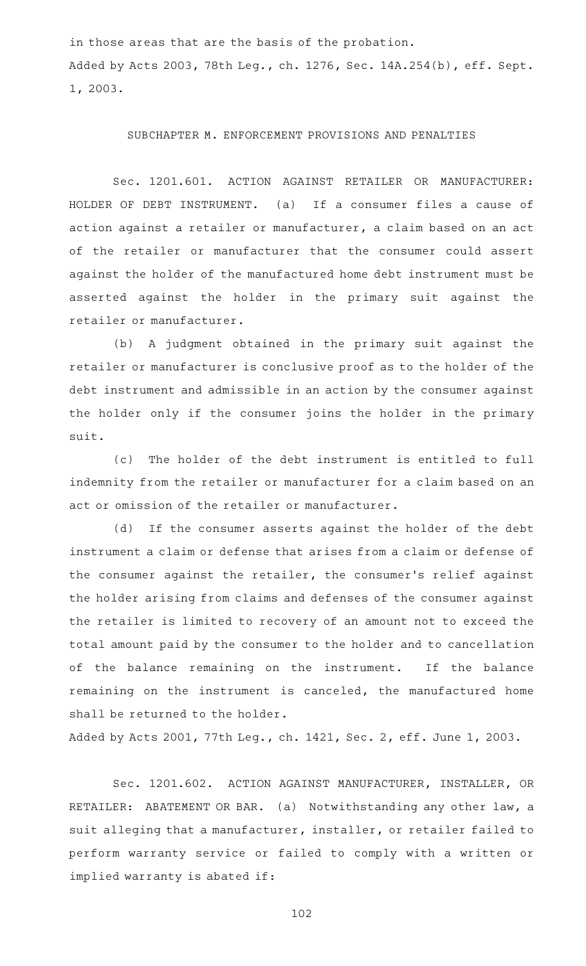in those areas that are the basis of the probation. Added by Acts 2003, 78th Leg., ch. 1276, Sec. 14A.254(b), eff. Sept. 1, 2003.

#### SUBCHAPTER M. ENFORCEMENT PROVISIONS AND PENALTIES

Sec. 1201.601. ACTION AGAINST RETAILER OR MANUFACTURER: HOLDER OF DEBT INSTRUMENT. (a) If a consumer files a cause of action against a retailer or manufacturer, a claim based on an act of the retailer or manufacturer that the consumer could assert against the holder of the manufactured home debt instrument must be asserted against the holder in the primary suit against the retailer or manufacturer.

(b) A judgment obtained in the primary suit against the retailer or manufacturer is conclusive proof as to the holder of the debt instrument and admissible in an action by the consumer against the holder only if the consumer joins the holder in the primary suit.

(c) The holder of the debt instrument is entitled to full indemnity from the retailer or manufacturer for a claim based on an act or omission of the retailer or manufacturer.

(d) If the consumer asserts against the holder of the debt instrument a claim or defense that arises from a claim or defense of the consumer against the retailer, the consumer 's relief against the holder arising from claims and defenses of the consumer against the retailer is limited to recovery of an amount not to exceed the total amount paid by the consumer to the holder and to cancellation of the balance remaining on the instrument. If the balance remaining on the instrument is canceled, the manufactured home shall be returned to the holder.

Added by Acts 2001, 77th Leg., ch. 1421, Sec. 2, eff. June 1, 2003.

Sec. 1201.602. ACTION AGAINST MANUFACTURER, INSTALLER, OR RETAILER: ABATEMENT OR BAR. (a) Notwithstanding any other law, a suit alleging that a manufacturer, installer, or retailer failed to perform warranty service or failed to comply with a written or implied warranty is abated if: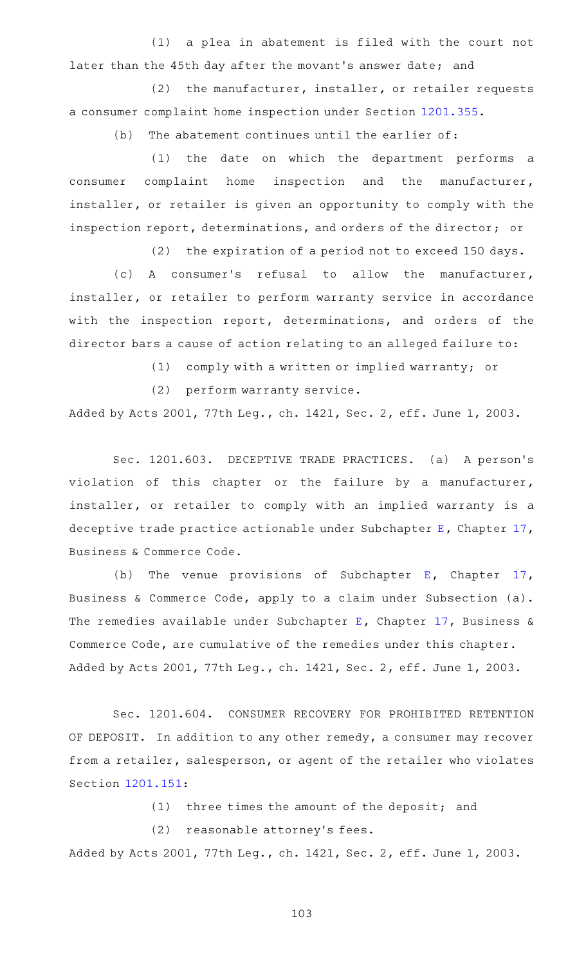$(1)$  a plea in abatement is filed with the court not later than the 45th day after the movant 's answer date; and

 $(2)$  the manufacturer, installer, or retailer requests a consumer complaint home inspection under Section [1201.355.](http://www.statutes.legis.state.tx.us/GetStatute.aspx?Code=OC&Value=1201.355)

 $(b)$  The abatement continues until the earlier of:

(1) the date on which the department performs a consumer complaint home inspection and the manufacturer, installer, or retailer is given an opportunity to comply with the inspection report, determinations, and orders of the director; or

(2) the expiration of a period not to exceed 150 days.

(c) A consumer's refusal to allow the manufacturer, installer, or retailer to perform warranty service in accordance with the inspection report, determinations, and orders of the director bars a cause of action relating to an alleged failure to:

(1) comply with a written or implied warranty; or

(2) perform warranty service.

Added by Acts 2001, 77th Leg., ch. 1421, Sec. 2, eff. June 1, 2003.

Sec. 1201.603. DECEPTIVE TRADE PRACTICES. (a) A person's violation of this chapter or the failure by a manufacturer, installer, or retailer to comply with an implied warranty is a deceptive trade practice actionable under Subchapter [E,](http://www.statutes.legis.state.tx.us/GetStatute.aspx?Code=BC&Value=17.41) Chapter [17](http://www.statutes.legis.state.tx.us/GetStatute.aspx?Code=BC&Value=17), Business & Commerce Code.

(b) The venue provisions of Subchapter [E](http://www.statutes.legis.state.tx.us/GetStatute.aspx?Code=BC&Value=17.41), Chapter [17](http://www.statutes.legis.state.tx.us/GetStatute.aspx?Code=BC&Value=17), Business & Commerce Code, apply to a claim under Subsection (a). The remedies available under Subchapter [E,](http://www.statutes.legis.state.tx.us/GetStatute.aspx?Code=BC&Value=17.41) Chapter [17](http://www.statutes.legis.state.tx.us/GetStatute.aspx?Code=BC&Value=17), Business & Commerce Code, are cumulative of the remedies under this chapter. Added by Acts 2001, 77th Leg., ch. 1421, Sec. 2, eff. June 1, 2003.

Sec. 1201.604. CONSUMER RECOVERY FOR PROHIBITED RETENTION OF DEPOSIT. In addition to any other remedy, a consumer may recover from a retailer, salesperson, or agent of the retailer who violates Section [1201.151](http://www.statutes.legis.state.tx.us/GetStatute.aspx?Code=OC&Value=1201.151):

 $(1)$  three times the amount of the deposit; and

(2) reasonable attorney's fees.

Added by Acts 2001, 77th Leg., ch. 1421, Sec. 2, eff. June 1, 2003.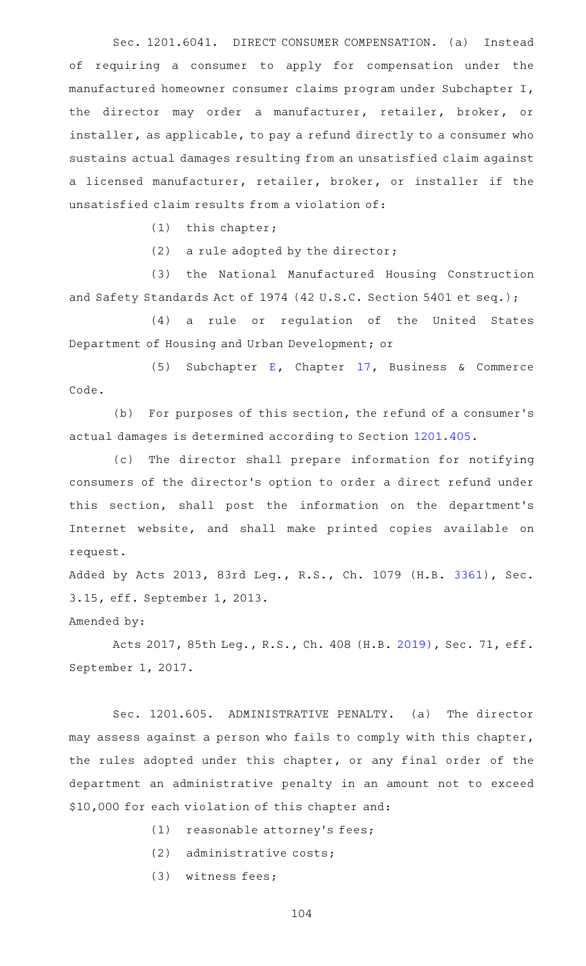Sec. 1201.6041. DIRECT CONSUMER COMPENSATION. (a) Instead of requiring a consumer to apply for compensation under the manufactured homeowner consumer claims program under Subchapter I, the director may order a manufacturer, retailer, broker, or installer, as applicable, to pay a refund directly to a consumer who sustains actual damages resulting from an unsatisfied claim against a licensed manufacturer, retailer, broker, or installer if the unsatisfied claim results from a violation of:

 $(1)$  this chapter;

(2) a rule adopted by the director;

(3) the National Manufactured Housing Construction and Safety Standards Act of 1974 (42 U.S.C. Section 5401 et seq.);

(4) a rule or regulation of the United States Department of Housing and Urban Development; or

(5) Subchapter [E,](http://www.statutes.legis.state.tx.us/GetStatute.aspx?Code=BC&Value=17.41) Chapter [17](http://www.statutes.legis.state.tx.us/GetStatute.aspx?Code=BC&Value=17), Business & Commerce Code.

(b) For purposes of this section, the refund of a consumer's actual damages is determined according to Section [1201.405](http://www.statutes.legis.state.tx.us/GetStatute.aspx?Code=OC&Value=1201.405).

(c) The director shall prepare information for notifying consumers of the director 's option to order a direct refund under this section, shall post the information on the department 's Internet website, and shall make printed copies available on request.

Added by Acts 2013, 83rd Leg., R.S., Ch. 1079 (H.B. [3361](http://www.legis.state.tx.us/tlodocs/83R/billtext/html/HB03361F.HTM)), Sec. 3.15, eff. September 1, 2013.

Amended by:

Acts 2017, 85th Leg., R.S., Ch. 408 (H.B. [2019\)](http://www.legis.state.tx.us/tlodocs/85R/billtext/html/HB02019F.HTM), Sec. 71, eff. September 1, 2017.

Sec. 1201.605. ADMINISTRATIVE PENALTY. (a) The director may assess against a person who fails to comply with this chapter, the rules adopted under this chapter, or any final order of the department an administrative penalty in an amount not to exceed \$10,000 for each violation of this chapter and:

- $(1)$  reasonable attorney's fees;
- $(2)$  administrative costs;
- (3) witness fees;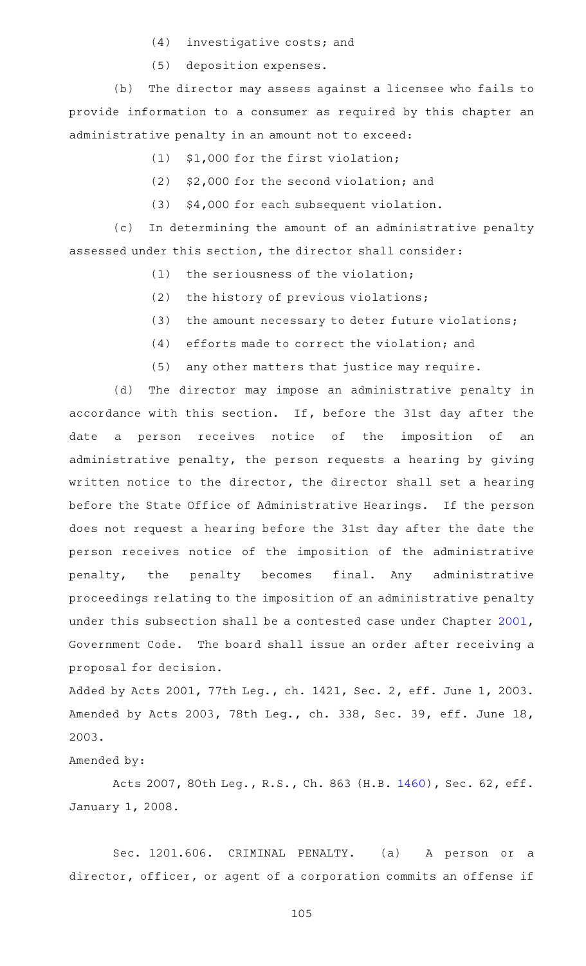- $(4)$  investigative costs; and
- (5) deposition expenses.

(b) The director may assess against a licensee who fails to provide information to a consumer as required by this chapter an administrative penalty in an amount not to exceed:

- $(1)$  \$1,000 for the first violation;
- $(2)$  \$2,000 for the second violation; and
- (3) \$4,000 for each subsequent violation.

(c) In determining the amount of an administrative penalty assessed under this section, the director shall consider:

- $(1)$  the seriousness of the violation;
- $(2)$  the history of previous violations;
- (3) the amount necessary to deter future violations;
- $(4)$  efforts made to correct the violation; and
- (5) any other matters that justice may require.

(d) The director may impose an administrative penalty in accordance with this section. If, before the 31st day after the date a person receives notice of the imposition of an administrative penalty, the person requests a hearing by giving written notice to the director, the director shall set a hearing before the State Office of Administrative Hearings. If the person does not request a hearing before the 31st day after the date the person receives notice of the imposition of the administrative penalty, the penalty becomes final. Any administrative proceedings relating to the imposition of an administrative penalty under this subsection shall be a contested case under Chapter [2001](http://www.statutes.legis.state.tx.us/GetStatute.aspx?Code=GV&Value=2001), Government Code. The board shall issue an order after receiving a proposal for decision.

Added by Acts 2001, 77th Leg., ch. 1421, Sec. 2, eff. June 1, 2003. Amended by Acts 2003, 78th Leg., ch. 338, Sec. 39, eff. June 18, 2003.

## Amended by:

Acts 2007, 80th Leg., R.S., Ch. 863 (H.B. [1460\)](http://www.legis.state.tx.us/tlodocs/80R/billtext/html/HB01460F.HTM), Sec. 62, eff. January 1, 2008.

Sec. 1201.606. CRIMINAL PENALTY. (a) A person or a director, officer, or agent of a corporation commits an offense if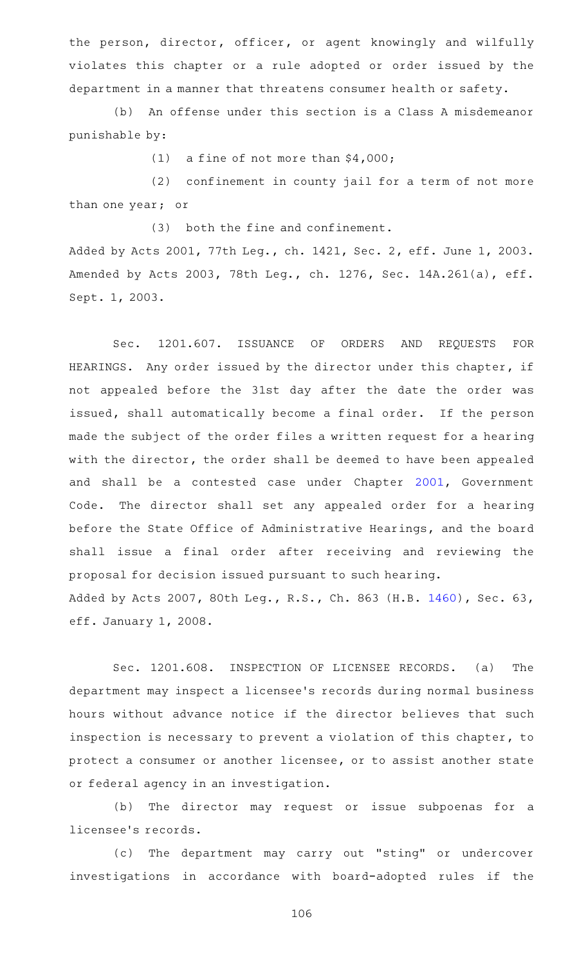the person, director, officer, or agent knowingly and wilfully violates this chapter or a rule adopted or order issued by the department in a manner that threatens consumer health or safety.

(b) An offense under this section is a Class A misdemeanor punishable by:

(1) a fine of not more than  $$4,000;$ 

 $(2)$  confinement in county jail for a term of not more than one year; or

 $(3)$  both the fine and confinement.

Added by Acts 2001, 77th Leg., ch. 1421, Sec. 2, eff. June 1, 2003. Amended by Acts 2003, 78th Leg., ch. 1276, Sec. 14A.261(a), eff. Sept. 1, 2003.

Sec. 1201.607. ISSUANCE OF ORDERS AND REQUESTS FOR HEARINGS. Any order issued by the director under this chapter, if not appealed before the 31st day after the date the order was issued, shall automatically become a final order. If the person made the subject of the order files a written request for a hearing with the director, the order shall be deemed to have been appealed and shall be a contested case under Chapter [2001,](http://www.statutes.legis.state.tx.us/GetStatute.aspx?Code=GV&Value=2001) Government Code. The director shall set any appealed order for a hearing before the State Office of Administrative Hearings, and the board shall issue a final order after receiving and reviewing the proposal for decision issued pursuant to such hearing. Added by Acts 2007, 80th Leg., R.S., Ch. 863 (H.B. [1460\)](http://www.legis.state.tx.us/tlodocs/80R/billtext/html/HB01460F.HTM), Sec. 63, eff. January 1, 2008.

Sec. 1201.608. INSPECTION OF LICENSEE RECORDS. (a) The department may inspect a licensee 's records during normal business hours without advance notice if the director believes that such inspection is necessary to prevent a violation of this chapter, to protect a consumer or another licensee, or to assist another state or federal agency in an investigation.

(b) The director may request or issue subpoenas for a licensee 's records.

(c) The department may carry out "sting" or undercover investigations in accordance with board-adopted rules if the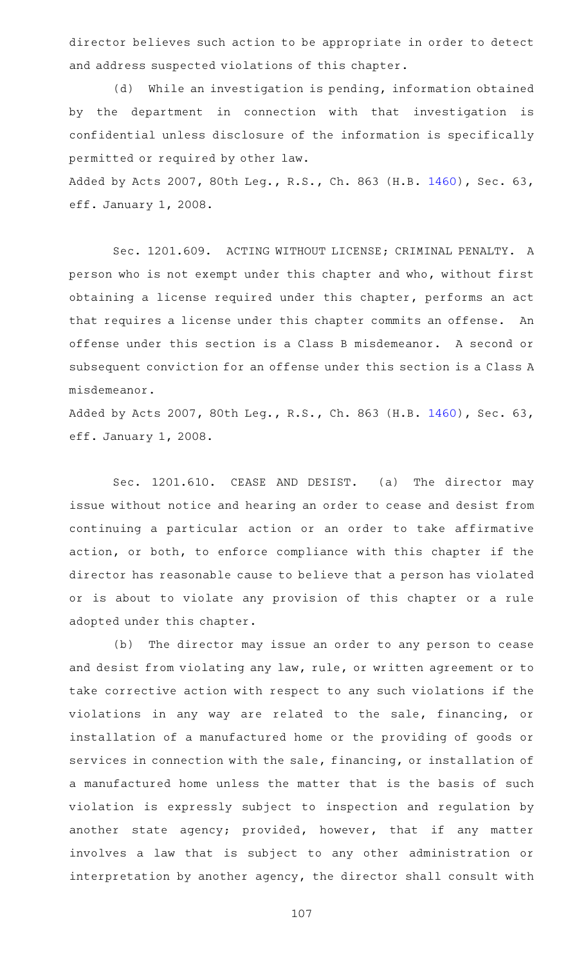director believes such action to be appropriate in order to detect and address suspected violations of this chapter.

(d) While an investigation is pending, information obtained by the department in connection with that investigation is confidential unless disclosure of the information is specifically permitted or required by other law.

Added by Acts 2007, 80th Leg., R.S., Ch. 863 (H.B. [1460\)](http://www.legis.state.tx.us/tlodocs/80R/billtext/html/HB01460F.HTM), Sec. 63, eff. January 1, 2008.

Sec. 1201.609. ACTING WITHOUT LICENSE; CRIMINAL PENALTY. A person who is not exempt under this chapter and who, without first obtaining a license required under this chapter, performs an act that requires a license under this chapter commits an offense. An offense under this section is a Class B misdemeanor. A second or subsequent conviction for an offense under this section is a Class A misdemeanor.

Added by Acts 2007, 80th Leg., R.S., Ch. 863 (H.B. [1460\)](http://www.legis.state.tx.us/tlodocs/80R/billtext/html/HB01460F.HTM), Sec. 63, eff. January 1, 2008.

Sec. 1201.610. CEASE AND DESIST. (a) The director may issue without notice and hearing an order to cease and desist from continuing a particular action or an order to take affirmative action, or both, to enforce compliance with this chapter if the director has reasonable cause to believe that a person has violated or is about to violate any provision of this chapter or a rule adopted under this chapter.

(b) The director may issue an order to any person to cease and desist from violating any law, rule, or written agreement or to take corrective action with respect to any such violations if the violations in any way are related to the sale, financing, or installation of a manufactured home or the providing of goods or services in connection with the sale, financing, or installation of a manufactured home unless the matter that is the basis of such violation is expressly subject to inspection and regulation by another state agency; provided, however, that if any matter involves a law that is subject to any other administration or interpretation by another agency, the director shall consult with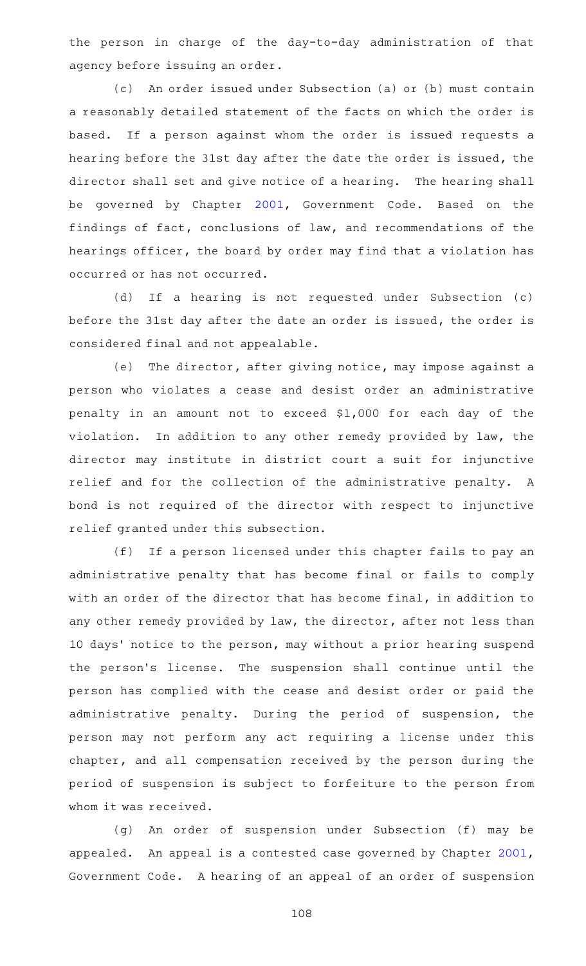the person in charge of the day-to-day administration of that agency before issuing an order.

(c) An order issued under Subsection (a) or (b) must contain a reasonably detailed statement of the facts on which the order is based. If a person against whom the order is issued requests a hearing before the 31st day after the date the order is issued, the director shall set and give notice of a hearing. The hearing shall be governed by Chapter [2001](http://www.statutes.legis.state.tx.us/GetStatute.aspx?Code=GV&Value=2001), Government Code. Based on the findings of fact, conclusions of law, and recommendations of the hearings officer, the board by order may find that a violation has occurred or has not occurred.

(d) If a hearing is not requested under Subsection (c) before the 31st day after the date an order is issued, the order is considered final and not appealable.

(e) The director, after giving notice, may impose against a person who violates a cease and desist order an administrative penalty in an amount not to exceed \$1,000 for each day of the violation. In addition to any other remedy provided by law, the director may institute in district court a suit for injunctive relief and for the collection of the administrative penalty. A bond is not required of the director with respect to injunctive relief granted under this subsection.

(f) If a person licensed under this chapter fails to pay an administrative penalty that has become final or fails to comply with an order of the director that has become final, in addition to any other remedy provided by law, the director, after not less than 10 days' notice to the person, may without a prior hearing suspend the person's license. The suspension shall continue until the person has complied with the cease and desist order or paid the administrative penalty. During the period of suspension, the person may not perform any act requiring a license under this chapter, and all compensation received by the person during the period of suspension is subject to forfeiture to the person from whom it was received.

(g) An order of suspension under Subsection (f) may be appealed. An appeal is a contested case governed by Chapter  $2001$ , Government Code. A hearing of an appeal of an order of suspension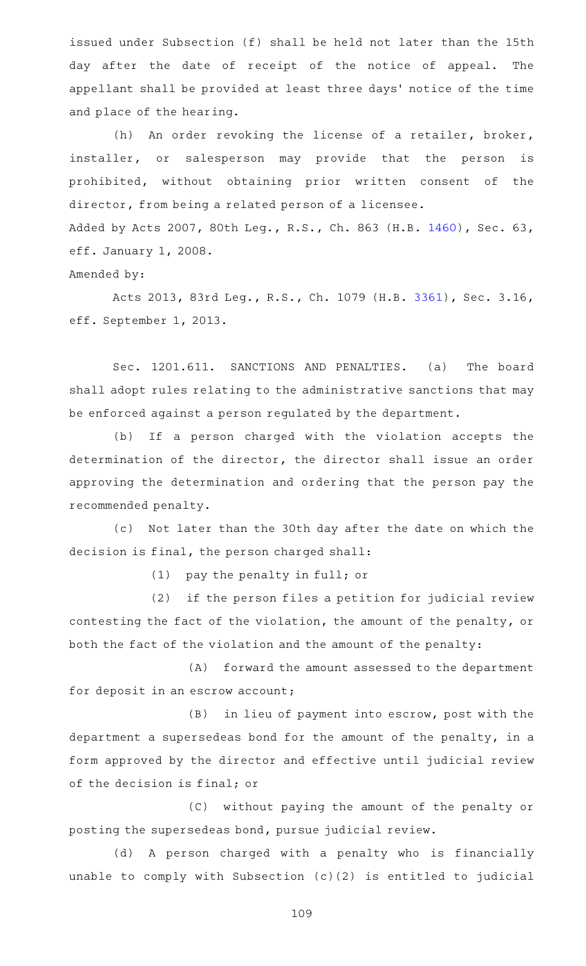issued under Subsection (f) shall be held not later than the 15th day after the date of receipt of the notice of appeal. The appellant shall be provided at least three days' notice of the time and place of the hearing.

(h) An order revoking the license of a retailer, broker, installer, or salesperson may provide that the person is prohibited, without obtaining prior written consent of the director, from being a related person of a licensee. Added by Acts 2007, 80th Leg., R.S., Ch. 863 (H.B. [1460\)](http://www.legis.state.tx.us/tlodocs/80R/billtext/html/HB01460F.HTM), Sec. 63, eff. January 1, 2008.

Amended by:

Acts 2013, 83rd Leg., R.S., Ch. 1079 (H.B. [3361](http://www.legis.state.tx.us/tlodocs/83R/billtext/html/HB03361F.HTM)), Sec. 3.16, eff. September 1, 2013.

Sec. 1201.611. SANCTIONS AND PENALTIES. (a) The board shall adopt rules relating to the administrative sanctions that may be enforced against a person regulated by the department.

(b) If a person charged with the violation accepts the determination of the director, the director shall issue an order approving the determination and ordering that the person pay the recommended penalty.

(c) Not later than the 30th day after the date on which the decision is final, the person charged shall:

 $(1)$  pay the penalty in full; or

 $(2)$  if the person files a petition for judicial review contesting the fact of the violation, the amount of the penalty, or both the fact of the violation and the amount of the penalty:

(A) forward the amount assessed to the department for deposit in an escrow account;

 $(B)$  in lieu of payment into escrow, post with the department a supersedeas bond for the amount of the penalty, in a form approved by the director and effective until judicial review of the decision is final; or

(C) without paying the amount of the penalty or posting the supersedeas bond, pursue judicial review.

(d) A person charged with a penalty who is financially unable to comply with Subsection (c)(2) is entitled to judicial

109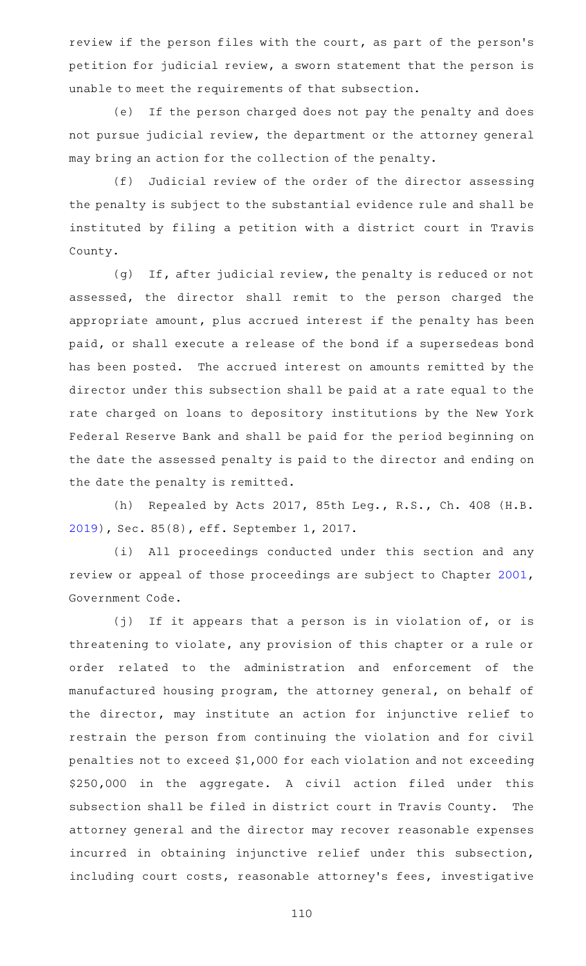review if the person files with the court, as part of the person's petition for judicial review, a sworn statement that the person is unable to meet the requirements of that subsection.

(e) If the person charged does not pay the penalty and does not pursue judicial review, the department or the attorney general may bring an action for the collection of the penalty.

(f) Judicial review of the order of the director assessing the penalty is subject to the substantial evidence rule and shall be instituted by filing a petition with a district court in Travis County.

(g) If, after judicial review, the penalty is reduced or not assessed, the director shall remit to the person charged the appropriate amount, plus accrued interest if the penalty has been paid, or shall execute a release of the bond if a supersedeas bond has been posted. The accrued interest on amounts remitted by the director under this subsection shall be paid at a rate equal to the rate charged on loans to depository institutions by the New York Federal Reserve Bank and shall be paid for the period beginning on the date the assessed penalty is paid to the director and ending on the date the penalty is remitted.

(h) Repealed by Acts 2017, 85th Leg., R.S., Ch. 408 (H.B. [2019](http://www.legis.state.tx.us/tlodocs/85R/billtext/html/HB02019F.HTM)), Sec. 85(8), eff. September 1, 2017.

(i) All proceedings conducted under this section and any review or appeal of those proceedings are subject to Chapter [2001](http://www.statutes.legis.state.tx.us/GetStatute.aspx?Code=GV&Value=2001), Government Code.

(j) If it appears that a person is in violation of, or is threatening to violate, any provision of this chapter or a rule or order related to the administration and enforcement of the manufactured housing program, the attorney general, on behalf of the director, may institute an action for injunctive relief to restrain the person from continuing the violation and for civil penalties not to exceed \$1,000 for each violation and not exceeding \$250,000 in the aggregate. A civil action filed under this subsection shall be filed in district court in Travis County. The attorney general and the director may recover reasonable expenses incurred in obtaining injunctive relief under this subsection, including court costs, reasonable attorney 's fees, investigative

110